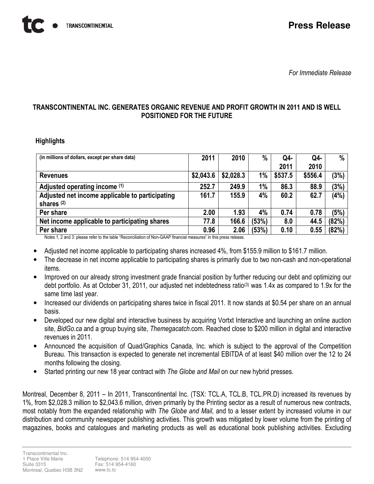For Immediate Release

## TRANSCONTINENTAL INC. GENERATES ORGANIC REVENUE AND PROFIT GROWTH IN 2011 AND IS WELL POSITIONED FOR THE FUTURE

## **Highlights**

| (in millions of dollars, except per share data)                          | 2011      | 2010      | $\%$  | Q4-     | Q4-     | %     |
|--------------------------------------------------------------------------|-----------|-----------|-------|---------|---------|-------|
|                                                                          |           |           |       | 2011    | 2010    |       |
| <b>Revenues</b>                                                          | \$2,043.6 | \$2,028.3 | 1%    | \$537.5 | \$556.4 | (3%)  |
| Adjusted operating income (1)                                            | 252.7     | 249.9     | 1%    | 86.3    | 88.9    | (3%)  |
| Adjusted net income applicable to participating<br>shares <sup>(2)</sup> | 161.7     | 155.9     | 4%    | 60.2    | 62.7    | (4%)  |
| Per share                                                                | 2.00      | 1.93      | 4%    | 0.74    | 0.78    | (5%)  |
| Net income applicable to participating shares                            | 77.8      | 166.6     | (53%) | 8.0     | 44.5    | (82%) |
| Per share<br>.<br>$\cdots$                                               | 0.96      | 2.06      | (53%) | 0.10    | 0.55    | (82%) |

Notes 1, 2 and 3: please refer to the table "Reconciliation of Non-GAAP financial measures" in this press release.

- Adjusted net income applicable to participating shares increased 4%, from \$155.9 million to \$161.7 million.
- The decrease in net income applicable to participating shares is primarily due to two non-cash and non-operational items.
- Improved on our already strong investment grade financial position by further reducing our debt and optimizing our debt portfolio. As at October 31, 2011, our adjusted net indebtedness ratio<sup>(3)</sup> was 1.4x as compared to 1.9x for the same time last year.
- Increased our dividends on participating shares twice in fiscal 2011. It now stands at \$0.54 per share on an annual basis.
- Developed our new digital and interactive business by acquiring Vortxt Interactive and launching an online auction site, BidGo.ca and a group buying site, Themegacatch.com. Reached close to \$200 million in digital and interactive revenues in 2011.
- Announced the acquisition of Quad/Graphics Canada, Inc. which is subject to the approval of the Competition Bureau. This transaction is expected to generate net incremental EBITDA of at least \$40 million over the 12 to 24 months following the closing.
- Started printing our new 18 year contract with The Globe and Mail on our new hybrid presses.

Montreal, December 8, 2011 – In 2011, Transcontinental Inc. (TSX: TCL.A, TCL.B, TCL.PR.D) increased its revenues by 1%, from \$2,028.3 million to \$2,043.6 million, driven primarily by the Printing sector as a result of numerous new contracts, most notably from the expanded relationship with The Globe and Mail, and to a lesser extent by increased volume in our distribution and community newspaper publishing activities. This growth was mitigated by lower volume from the printing of magazines, books and catalogues and marketing products as well as educational book publishing activities. Excluding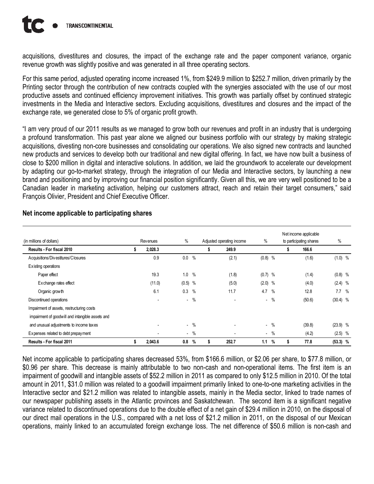acquisitions, divestitures and closures, the impact of the exchange rate and the paper component variance, organic revenue growth was slightly positive and was generated in all three operating sectors.

For this same period, adjusted operating income increased 1%, from \$249.9 million to \$252.7 million, driven primarily by the Printing sector through the contribution of new contracts coupled with the synergies associated with the use of our most productive assets and continued efficiency improvement initiatives. This growth was partially offset by continued strategic investments in the Media and Interactive sectors. Excluding acquisitions, divestitures and closures and the impact of the exchange rate, we generated close to 5% of organic profit growth.

"I am very proud of our 2011 results as we managed to grow both our revenues and profit in an industry that is undergoing a profound transformation. This past year alone we aligned our business portfolio with our strategy by making strategic acquisitions, divesting non-core businesses and consolidating our operations. We also signed new contracts and launched new products and services to develop both our traditional and new digital offering. In fact, we have now built a business of close to \$200 million in digital and interactive solutions. In addition, we laid the groundwork to accelerate our development by adapting our go-to-market strategy, through the integration of our Media and Interactive sectors, by launching a new brand and positioning and by improving our financial position significantly. Given all this, we are very well positioned to be a Canadian leader in marketing activation, helping our customers attract, reach and retain their target consumers," said François Olivier, President and Chief Executive Officer.

|                                                  |   |                          |           |       |                           |           |       |    | Net income applicable   |            |  |
|--------------------------------------------------|---|--------------------------|-----------|-------|---------------------------|-----------|-------|----|-------------------------|------------|--|
| (in millions of dollars)                         |   | <b>Revenues</b>          | $\%$      |       | Adjusted operating income | $\%$      |       |    | to participating shares | $\%$       |  |
| Results - For fiscal 2010                        |   | 2.028.3                  |           |       | \$<br>249.9               |           |       | \$ | 166.6                   |            |  |
| Acquisitions/Divestitures/Closures               |   | 0.9                      | $0.0\,$   | %     | (2.1)                     | $(0.8)$ % |       |    | (1.6)                   | $(1.0)$ %  |  |
| Existing operations                              |   |                          |           |       |                           |           |       |    |                         |            |  |
| Paper effect                                     |   | 19.3                     | 1.0       | $\%$  | (1.8)                     | $(0.7)$ % |       |    | (1.4)                   | $(0.8)$ %  |  |
| Exchange rates effect                            |   | (11.0)                   | $(0.5)$ % |       | (5.0)                     | $(2.0)$ % |       |    | (4.0)                   | $(2.4)$ %  |  |
| Organic growth                                   |   | 6.1                      | 0.3       | $\%$  | 11.7                      | 4.7 %     |       |    | 12.8                    | $7.7\%$    |  |
| Discontinued operations                          |   | $\overline{\phantom{a}}$ |           | $-$ % | $\overline{\phantom{a}}$  |           | $-$ % |    | (50.6)                  | $(30.4)$ % |  |
| Impairment of assets, restructuring costs        |   |                          |           |       |                           |           |       |    |                         |            |  |
| impairment of goodwill and intangible assets and |   |                          |           |       |                           |           |       |    |                         |            |  |
| and unusual adjustments to income taxes          |   |                          |           | $-$ % |                           |           | $-$ % |    | (39.8)                  | $(23.9)$ % |  |
| Expenses related to debt prepayment              |   | -                        |           | $-$ % | $\overline{\phantom{a}}$  |           | $-$ % |    | (4.2)                   | $(2.5)$ %  |  |
| Results - For fiscal 2011                        | S | 2,043.6                  | 0.8       | $\%$  | \$<br>252.7               | 1.1       | %     | S  | 77.8                    | $(53.3)$ % |  |

## Net income applicable to participating shares

Net income applicable to participating shares decreased 53%, from \$166.6 million, or \$2.06 per share, to \$77.8 million, or \$0.96 per share. This decrease is mainly attributable to two non-cash and non-operational items. The first item is an impairment of goodwill and intangible assets of \$52.2 million in 2011 as compared to only \$12.5 million in 2010. Of the total amount in 2011, \$31.0 million was related to a goodwill impairment primarily linked to one-to-one marketing activities in the Interactive sector and \$21.2 million was related to intangible assets, mainly in the Media sector, linked to trade names of our newspaper publishing assets in the Atlantic provinces and Saskatchewan. The second item is a significant negative variance related to discontinued operations due to the double effect of a net gain of \$29.4 million in 2010, on the disposal of our direct mail operations in the U.S., compared with a net loss of \$21.2 million in 2011, on the disposal of our Mexican operations, mainly linked to an accumulated foreign exchange loss. The net difference of \$50.6 million is non-cash and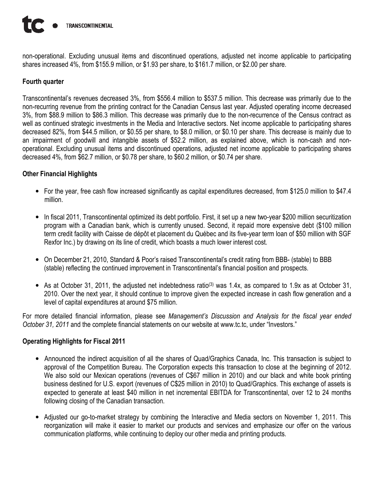

non-operational. Excluding unusual items and discontinued operations, adjusted net income applicable to participating shares increased 4%, from \$155.9 million, or \$1.93 per share, to \$161.7 million, or \$2.00 per share.

## Fourth quarter

Transcontinental's revenues decreased 3%, from \$556.4 million to \$537.5 million. This decrease was primarily due to the non-recurring revenue from the printing contract for the Canadian Census last year. Adjusted operating income decreased 3%, from \$88.9 million to \$86.3 million. This decrease was primarily due to the non-recurrence of the Census contract as well as continued strategic investments in the Media and Interactive sectors. Net income applicable to participating shares decreased 82%, from \$44.5 million, or \$0.55 per share, to \$8.0 million, or \$0.10 per share. This decrease is mainly due to an impairment of goodwill and intangible assets of \$52.2 million, as explained above, which is non-cash and nonoperational. Excluding unusual items and discontinued operations, adjusted net income applicable to participating shares decreased 4%, from \$62.7 million, or \$0.78 per share, to \$60.2 million, or \$0.74 per share.

## Other Financial Highlights

- For the year, free cash flow increased significantly as capital expenditures decreased, from \$125.0 million to \$47.4 million.
- In fiscal 2011, Transcontinental optimized its debt portfolio. First, it set up a new two-year \$200 million securitization program with a Canadian bank, which is currently unused. Second, it repaid more expensive debt (\$100 million term credit facility with Caisse de dépôt et placement du Québec and its five-year term loan of \$50 million with SGF Rexfor Inc.) by drawing on its line of credit, which boasts a much lower interest cost.
- On December 21, 2010, Standard & Poor's raised Transcontinental's credit rating from BBB- (stable) to BBB (stable) reflecting the continued improvement in Transcontinental's financial position and prospects.
- As at October 31, 2011, the adjusted net indebtedness ratio<sup>(3)</sup> was 1.4x, as compared to 1.9x as at October 31, 2010. Over the next year, it should continue to improve given the expected increase in cash flow generation and a level of capital expenditures at around \$75 million.

For more detailed financial information, please see Management's Discussion and Analysis for the fiscal year ended October 31, 2011 and the complete financial statements on our website at www.tc.tc, under "Investors."

## Operating Highlights for Fiscal 2011

- Announced the indirect acquisition of all the shares of Quad/Graphics Canada, Inc. This transaction is subject to approval of the Competition Bureau. The Corporation expects this transaction to close at the beginning of 2012. We also sold our Mexican operations (revenues of C\$67 million in 2010) and our black and white book printing business destined for U.S. export (revenues of C\$25 million in 2010) to Quad/Graphics. This exchange of assets is expected to generate at least \$40 million in net incremental EBITDA for Transcontinental, over 12 to 24 months following closing of the Canadian transaction.
- Adjusted our go-to-market strategy by combining the Interactive and Media sectors on November 1, 2011. This reorganization will make it easier to market our products and services and emphasize our offer on the various communication platforms, while continuing to deploy our other media and printing products.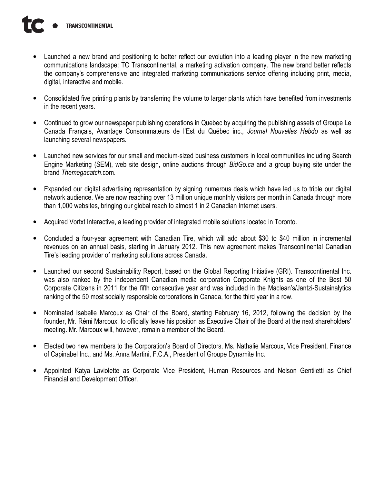# TRANSCONTINENTAL

- Launched a new brand and positioning to better reflect our evolution into a leading player in the new marketing communications landscape: TC Transcontinental, a marketing activation company. The new brand better reflects the company's comprehensive and integrated marketing communications service offering including print, media, digital, interactive and mobile.
- Consolidated five printing plants by transferring the volume to larger plants which have benefited from investments in the recent years.
- Continued to grow our newspaper publishing operations in Quebec by acquiring the publishing assets of Groupe Le Canada Français, Avantage Consommateurs de l'Est du Québec inc., Journal Nouvelles Hebdo as well as launching several newspapers.
- Launched new services for our small and medium-sized business customers in local communities including Search Engine Marketing (SEM), web site design, online auctions through BidGo.ca and a group buying site under the brand Themegacatch.com.
- Expanded our digital advertising representation by signing numerous deals which have led us to triple our digital network audience. We are now reaching over 13 million unique monthly visitors per month in Canada through more than 1,000 websites, bringing our global reach to almost 1 in 2 Canadian Internet users.
- Acquired Vortxt Interactive, a leading provider of integrated mobile solutions located in Toronto.
- Concluded a four-year agreement with Canadian Tire, which will add about \$30 to \$40 million in incremental revenues on an annual basis, starting in January 2012. This new agreement makes Transcontinental Canadian Tire's leading provider of marketing solutions across Canada.
- Launched our second Sustainability Report, based on the Global Reporting Initiative (GRI). Transcontinental Inc. was also ranked by the independent Canadian media corporation Corporate Knights as one of the Best 50 Corporate Citizens in 2011 for the fifth consecutive year and was included in the Maclean's/Jantzi-Sustainalytics ranking of the 50 most socially responsible corporations in Canada, for the third year in a row.
- Nominated Isabelle Marcoux as Chair of the Board, starting February 16, 2012, following the decision by the founder, Mr. Rémi Marcoux, to officially leave his position as Executive Chair of the Board at the next shareholders' meeting. Mr. Marcoux will, however, remain a member of the Board.
- Elected two new members to the Corporation's Board of Directors, Ms. Nathalie Marcoux, Vice President, Finance of Capinabel Inc., and Ms. Anna Martini, F.C.A., President of Groupe Dynamite Inc.
- Appointed Katya Laviolette as Corporate Vice President, Human Resources and Nelson Gentiletti as Chief Financial and Development Officer.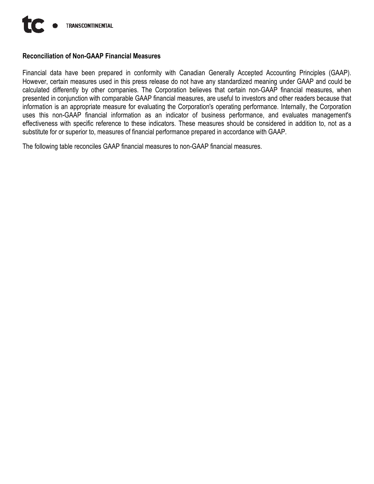

## Reconciliation of Non-GAAP Financial Measures

Financial data have been prepared in conformity with Canadian Generally Accepted Accounting Principles (GAAP). However, certain measures used in this press release do not have any standardized meaning under GAAP and could be calculated differently by other companies. The Corporation believes that certain non-GAAP financial measures, when presented in conjunction with comparable GAAP financial measures, are useful to investors and other readers because that information is an appropriate measure for evaluating the Corporation's operating performance. Internally, the Corporation uses this non-GAAP financial information as an indicator of business performance, and evaluates management's effectiveness with specific reference to these indicators. These measures should be considered in addition to, not as a substitute for or superior to, measures of financial performance prepared in accordance with GAAP.

The following table reconciles GAAP financial measures to non-GAAP financial measures.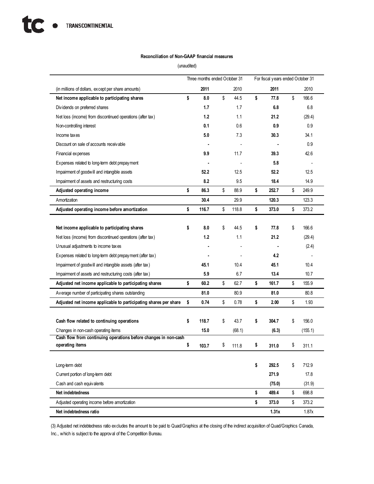#### Reconciliation of Non-GAAP financial measures

(unaudited)

|                                                                                    | Three months ended October 31 |             | For fiscal years ended October 31 |             |
|------------------------------------------------------------------------------------|-------------------------------|-------------|-----------------------------------|-------------|
| (in millions of dollars, except per share amounts)                                 | 2011                          | 2010        | 2011                              | 2010        |
| Net income applicable to participating shares                                      | \$<br>8.0                     | \$<br>44.5  | \$<br>77.8                        | \$<br>166.6 |
| Dividends on preferred shares                                                      | 1.7                           | 1.7         | 6.8                               | 6.8         |
| Net loss (income) from discontinued operations (after tax)                         | 1.2                           | 1.1         | 21.2                              | (29.4)      |
| Non-controlling interest                                                           | 0.1                           | 0.6         | 0.9                               | 0.9         |
| Income taxes                                                                       | 5.0                           | 7.3         | 30.3                              | 34.1        |
| Discount on sale of accounts receivable                                            |                               |             |                                   | 0.9         |
| Financial expenses                                                                 | 9.9                           | 11.7        | 39.3                              | 42.6        |
| Expenses related to long-term debt prepayment                                      |                               |             | 5.8                               |             |
| Impairment of goodwill and intangible assets                                       | 52.2                          | 12.5        | 52.2                              | 12.5        |
| Impairment of assets and restructuring costs                                       | 8.2                           | 9.5         | 18.4                              | 14.9        |
| Adjusted operating income                                                          | \$<br>86.3                    | \$<br>88.9  | \$<br>252.7                       | \$<br>249.9 |
| Amortization                                                                       | 30.4                          | 29.9        | 120.3                             | 123.3       |
| Adjusted operating income before amortization                                      | \$<br>116.7                   | \$<br>118.8 | \$<br>373.0                       | \$<br>373.2 |
|                                                                                    |                               |             |                                   |             |
| Net income applicable to participating shares                                      | \$<br>8.0                     | \$<br>44.5  | \$<br>77.8                        | \$<br>166.6 |
| Net loss (income) from discontinued operations (after tax)                         | 1.2                           | 1.1         | 21.2                              | (29.4)      |
| Unusual adjustments to income taxes                                                |                               |             |                                   | (2.4)       |
| Expenses related to long-term debt prepayment (after tax)                          |                               |             | 4.2                               |             |
| Impairment of goodwill and intangible assets (after tax)                           | 45.1                          | 10.4        | 45.1                              | 10.4        |
| Impairment of assets and restructuring costs (after tax)                           | 5.9                           | 6.7         | 13.4                              | 10.7        |
| Adjusted net income applicable to participating shares                             | \$<br>60.2                    | \$<br>62.7  | \$<br>161.7                       | \$<br>155.9 |
| Average number of participating shares outstanding                                 | 81.0                          | 80.9        | 81.0                              | 80.8        |
| Adjusted net income applicable to participating shares per share                   | \$<br>0.74                    | \$<br>0.78  | \$<br>2.00                        | \$<br>1.93  |
|                                                                                    |                               |             |                                   |             |
| Cash flow related to continuing operations                                         | \$<br>118.7                   | \$<br>43.7  | \$<br>304.7                       | \$<br>156.0 |
| Changes in non-cash operating items                                                | 15.0                          | (68.1)      | (6.3)                             | (155.1)     |
| Cash flow from continuing operations before changes in non-cash<br>operating items | \$<br>103.7                   | \$<br>111.8 | 311.0                             | \$<br>311.1 |
|                                                                                    |                               |             |                                   |             |
|                                                                                    |                               |             | \$<br>292.5                       | \$<br>712.9 |
| Long-term debt<br>Current portion of long-term debt                                |                               |             | 271.9                             | 17.8        |
| Cash and cash equivalents                                                          |                               |             | (75.0)                            | (31.9)      |
| Net indebtedness                                                                   |                               |             | \$<br>489.4                       | \$<br>698.8 |
| Adjusted operating income before amortization                                      |                               |             | \$<br>373.0                       | \$<br>373.2 |
| Net indebtedness ratio                                                             |                               |             | 1.31x                             | 1.87x       |
|                                                                                    |                               |             |                                   |             |

(3) Adjusted net indebtedness ratio excludes the amount to be paid to Quad/Graphics at the closing of the indirect acquisition of Quad/Graphics Canada, Inc., which is subject to the approval of the Competition Bureau.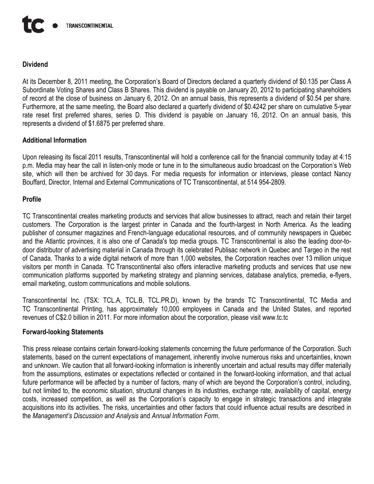## Dividend

At its December 8, 2011 meeting, the Corporation's Board of Directors declared a quarterly dividend of \$0.135 per Class A Subordinate Voting Shares and Class B Shares. This dividend is payable on January 20, 2012 to participating shareholders of record at the close of business on January 6, 2012. On an annual basis, this represents a dividend of \$0.54 per share. Furthermore, at the same meeting, the Board also declared a quarterly dividend of \$0.4242 per share on cumulative 5-year rate reset first preferred shares, series D. This dividend is payable on January 16, 2012. On an annual basis, this represents a dividend of \$1.6875 per preferred share.

## Additional Information

Upon releasing its fiscal 2011 results, Transcontinental will hold a conference call for the financial community today at 4:15 p.m. Media may hear the call in listen-only mode or tune in to the simultaneous audio broadcast on the Corporation's Web site, which will then be archived for 30 days. For media requests for information or interviews, please contact Nancy Bouffard, Director, Internal and External Communications of TC Transcontinental, at 514 954-2809.

## Profile

TC Transcontinental creates marketing products and services that allow businesses to attract, reach and retain their target customers. The Corporation is the largest printer in Canada and the fourth-largest in North America. As the leading publisher of consumer magazines and French-language educational resources, and of community newspapers in Quebec and the Atlantic provinces, it is also one of Canada's top media groups. TC Transcontinental is also the leading door-todoor distributor of advertising material in Canada through its celebrated Publisac network in Quebec and Targeo in the rest of Canada. Thanks to a wide digital network of more than 1,000 websites, the Corporation reaches over 13 million unique visitors per month in Canada. TC Transcontinental also offers interactive marketing products and services that use new communication platforms supported by marketing strategy and planning services, database analytics, premedia, e-flyers, email marketing, custom communications and mobile solutions.

Transcontinental Inc. (TSX: TCL.A, TCL.B, TCL.PR.D), known by the brands TC Transcontinental, TC Media and TC Transcontinental Printing, has approximately 10,000 employees in Canada and the United States, and reported revenues of C\$2.0 billion in 2011. For more information about the corporation, please visit www.tc.tc

## Forward-looking Statements

This press release contains certain forward-looking statements concerning the future performance of the Corporation. Such statements, based on the current expectations of management, inherently involve numerous risks and uncertainties, known and unknown. We caution that all forward-looking information is inherently uncertain and actual results may differ materially from the assumptions, estimates or expectations reflected or contained in the forward-looking information, and that actual future performance will be affected by a number of factors, many of which are beyond the Corporation's control, including, but not limited to, the economic situation, structural changes in its industries, exchange rate, availability of capital, energy costs, increased competition, as well as the Corporation's capacity to engage in strategic transactions and integrate acquisitions into its activities. The risks, uncertainties and other factors that could influence actual results are described in the Management's Discussion and Analysis and Annual Information Form.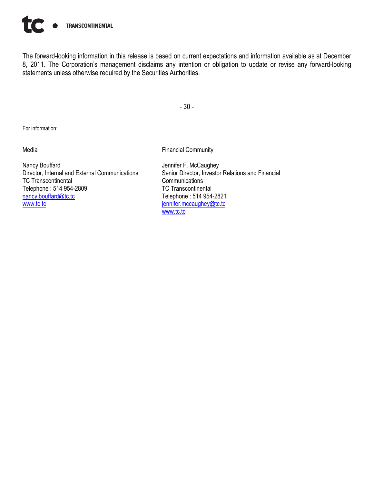

The forward-looking information in this release is based on current expectations and information available as at December 8, 2011. The Corporation's management disclaims any intention or obligation to update or revise any forward-looking statements unless otherwise required by the Securities Authorities.

- 30 -

For information:

**Media** 

Nancy Bouffard Director, Internal and External Communications TC Transcontinental Telephone : 514 954-2809 nancy.bouffard@tc.tc www.tc.tc

## Financial Community

Jennifer F. McCaughey Senior Director, Investor Relations and Financial **Communications** TC Transcontinental Telephone : 514 954-2821 jennifer.mccaughey@tc.tc www.tc.tc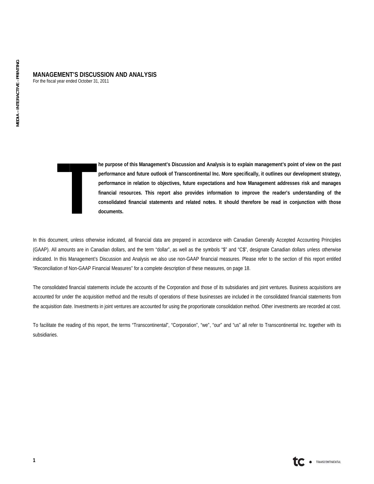For the fiscal year ended October 31, 2011



he purpose of this Management's Discussion and Analysis is to explain management's point of view on the past performance and future outlook of Transcontinental Inc. More specifically, it outlines our development strategy, performance in relation to objectives, future expectations and how Management addresses risk and manages financial resources. This report also provides information to improve the reader's understanding of the consolidated financial statements and related notes. It should therefore be read in conjunction with those documents.

In this document, unless otherwise indicated, all financial data are prepared in accordance with Canadian Generally Accepted Accounting Principles (GAAP). All amounts are in Canadian dollars, and the term "dollar", as well as the symbols "\$" and "C\$", designate Canadian dollars unless otherwise indicated. In this Management's Discussion and Analysis we also use non-GAAP financial measures. Please refer to the section of this report entitled "Reconciliation of Non-GAAP Financial Measures" for a complete description of these measures, on page 18.

The consolidated financial statements include the accounts of the Corporation and those of its subsidiaries and joint ventures. Business acquisitions are accounted for under the acquisition method and the results of operations of these businesses are included in the consolidated financial statements from the acquisition date. Investments in joint ventures are accounted for using the proportionate consolidation method. Other investments are recorded at cost.

To facilitate the reading of this report, the terms "Transcontinental", "Corporation", "we", "our" and "us" all refer to Transcontinental Inc. together with its subsidiaries

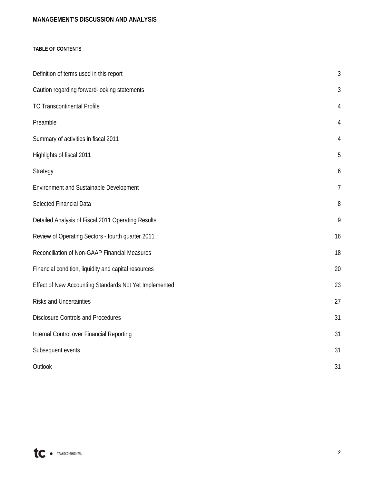## TABLE OF CONTENTS

| Definition of terms used in this report                | 3              |
|--------------------------------------------------------|----------------|
| Caution regarding forward-looking statements           | 3              |
| TC Transcontinental Profile                            | 4              |
| Preamble                                               | 4              |
| Summary of activities in fiscal 2011                   | 4              |
| Highlights of fiscal 2011                              | 5              |
| Strategy                                               | 6              |
| Environment and Sustainable Development                | $\overline{7}$ |
| Selected Financial Data                                | 8              |
| Detailed Analysis of Fiscal 2011 Operating Results     | 9              |
| Review of Operating Sectors - fourth quarter 2011      | 16             |
| Reconciliation of Non-GAAP Financial Measures          | 18             |
| Financial condition, liquidity and capital resources   | 20             |
| Effect of New Accounting Standards Not Yet Implemented | 23             |
| Risks and Uncertainties                                | 27             |
| <b>Disclosure Controls and Procedures</b>              | 31             |
| Internal Control over Financial Reporting              | 31             |
| Subsequent events                                      | 31             |
| Outlook                                                | 31             |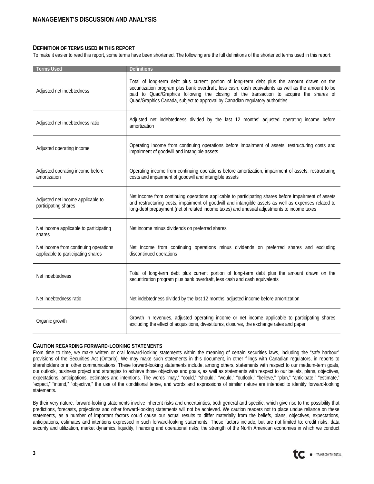#### **DEFINITION OF TERMS USED IN THIS REPORT**

To make it easier to read this report, some terms have been shortened. The following are the full definitions of the shortened terms used in this report:

| <b>Terms Used</b>                                                           | <b>Definitions</b>                                                                                                                                                                                                                                                                                                                                                            |
|-----------------------------------------------------------------------------|-------------------------------------------------------------------------------------------------------------------------------------------------------------------------------------------------------------------------------------------------------------------------------------------------------------------------------------------------------------------------------|
| Adjusted net indebtedness                                                   | Total of long-term debt plus current portion of long-term debt plus the amount drawn on the<br>securitization program plus bank overdraft, less cash, cash equivalents as well as the amount to be<br>paid to Quad/Graphics following the closing of the transaction to acquire the shares of<br>Quad/Graphics Canada, subject to approval by Canadian regulatory authorities |
| Adjusted net indebtedness ratio                                             | Adjusted net indebtedness divided by the last 12 months' adjusted operating income before<br>amortization                                                                                                                                                                                                                                                                     |
| Adjusted operating income                                                   | Operating income from continuing operations before impairment of assets, restructuring costs and<br>impairment of goodwill and intangible assets                                                                                                                                                                                                                              |
| Adjusted operating income before<br>amortization                            | Operating income from continuing operations before amortization, impairment of assets, restructuring<br>costs and impairment of goodwill and intangible assets                                                                                                                                                                                                                |
| Adjusted net income applicable to<br>participating shares                   | Net income from continuing operations applicable to participating shares before impairment of assets<br>and restructuring costs, impairment of goodwill and intangible assets as well as expenses related to<br>long-debt prepayment (net of related income taxes) and unusual adjustments to income taxes                                                                    |
| Net income applicable to participating<br>shares                            | Net income minus dividends on preferred shares                                                                                                                                                                                                                                                                                                                                |
| Net income from continuing operations<br>applicable to participating shares | Net income from continuing operations minus dividends on preferred shares and excluding<br>discontinued operations                                                                                                                                                                                                                                                            |
| Net indebtedness                                                            | Total of long-term debt plus current portion of long-term debt plus the amount drawn on the<br>securitization program plus bank overdraft, less cash and cash equivalents                                                                                                                                                                                                     |
| Net indebtedness ratio                                                      | Net indebtedness divided by the last 12 months' adjusted income before amortization                                                                                                                                                                                                                                                                                           |
| Organic growth                                                              | Growth in revenues, adjusted operating income or net income applicable to participating shares<br>excluding the effect of acquisitions, divestitures, closures, the exchange rates and paper                                                                                                                                                                                  |

#### **CAUTION REGARDING FORWARD-LOOKING STATEMENTS**

From time to time, we make written or oral forward-looking statements within the meaning of certain securities laws, including the "safe harbour" provisions of the Securities Act (Ontario). We may make such statements in this document, in other filings with Canadian regulators, in reports to shareholders or in other communications. These forward-looking statements include, among others, statements with respect to our medium-term goals, our outlook, business project and strategies to achieve those objectives and goals, as well as statements with respect to our beliefs, plans, objectives, expectations, anticipations, estimates and intentions. The words "may," "could," "should," "would," "outlook," "believe," "plan," "anticipate," "estimate," "expect," "intend," "objective," the use of the conditional tense, and words and expressions of similar nature are intended to identify forward-looking statements.

By their very nature, forward-looking statements involve inherent risks and uncertainties, both general and specific, which give rise to the possibility that predictions, forecasts, projections and other forward-looking statements will not be achieved. We caution readers not to place undue reliance on these statements, as a number of important factors could cause our actual results to differ materially from the beliefs, plans, objectives, expectations, anticipations, estimates and intentions expressed in such forward-looking statements. These factors include, but are not limited to: credit risks, data security and utilization, market dynamics, liquidity, financing and operational risks; the strength of the North American economies in which we conduct

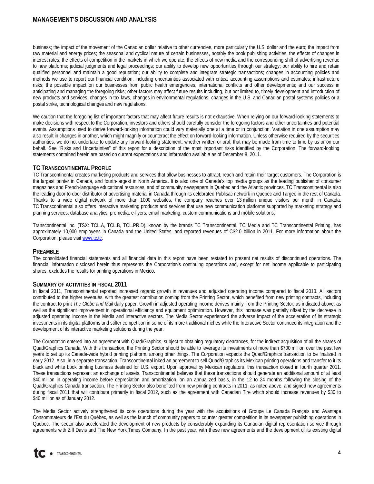business; the impact of the movement of the Canadian dollar relative to other currencies, more particularly the U.S. dollar and the euro; the impact from raw material and energy prices; the seasonal and cyclical nature of certain businesses, notably the book publishing activities, the effects of changes in interest rates; the effects of competition in the markets in which we operate; the effects of new media and the corresponding shift of advertising revenue to new platforms; judicial judgments and legal proceedings; our ability to develop new opportunities through our strategy; our ability to hire and retain qualified personnel and maintain a good reputation; our ability to complete and integrate strategic transactions; changes in accounting policies and methods we use to report our financial condition, including uncertainties associated with critical accounting assumptions and estimates; infrastructure risks; the possible impact on our businesses from public health emergencies, international conflicts and other developments; and our success in anticipating and managing the foregoing risks; other factors may affect future results including, but not limited to, timely development and introduction of new products and services, changes in tax laws, changes in environmental regulations, changes in the U.S. and Canadian postal systems policies or a postal strike, technological changes and new regulations.

We caution that the foregoing list of important factors that may affect future results is not exhaustive. When relying on our forward-looking statements to make decisions with respect to the Corporation, investors and others should carefully consider the foregoing factors and other uncertainties and potential events. Assumptions used to derive forward-looking information could vary materially one at a time or in conjunction. Variation in one assumption may also result in changes in another, which might magnify or counteract the effect on forward-looking information. Unless otherwise required by the securities authorities, we do not undertake to update any forward-looking statement, whether written or oral, that may be made from time to time by us or on our behalf. See "Risks and Uncertainties" of this report for a description of the most important risks identified by the Corporation. The forward-looking statements contained herein are based on current expectations and information available as of December 8, 2011.

#### **TC TRANSCONTINENTAL PROFILE**

TC Transcontinental creates marketing products and services that allow businesses to attract, reach and retain their target customers. The Corporation is the largest printer in Canada, and fourth-largest in North America. It is also one of Canada's top media groups as the leading publisher of consumer magazines and French-language educational resources, and of community newspapers in Quebec and the Atlantic provinces. TC Transcontinental is also the leading door-to-door distributor of advertising material in Canada through its celebrated Publisac network in Quebec and Targeo in the rest of Canada. Thanks to a wide digital network of more than 1000 websites, the company reaches over 13 million unique visitors per month in Canada. TC Transcontinental also offers interactive marketing products and services that use new communication platforms supported by marketing strategy and planning services, database analytics, premedia, e-flyers, email marketing, custom communications and mobile solutions.

Transcontinental Inc. (TSX: TCL.A, TCL.B, TCL.PR.D), known by the brands TC Transcontinental, TC Media and TC Transcontinental Printing, has approximately 10,000 employees in Canada and the United States, and reported revenues of C\$2.0 billion in 2011. For more information about the Corporation, please visit www.tc.tc.

#### **P PREAMBLE**

The consolidated financial statements and all financial data in this report have been restated to present net results of discontinued operations. The financial information disclosed herein thus represents the Corporation's continuing operations and, except for net income applicable to participating shares, excludes the results for printing operations in Mexico.

#### SUMMARY OF ACTIVITIES IN FISCAL 2011

In fiscal 2011, Transcontinental reported increased organic growth in revenues and adjusted operating income compared to fiscal 2010. All sectors contributed to the higher revenues, with the greatest contribution coming from the Printing Sector, which benefited from new printing contracts, including the contract to print The Globe and Mail daily paper. Growth in adjusted operating income derives mainly from the Printing Sector, as indicated above, as well as the significant improvement in operational efficiency and equipment optimization. However, this increase was partially offset by the decrease in adjusted operating income in the Media and Interactive sectors. The Media Sector experienced the adverse impact of the acceleration of its strategic investments in its digital platforms and stiffer competition in some of its more traditional niches while the Interactive Sector continued its integration and the development of its interactive marketing solutions during the year.

The Corporation entered into an agreement with Quad/Graphics, subject to obtaining regulatory clearances, for the indirect acquisition of all the shares of Quad/Graphics Canada. With this transaction, the Printing Sector should be able to leverage its investments of more than \$700 million over the past few years to set up its Canada-wide hybrid printing platform, among other things. The Corporation expects the Quad/Graphics transaction to be finalized in early 2012. Also, in a separate transaction, Transcontinental inked an agreement to sell Quad/Graphics its Mexican printing operations and transfer to it its black and white book printing business destined for U.S. export. Upon approval by Mexican regulators, this transaction closed in fourth quarter 2011. These transactions represent an exchange of assets. Transcontinental believes that these transactions should generate an additional amount of at least \$40 million in operating income before depreciation and amortization, on an annualized basis, in the 12 to 24 months following the closing of the Quad/Graphics Canada transaction. The Printing Sector also benefited from new printing contracts in 2011, as noted above, and signed new agreements during fiscal 2011 that will contribute primarily in fiscal 2012, such as the agreement with Canadian Tire which should increase revenues by \$30 to \$40 million as of January 2012.

The Media Sector actively strengthened its core operations during the year with the acquisitions of Groupe Le Canada Français and Avantage Consommateurs de l'Est du Québec, as well as the launch of community papers to counter greater competition in its newspaper publishing operations in Quebec. The sector also accelerated the development of new products by considerably expanding its Canadian digital representation service through agreements with Ziff Davis and The New York Times Company. In the past year, with these new agreements and the development of its existing digital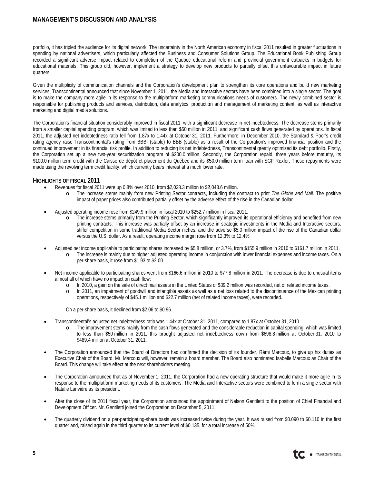portfolio, it has tripled the audience for its digital network. The uncertainty in the North American economy in fiscal 2011 resulted in greater fluctuations in spending by national advertisers, which particularly affected the Business and Consumer Solutions Group. The Educational Book Publishing Group recorded a significant adverse impact related to completion of the Quebec educational reform and provincial government cutbacks in budgets for educational materials. This group did, however, implement a strategy to develop new products to partially offset this unfavourable impact in future q quarters.

Given the multiplicity of communication channels and the Corporation's development plan to strengthen its core operations and build new marketing services, Transcontinental announced that since November 1, 2011, the Media and Interactive sectors have been combined into a single sector. The goal is to make the company more agile in its response to the multiplatform marketing communications needs of customers. The newly combined sector is responsible for publishing products and services, distribution, data analytics, production and management of marketing content, as well as interactive marketing and digital media solutions.

The Corporation's financial situation considerably improved in fiscal 2011, with a significant decrease in net indebtedness. The decrease stems primarily from a smaller capital spending program, which was limited to less than \$50 million in 2011, and significant cash flows generated by operations. In fiscal 2011, the adjusted net indebtedness ratio fell from 1.87x to 1.44x at October 31, 2011. Furthermore, in December 2010, the Standard & Poor's credit rating agency raise Transcontinental's rating from BBB- (stable) to BBB (stable) as a result of the Corporation's improved financial position and the continued improvement in its financial risk profile. In addition to reducing its net indebtedness, Transcontinental greatly optimized its debt portfolio. Firstly, the Corporation set up a new two-year securitization program of \$200.0 million. Secondly, the Corporation repaid, three years before maturity, its \$100.0 million term credit with the Caisse de dépôt et placement du Québec and its \$50.0 million term loan with SGF Rexfor. These repayments were made using the revolving term credit facility, which currently bears interest at a much lower rate.

#### **H HIGHLIGHTS OF FISCAL 2011**

- Revenues for fiscal 2011 were up 0.8% over 2010, from \$2,028.3 million to \$2,043.6 million.
	- o The increase stems mainly from new Printing Sector contracts, including the contract to print *The Globe and Mail*. The positive impact of paper prices also contributed partially offset by the adverse effect of the rise in the Canadian dollar.
- Adjusted operating income rose from \$249.9 million in fiscal 2010 to \$252.7 million in fiscal 2011.
	- o The increase stems primarily from the Printing Sector, which significantly improved its operational efficiency and benefited from new printing contracts. This increase was partially offset by an increase in strategic investments in the Media and Interactive sectors, stiffer competition in some traditional Media Sector niches, and the adverse \$5.0 million impact of the rise of the Canadian dollar versus the U.S. dollar. As a result, operating income margin rose from 12.3% to 12.4%.
- Adjusted net income applicable to participating shares increased by \$5.8 million, or 3.7%, from \$155.9 million in 2010 to \$161.7 million in 2011.
	- o The increase is mainly due to higher adjusted operating income in conjunction with lower financial expenses and income taxes. On a per-share basis, it rose from \$1.93 to \$2.00.
- Net income applicable to participating shares went from \$166.6 million in 2010 to \$77.8 million in 2011. The decrease is due to unusual items almost all of which have no impact on cash flow:
	- o In 2010, a gain on the sale of direct mail assets in the United States of \$39.2 million was recorded, net of related income taxes.
	- o In 2011, an impairment of goodwill and intangible assets as well as a net loss related to the discontinuance of the Mexican printing operations, respectively of \$45.1 million and \$22.7 million (net of related income taxes), were recorded.

On a per-share basis, it declined from \$2.06 to \$0.96.

- Transcontinental's adjusted net indebtedness ratio was 1.44x at October 31, 2011, compared to 1.87x at October 31, 2010.
	- o The improvement stems mainly from the cash flows generated and the considerable reduction in capital spending, which was limited to less than \$50 million in 2011; this brought adjusted net indebtedness down from \$698.8 million at October 31, 2010 to \$489.4 million at October 31, 2011.
- The Corporation announced that the Board of Directors had confirmed the decision of its founder, Rémi Marcoux, to give up his duties as Executive Chair of the Board. Mr. Marcoux will, however, remain a board member. The Board also nominated Isabelle Marcoux as Chair of the Board. This change will take effect at the next shareholders meeting.
- The Corporation announced that as of November 1, 2011, the Corporation had a new operating structure that would make it more agile in its response to the multiplatform marketing needs of its customers. The Media and Interactive sectors were combined to form a single sector with Natalie Larivière as its president.
- After the close of its 2011 fiscal year, the Corporation announced the appointment of Nelson Gentiletti to the position of Chief Financial and Development Officer. Mr. Gentiletti joined the Corporation on December 5, 2011.
- The quarterly dividend on a per-participating-share basis was increased twice during the year. It was raised from \$0.090 to \$0.110 in the first quarter and, raised again in the third quarter to its current level of \$0.135, for a total increase of 50%.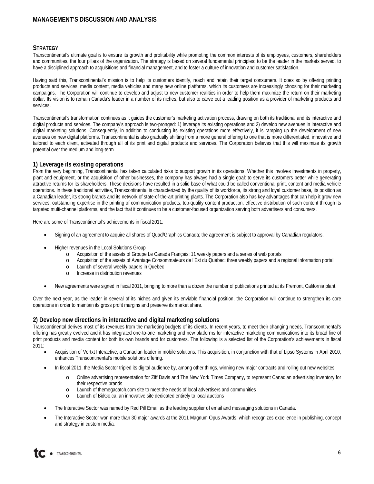#### **STRATEGY**

Transcontinental's ultimate goal is to ensure its growth and profitability while promoting the common interests of its employees, customers, shareholders and communities, the four pillars of the organization. The strategy is based on several fundamental principles: to be the leader in the markets served, to have a disciplined approach to acquisitions and financial management, and to foster a culture of innovation and customer satisfaction.

Having said this, Transcontinental's mission is to help its customers identify, reach and retain their target consumers. It does so by offering printing products and services, media content, media vehicles and many new online platforms, which its customers are increasingly choosing for their marketing campaigns. The Corporation will continue to develop and adjust to new customer realities in order to help them maximize the return on their marketing dollar. Its vision is to remain Canada's leader in a number of its niches, but also to carve out a leading position as a provider of marketing products and services.

Transcontinental's transformation continues as it guides the customer's marketing activation process, drawing on both its traditional and its interactive and digital products and services. The company's approach is two-pronged: 1) leverage its existing operations and 2) develop new avenues in interactive and digital marketing solutions. Consequently, in addition to conducting its existing operations more effectively, it is ramping up the development of new avenues on new digital platforms. Transcontinental is also gradually shifting from a more general offering to one that is more differentiated, innovative and tailored to each client, activated through all of its print and digital products and services. The Corporation believes that this will maximize its growth potential over the medium and long-term.

#### 1) Leverage its existing operations

From the very beginning, Transcontinental has taken calculated risks to support growth in its operations. Whether this involves investments in property, plant and equipment, or the acquisition of other businesses, the company has always had a single goal: to serve its customers better while generating attractive returns for its shareholders. These decisions have resulted in a solid base of what could be called conventional print, content and media vehicle operations. In these traditional activities, Transcontinental is characterized by the quality of its workforce, its strong and loyal customer base, its position as a Canadian leader, its strong brands and its network of state-of-the-art printing plants. The Corporation also has key advantages that can help it grow new services: outstanding expertise in the printing of communication products, top-quality content production, effective distribution of such content through its targeted multi-channel platforms, and the fact that it continues to be a customer-focused organization serving both advertisers and consumers.

Here are some of Transcontinental's achievements in fiscal 2011:

- Signing of an agreement to acquire all shares of Quad/Graphics Canada; the agreement is subject to approval by Canadian regulators.
- Higher revenues in the Local Solutions Group
	- Acquisition of the assets of Groupe Le Canada Français: 11 weekly papers and a series of web portals  $\circ$
	- Acquisition of the assets of Avantage Consommateurs de l'Est du Québec: three weekly papers and a regional information portal  $\circ$
	- Launch of several weekly papers in Quebec  $\circ$
	- Increase in distribution revenues  $\Omega$
- New agreements were signed in fiscal 2011, bringing to more than a dozen the number of publications printed at its Fremont, California plant.

Over the next year, as the leader in several of its niches and given its enviable financial position, the Corporation will continue to strengthen its core operations in order to maintain its gross profit margins and preserve its market share.

#### 2) Develop new directions in interactive and digital marketing solutions

Transcontinental derives most of its revenues from the marketing budgets of its clients. In recent years, to meet their changing needs, Transcontinental's offering has greatly evolved and it has integrated one-to-one marketing and new platforms for interactive marketing communications into its broad line of print products and media content for both its own brands and for customers. The following is a selected list of the Corporation's achievements in fiscal  $2011:$ 

- Acquisition of Vortxt Interactive, a Canadian leader in mobile solutions. This acquisition, in conjunction with that of Lipso Systems in April 2010, enhances Transcontinental's mobile solutions offering
- In fiscal 2011, the Media Sector tripled its digital audience by, among other things, winning new major contracts and rolling out new websites:
	- Online advertising representation for Ziff Davis and The New York Times Company, to represent Canadian advertising inventory for  $\circ$ their respective brands
	- Launch of themegacatch.com site to meet the needs of local advertisers and communities  $\circ$
	- Launch of BidGo.ca, an innovative site dedicated entirely to local auctions  $\Omega$
- The Interactive Sector was named by Red Pill Email as the leading supplier of email and messaging solutions in Canada.
- The Interactive Sector won more than 30 major awards at the 2011 Magnum Opus Awards, which recognizes excellence in publishing, concept and strategy in custom media.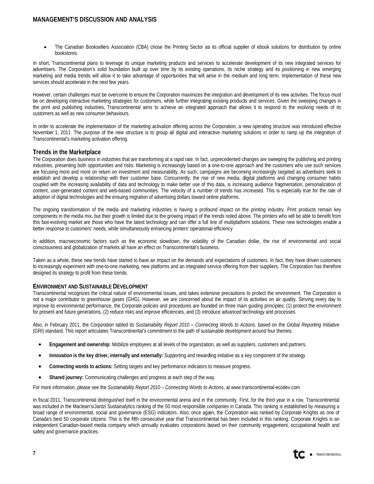The Canadian Booksellers Association (CBA) chose the Printing Sector as its official supplier of ebook solutions for distribution by online bookstores.

In short, Transcontinental plans to leverage its unique marketing products and services to accelerate development of its new integrated services for advertisers. The Corporation's solid foundation built up over time by its existing operations, its niche strategy and its positioning in new emerging marketing and media trends will allow it to take advantage of opportunities that will arise in the medium and long term. Implementation of these new services should accelerate in the next few years.

However, certain challenges must be overcome to ensure the Corporation maximizes the integration and development of its new activities. The focus must be on developing interactive marketing strategies for customers, while further integrating existing products and services. Given the sweeping changes in the print and publishing industries, Transcontinental aims to achieve an integrated approach that allows it to respond to the evolving needs of its customers as well as new consumer behaviours.

In order to accelerate the implementation of the marketing activation offering across the Corporation, a new operating structure was introduced effective November 1, 2011. The purpose of the new structure is to group all digital and interactive marketing solutions in order to ramp up the integration of Transcontinental's marketing activation offering.

#### **Trends in the Marketplace**

The Corporation does business in industries that are transforming at a rapid rate. In fact, unprecedented changes are sweeping the publishing and printing industries, presenting both opportunities and risks. Marketing is increasingly based on a one-to-one approach and the customers who use such services are focusing more and more on return on investment and measurability. As such, campaigns are becoming increasingly targeted as advertisers seek to establish and develop a relationship with their customer base. Concurrently, the rise of new media, digital platforms and changing consumer habits coupled with the increasing availability of data and technology to make better use of this data, is increasing audience fragmentation, personalization of content, user-generated content and web-based communities. The velocity of a number of trends has increased. This is especially true for the rate of adoption of digital technologies and the ensuing migration of advertising dollars toward online platforms.

The ongoing transformation of the media and marketing industries is having a profound impact on the printing industry. Print products remain key components in the media mix, but their growth is limited due to the growing impact of the trends noted above. The printers who will be able to benefit from this fast-evolving market are those who have the latest technology and can offer a full line of multiplatform solutions. These new technologies enable a better response to customers' needs, while simultaneously enhancing printers' operational efficiency

In addition, macroeconomic factors such as the economic slowdown, the volatility of the Canadian dollar, the rise of environmental and social consciousness and globalization of markets all have an effect on Transcontinental's business.

Taken as a whole, these new trends have started to have an impact on the demands and expectations of customers. In fact, they have driven customers to increasingly experiment with one-to-one marketing, new platforms and an integrated service offering from their suppliers. The Corporation has therefore designed its strategy to profit from these trends.

#### **ENVIRONMENT AND SUSTAINABLE DEVELOPMENT**

Transcontinental recognizes the critical nature of environmental issues, and takes extensive precautions to protect the environment. The Corporation is not a major contributor to greenhouse gases (GHG). However, we are concerned about the impact of its activities on air quality. Striving every day to improve its environmental performance, the Corporate policies and procedures are founded on three main guiding principles: (1) protect the environment for present and future generations, (2) reduce risks and improve efficiencies, and (3) introduce advanced technology and processes.

Also. in Februarv 2011, the Corporation tabled its Sustainability Report 2010 - Connecting Words to Actions, based on the Global Reporting Initiative (GRI) standard. This report articulates Transcontinental's commitment to the path of sustainable development around four themes:

- Engagement and ownership: Mobilize employees at all levels of the organization, as well as suppliers, customers and partners.
- Innovation is the key driver, internally and externally: Supporting and rewarding initiative as a key component of the strategy
- Connecting words to actions: Setting targets and key performance indicators to measure progress.  $\bullet$
- Shared journey: Communicating challenges and progress at each step of the way.

For more information, please see the Sustainability Report 2010 - Connecting Words to Actions, at www.transcontinental-ecodev.com

In fiscal 2011, Transcontinental distinguished itself in the environmental arena and in the community. First, for the third year in a row, Transcontinental was included in the Maclean's/Jantzi Sustainalytics ranking of the 50 most responsible companies in Canada. This ranking is established by measuring a broad range of environmental, social and governance (ESG) indicators. Also, once again, the Corporation was ranked by Corporate Knights as one of Canada's best 50 corporate citizens. This is the fifth consecutive year that Transcontinental has been included in this ranking. Corporate Knights is an independent Canadian-based media company which annually evaluates corporations based on their community engagement, occupational health and safety and governance practices.

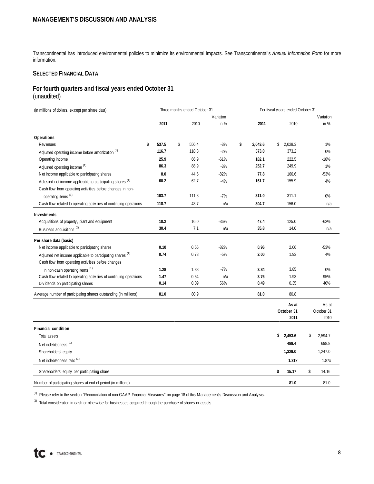Transcontinental has introduced environmental policies to minimize its environmental impacts. See Transcontinental's Annual Information Form for more information.

## **SELECTED FINANCIAL DATA**

## For fourth quarters and fiscal years ended October 31

(unaudited)

| (in millions of dollars, except per share data)                                                                                     |       | Three months ended October 31 |           | For fiscal years ended October 31 |         |    |                             |    |                             |
|-------------------------------------------------------------------------------------------------------------------------------------|-------|-------------------------------|-----------|-----------------------------------|---------|----|-----------------------------|----|-----------------------------|
|                                                                                                                                     |       |                               | Variation |                                   |         |    |                             |    | Variation                   |
|                                                                                                                                     | 2011  | 2010                          | in $%$    |                                   | 2011    |    | 2010                        |    | in $%$                      |
| Operations                                                                                                                          |       |                               |           |                                   |         |    |                             |    |                             |
| Rev enues<br>\$                                                                                                                     | 537.5 | \$<br>556.4                   | $-3%$     | \$                                | 2,043.6 | \$ | 2,028.3                     |    | 1%                          |
| Adjusted operating income before amortization <sup>(1)</sup>                                                                        | 116.7 | 118.8                         | $-2%$     |                                   | 373.0   |    | 373.2                       |    | 0%                          |
| Operating income                                                                                                                    | 25.9  | 66.9                          | $-61%$    |                                   | 182.1   |    | 222.5                       |    | $-18%$                      |
| Adjusted operating income <sup>(1)</sup>                                                                                            | 86.3  | 88.9                          | $-3%$     |                                   | 252.7   |    | 249.9                       |    | 1%                          |
| Net income applicable to participating shares                                                                                       | 8.0   | 44.5                          | $-82%$    |                                   | 77.8    |    | 166.6                       |    | $-53%$                      |
| Adjusted net income applicable to participating shares <sup>(1)</sup><br>Cash flow from operating activities before changes in non- | 60.2  | 62.7                          | $-4%$     |                                   | 161.7   |    | 155.9                       |    | 4%                          |
| operating items <sup>(1)</sup>                                                                                                      | 103.7 | 111.8                         | $-7%$     |                                   | 311.0   |    | 311.1                       |    | 0%                          |
| Cash flow related to operating activities of continuing operations                                                                  | 118.7 | 43.7                          | n/a       |                                   | 304.7   |    | 156.0                       |    | n/a                         |
| Investments                                                                                                                         |       |                               |           |                                   |         |    |                             |    |                             |
| Acquisitions of property, plant and equipment                                                                                       | 10.2  | 16.0                          | $-36%$    |                                   | 47.4    |    | 125.0                       |    | $-62%$                      |
| Business acquisitions <sup>(2)</sup>                                                                                                | 30.4  | 7.1                           | n/a       |                                   | 35.8    |    | 14.0                        |    | n/a                         |
| Per share data (basic)                                                                                                              |       |                               |           |                                   |         |    |                             |    |                             |
| Net income applicable to participating shares                                                                                       | 0.10  | 0.55                          | $-82%$    |                                   | 0.96    |    | 2.06                        |    | $-53%$                      |
| Adjusted net income applicable to participating shares <sup>(1)</sup>                                                               | 0.74  | 0.78                          | $-5%$     |                                   | 2.00    |    | 1.93                        |    | 4%                          |
| Cash flow from operating activities before changes                                                                                  |       |                               |           |                                   |         |    |                             |    |                             |
| in non-cash operating items <sup>(1)</sup>                                                                                          | 1.28  | 1.38                          | $-7%$     |                                   | 3.84    |    | 3.85                        |    | 0%                          |
| Cash flow related to operating activities of continuing operations                                                                  | 1.47  | 0.54                          | n/a       |                                   | 3.76    |    | 1.93                        |    | 95%                         |
| Dividends on participating shares                                                                                                   | 0.14  | 0.09                          | 56%       |                                   | 0.49    |    | 0.35                        |    | 40%                         |
| Average number of participating shares outstanding (in millions)                                                                    | 81.0  | 80.9                          |           |                                   | 81.0    |    | 80.8                        |    |                             |
|                                                                                                                                     |       |                               |           |                                   |         |    | As at<br>October 31<br>2011 |    | As at<br>October 31<br>2010 |
| <b>Financial condition</b>                                                                                                          |       |                               |           |                                   |         |    |                             |    |                             |
| Total assets                                                                                                                        |       |                               |           |                                   |         | \$ | 2,453.6                     | \$ | 2,594.7                     |
| Net indebtedness <sup>(1)</sup>                                                                                                     |       |                               |           |                                   |         |    | 489.4                       |    | 698.8                       |
| Shareholders' equity                                                                                                                |       |                               |           |                                   |         |    | 1,329.0                     |    | 1,247.0                     |
| Net indebtedness ratio <sup>(1)</sup>                                                                                               |       |                               |           |                                   |         |    | 1.31x                       |    | 1.87x                       |
| Shareholders' equity per participating share                                                                                        |       |                               |           |                                   |         | \$ | 15.17                       | \$ | 14.16                       |
| Number of participating shares at end of period (in millions)                                                                       |       |                               |           |                                   |         |    | 81.0                        |    | 81.0                        |

<sup>(1)</sup> Please refer to the section "Reconciliation of non-GAAP Financial Measures" on page 18 of this Management's Discussion and Analysis.

(2) Total consideration in cash or otherwise for businesses acquired through the purchase of shares or assets.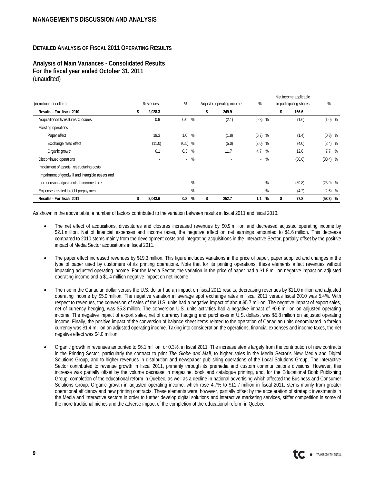#### **DETAILED ANALYSIS OF FISCAL 2011 OPERATING RESULTS**

Analysis of Main Variances - Consolidated Results For the fiscal year ended October 31, 2011 (unaudited)

|                                                  |    |          |           |   |                           |           |   | Net income applicable   |            |   |
|--------------------------------------------------|----|----------|-----------|---|---------------------------|-----------|---|-------------------------|------------|---|
| (in millions of dollars)                         |    | Revenues | %         |   | Adjusted operating income | %         |   | to participating shares | %          |   |
| Results - For fiscal 2010                        | S  | 2,028.3  |           |   | \$<br>249.9               |           |   | \$<br>166.6             |            |   |
| Acquisitions/Divestitures/Closures               |    | 0.9      | 0.0       | % | (2.1)                     | $(0.8)$ % |   | (1.6)                   | $(1.0)$ %  |   |
| Existing operations                              |    |          |           |   |                           |           |   |                         |            |   |
| Paper effect                                     |    | 19.3     | 1.0%      |   | (1.8)                     | $(0.7)$ % |   | (1.4)                   | $(0.8)$ %  |   |
| Exchange rates effect                            |    | (11.0)   | $(0.5)$ % |   | (5.0)                     | $(2.0)$ % |   | (4.0)                   | $(2.4)$ %  |   |
| Organic growth                                   |    | 6.1      | 0.3       | % | 11.7                      | 4.7       | % | 12.8                    | 7.7        | % |
| Discontinued operations                          |    |          | $\sim$    | % | ٠                         | $\sim$    | % | (50.6)                  | $(30.4)$ % |   |
| Impairment of assets, restructuring costs        |    |          |           |   |                           |           |   |                         |            |   |
| impairment of goodwill and intangible assets and |    |          |           |   |                           |           |   |                         |            |   |
| and unusual adjustments to income taxes          |    |          | $\sim$    | % | ٠                         | $\sim$    | % | (39.8)                  | $(23.9)$ % |   |
| Expenses related to debt prepayment              |    |          | $\sim$    | % | ٠                         | $\sim$    | % | (4.2)                   | $(2.5)$ %  |   |
| Results - For fiscal 2011                        | \$ | 2.043.6  | 0.8       | % | \$<br>252.7               | 1.1       | % | \$<br>77.8              | $(53.3)$ % |   |

As shown in the above table, a number of factors contributed to the variation between results in fiscal 2011 and fiscal 2010.

- The net effect of acquisitions, divestitures and closures increased revenues by \$0.9 million and decreased adjusted operating income by \$2.1 million. Net of financial expenses and income taxes, the negative effect on net earnings amounted to \$1.6 million. This decrease compared to 2010 stems mainly from the development costs and integrating acquisitions in the Interactive Sector, partially offset by the positive impact of Media Sector acquisitions in fiscal 2011.
- The paper effect increased revenues by \$19.3 million. This figure includes variations in the price of paper, paper supplied and changes in the type of paper used by customers of its printing operations. Note that for its printing operations, these elements affect revenues without impacting adjusted operating income. For the Media Sector, the variation in the price of paper had a \$1.8 million negative impact on adjusted operating income and a \$1.4 million negative impact on net income.
- The rise in the Canadian dollar versus the U.S. dollar had an impact on fiscal 2011 results, decreasing revenues by \$11.0 million and adjusted operating income by \$5.0 million. The negative variation in average spot exchange rates in fiscal 2011 versus fiscal 2010 was 5.4%. With respect to revenues, the conversion of sales of the U.S. units had a negative impact of about \$5.7 million. The negative impact of export sales, net of currency hedging, was \$5.3 million. The conversion U.S. units activities had a negative impact of \$0.6 million on adjusted operating income. The negative impact of export sales, net of currency hedging and purchases in U.S. dollars, was \$5.8 million on adjusted operating income. Finally, the positive impact of the conversion of balance sheet items related to the operation of Canadian units denominated in foreign currency was \$1.4 million on adjusted operating income. Taking into consideration the operations, financial expenses and income taxes, the net negative effect was \$4.0 million.
- Organic growth in revenues amounted to \$6.1 million, or 0.3%, in fiscal 2011. The increase stems largely from the contribution of new contracts in the Printing Sector, particularly the contract to print The Globe and Mail, to higher sales in the Media Sector's New Media and Digital Solutions Group, and to higher revenues in distribution and newspaper publishing operations of the Local Solutions Group. The Interactive Sector contributed to revenue growth in fiscal 2011, primarily through its premedia and custom communications divisions. However, this increase was partially offset by the volume decrease in magazine, book and catalogue printing, and, for the Educational Book Publishing Group, completion of the educational reform in Quebec, as well as a decline in national advertising which affected the Business and Consumer Solutions Group. Organic growth in adjusted operating income, which rose 4.7% to \$11.7 million in fiscal 2011, stems mainly from greater operational efficiency and new printing contracts. These elements were, however, partially offset by the acceleration of strategic investments in the Media and Interactive sectors in order to further develop digital solutions and interactive marketing services, stiffer competition in some of the more traditional niches and the adverse impact of the completion of the educational reform in Quebec.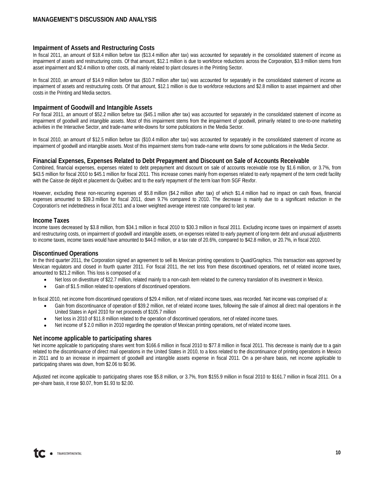#### **Impairment of Assets and Restructuring Costs**

In fiscal 2011, an amount of \$18.4 million before tax (\$13.4 million after tax) was accounted for separately in the consolidated statement of income as impairment of assets and restructuring costs. Of that amount, \$12.1 million is due to workforce reductions across the Corporation, \$3.9 million stems from asset impairment and \$2.4 million to other costs, all mainly related to plant closures in the Printing Sector.

In fiscal 2010, an amount of \$14.9 million before tax (\$10.7 million after tax) was accounted for separately in the consolidated statement of income as impairment of assets and restructuring costs. Of that amount, \$12.1 million is due to workforce reductions and \$2.8 million to asset impairment and other costs in the Printing and Media sectors.

#### **Impairment of Goodwill and Intangible Assets**

For fiscal 2011, an amount of \$52.2 million before tax (\$45.1 million after tax) was accounted for separately in the consolidated statement of income as impairment of goodwill and intangible assets. Most of this impairment stems from the impairment of goodwill, primarily related to one-to-one marketing activities in the Interactive Sector, and trade-name write-downs for some publications in the Media Sector.

In fiscal 2010, an amount of \$12.5 million before tax (\$10.4 million after tax) was accounted for separately in the consolidated statement of income as impairment of goodwill and intangible assets. Most of this impairment stems from trade-name write downs for some publications in the Media Sector.

#### Financial Expenses, Expenses Related to Debt Prepayment and Discount on Sale of Accounts Receivable

Combined, financial expenses, expenses related to debt prepayment and discount on sale of accounts receivable rose by \$1.6 million, or 3.7%, from \$43.5 million for fiscal 2010 to \$45.1 million for fiscal 2011. This increase comes mainly from expenses related to early repayment of the term credit facility with the Caisse de dépôt et placement du Québec and to the early repayment of the term loan from SGF Rexfor.

However, excluding these non-recurring expenses of \$5.8 million (\$4.2 million after tax) of which \$1.4 million had no impact on cash flows, financial expenses amounted to \$39.3 million for fiscal 2011, down 9.7% compared to 2010. The decrease is mainly due to a significant reduction in the Corporation's net indebtedness in fiscal 2011 and a lower weighted average interest rate compared to last year.

#### **Income Taxes**

Income taxes decreased by \$3.8 million, from \$34.1 million in fiscal 2010 to \$30.3 million in fiscal 2011. Excluding income taxes on impairment of assets and restructuring costs, on impairment of goodwill and intangible assets, on expenses related to early payment of long-term debt and unusual adjustments to income taxes, income taxes would have amounted to \$44.0 million, or a tax rate of 20.6%, compared to \$42.8 million, or 20.7%, in fiscal 2010.

#### **Discontinued Operations**

In the third quarter 2011, the Corporation signed an agreement to sell its Mexican printing operations to Quad/Graphics. This transaction was approved by Mexican requlators and closed in fourth quarter 2011. For fiscal 2011, the net loss from these discontinued operations, net of related income taxes, amounted to \$21.2 million. This loss is composed of a:

- Net loss on divestiture of \$22.7 million, related mainly to a non-cash item related to the currency translation of its investment in Mexico.
- Gain of \$1.5 million related to operations of discontinued operations.

In fiscal 2010, net income from discontinued operations of \$29.4 million, net of related income taxes, was recorded. Net income was comprised of a:

- Gain from discontinuance of operation of \$39.2 million, net of related income taxes, following the sale of almost all direct mail operations in the United States in April 2010 for net proceeds of \$105.7 million
- Net loss in 2010 of \$11.8 million related to the operation of discontinued operations, net of related income taxes.
- Net income of \$2.0 million in 2010 regarding the operation of Mexican printing operations, net of related income taxes.

#### Net income applicable to participating shares

Net income applicable to participating shares went from \$166.6 million in fiscal 2010 to \$77.8 million in fiscal 2011. This decrease is mainly due to a gain related to the discontinuance of direct mail operations in the United States in 2010, to a loss related to the discontinuance of printing operations in Mexico in 2011 and to an increase in impairment of goodwill and intangible assets expense in fiscal 2011. On a per-share basis, net income applicable to participating shares was down, from \$2.06 to \$0.96.

Adjusted net income applicable to participating shares rose \$5.8 million, or 3.7%, from \$155.9 million in fiscal 2010 to \$161.7 million in fiscal 2011. On a per-share basis, it rose \$0.07, from \$1.93 to \$2.00.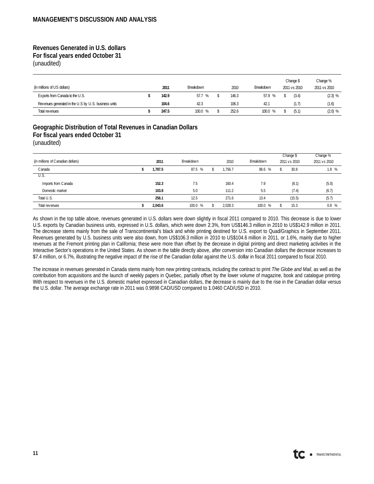#### Revenues Generated in U.S. dollars For fiscal years ended October 31 (unaudited)

| (in millions of US dollars)                          | 2011  | <b>Breakdown</b> | 2010  | <b>Breakdown</b> | Change \$<br>2011 vs 2010 | Change %<br>2011 vs 2010 |
|------------------------------------------------------|-------|------------------|-------|------------------|---------------------------|--------------------------|
| Exports from Canada to the U.S.                      | 142.9 | 57.7 %           | 146.3 | 57.9 %           | (3.4)                     | (2.3) %                  |
| Revenues generated in the U.S by U.S. business units | 104.6 | 42.3             | 106.3 | 42.7             | (1.7)                     | (1.6)                    |
| Total revenues                                       | 247.5 | 100.0 %          | 252.6 | 100.0 %          | (5.1)                     | (2.0) %                  |

Geographic Distribution of Total Revenues in Canadian Dollars For fiscal years ended October 31 (unaudited)

|                                   |         |           |         |           | Change \$    | Change %        |
|-----------------------------------|---------|-----------|---------|-----------|--------------|-----------------|
| (in millions of Canadian dollars) | 2011    | Breakdown | 2010    | Breakdown | 2011 vs 2010 | 2011 vs 2010    |
| Canada                            | .787.5  | 87.5 %    | .756.7  | 86.6 %    |              | 1.8%<br>30.8    |
| U.S.                              |         |           |         |           |              |                 |
| Imports from Canada               | 152.3   | 7.5       | 160.4   | 7.9       |              | (5.0)<br>(8.1)  |
| Domestic market                   | 103.8   | 5.0       | 111.2   | 5.5       |              | (6.7)<br>(7.4)  |
| Total U.S.                        | 256.1   | 12.5      | 271.6   | 13.4      |              | (5.7)<br>(15.5) |
| Total revenues                    | 2,043.6 | 100.0 %   | 2.028.3 | 100.0 %   |              | 0.8%<br>15.3    |

As shown in the top table above, revenues generated in U.S. dollars were down slightly in fiscal 2011 compared to 2010. This decrease is due to lower U.S. exports by Canadian business units, expressed in U.S. dollars, which were down 2.3%, from US\$146.3 million in 2010 to US\$142.9 million in 2011. The decrease stems mainly from the sale of Transcontinental's black and white printing destined for U.S. export to Quad/Graphics in September 2011. Revenues generated by U.S. business units were also down, from US\$106.3 million in 2010 to US\$104.6 million in 2011, or 1.6%, mainly due to higher revenues at the Fremont printing plan in California; these were more than offset by the decrease in digital printing and direct marketing activities in the Interactive Sector's operations in the United States. As shown in the table directly above, after conversion into Canadian dollars the decrease increases to \$7.4 million, or 6.7%, illustrating the negative impact of the rise of the Canadian dollar against the U.S. dollar in fiscal 2011 compared to fiscal 2010.

The increase in revenues generated in Canada stems mainly from new printing contracts, including the contract to print The Globe and Mail, as well as the contribution from acquisitions and the launch of weekly papers in Quebec, partially offset by the lower volume of magazine, book and catalogue printing. With respect to revenues in the U.S. domestic market expressed in Canadian dollars, the decrease is mainly due to the rise in the Canadian dollar versus the U.S. dollar. The average exchange rate in 2011 was 0.9898 CAD/USD compared to 1.0460 CAD/USD in 2010.

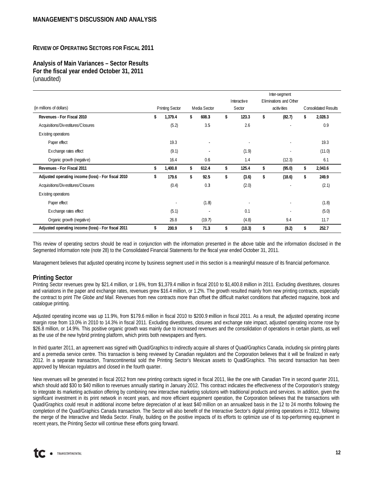#### **REVIEW OF OPERATING SECTORS FOR FISCAL 2011**

**Analysis of Main Variances - Sector Results** For the fiscal year ended October 31, 2011 (unaudited)

|                                                    |                        |         |              |        |        |             |                        | Inter-segment            |                             |         |
|----------------------------------------------------|------------------------|---------|--------------|--------|--------|-------------|------------------------|--------------------------|-----------------------------|---------|
|                                                    |                        |         |              |        |        | Interactive | Eliminations and Other |                          |                             |         |
| (in millions of dollars)                           | <b>Printing Sector</b> |         | Media Sector |        | Sector |             | acitiv ities           |                          | <b>Consolidated Results</b> |         |
| Revenues - For Fiscal 2010                         | \$                     | 1,379.4 | \$           | 608.3  | \$     | 123.3       | \$                     | (82.7)                   | \$                          | 2,028.3 |
| Acquisitions/Divestitures/Closures                 |                        | (5.2)   |              | 3.5    |        | 2.6         |                        | $\overline{\phantom{a}}$ |                             | 0.9     |
| Existing operations                                |                        |         |              |        |        |             |                        |                          |                             |         |
| Paper effect                                       |                        | 19.3    |              |        |        | ٠           |                        | ä,                       |                             | 19.3    |
| Exchange rates effect                              |                        | (9.1)   |              |        |        | (1.9)       |                        | ×                        |                             | (11.0)  |
| Organic growth (negative)                          |                        | 16.4    |              | 0.6    |        | 1.4         |                        | (12.3)                   |                             | 6.1     |
| Revenues - For Fiscal 2011                         | \$                     | 1,400.8 | \$           | 612.4  | \$     | 125.4       | \$                     | (95.0)                   | \$                          | 2,043.6 |
| Adjusted operating income (loss) - For fiscal 2010 | \$                     | 179.6   | \$           | 92.5   | \$     | (3.6)       | \$                     | (18.6)                   | \$                          | 249.9   |
| Acquisitions/Divestitures/Closures                 |                        | (0.4)   |              | 0.3    |        | (2.0)       |                        | $\overline{\phantom{a}}$ |                             | (2.1)   |
| Existing operations                                |                        |         |              |        |        |             |                        |                          |                             |         |
| Paper effect                                       |                        |         |              | (1.8)  |        |             |                        |                          |                             | (1.8)   |
| Exchange rates effect                              |                        | (5.1)   |              |        |        | 0.1         |                        |                          |                             | (5.0)   |
| Organic growth (negative)                          |                        | 26.8    |              | (19.7) |        | (4.8)       |                        | 9.4                      |                             | 11.7    |
| Adjusted operating income (loss) - For fiscal 2011 | \$                     | 200.9   | \$           | 71.3   | \$     | (10.3)      | \$                     | (9.2)                    | \$                          | 252.7   |

This review of operating sectors should be read in conjunction with the information presented in the above table and the information disclosed in the Segmented Information note (note 28) to the Consolidated Financial Statements for the fiscal year ended October 31, 2011.

Management believes that adjusted operating income by business segment used in this section is a meaningful measure of its financial performance.

#### **Printing Sector**

Printing Sector revenues grew by \$21.4 million, or 1.6%, from \$1,379.4 million in fiscal 2010 to \$1,400.8 million in 2011. Excluding divestitures, closures and variations in the paper and exchange rates, revenues grew \$16.4 million, or 1.2%. The growth resulted mainly from new printing contracts, especially the contract to print The Globe and Mail. Revenues from new contracts more than offset the difficult market conditions that affected magazine, book and catalogue printing.

Adjusted operating income was up 11.9%, from \$179.6 million in fiscal 2010 to \$200.9 million in fiscal 2011. As a result, the adjusted operating income margin rose from 13.0% in 2010 to 14.3% in fiscal 2011. Excluding divestitures, closures and exchange rate impact, adjusted operating income rose by \$26.8 million, or 14.9%. This positive organic growth was mainly due to increased revenues and the consolidation of operations in certain plants, as well as the use of the new hybrid printing platform, which prints both newspapers and flyers.

In third quarter 2011, an agreement was signed with Quad/Graphics to indirectly acquire all shares of Quad/Graphics Canada, including six printing plants and a premedia service centre. This transaction is being reviewed by Canadian regulators and the Corporation believes that it will be finalized in early 2012. In a separate transaction, Transcontinental sold the Printing Sector's Mexican assets to Quad/Graphics. This second transaction has been approved by Mexican regulators and closed in the fourth quarter.

New revenues will be generated in fiscal 2012 from new printing contracts signed in fiscal 2011, like the one with Canadian Tire in second quarter 2011, which should add \$30 to \$40 million to revenues annually starting in January 2012. This contract indicates the effectiveness of the Corporation's strategy to integrate its marketing activation offering by combining new interactive marketing solutions with traditional products and services. In addition, given the significant investment in its print network in recent years, and more efficient equipment operation, the Corporation believes that the transactions with Quad/Graphics could result in additional income before depreciation of at least \$40 million on an annualized basis in the 12 to 24 months following the completion of the Quad/Graphics Canada transaction. The Sector will also benefit of the Interactive Sector's digital printing operations in 2012, following the merge of the Interactive and Media Sector. Finally, building on the positive impacts of its efforts to optimize use of its top-performing equipment in recent years, the Printing Sector will continue these efforts going forward.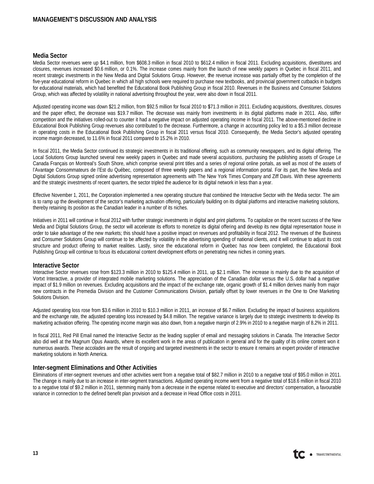#### Media Sector

Media Sector revenues were up \$4.1 million, from \$608.3 million in fiscal 2010 to \$612.4 million in fiscal 2011. Excluding acquisitions, divestitures and closures, revenues increased \$0.6 million, or 0.1%. The increase comes mainly from the launch of new weekly papers in Quebec in fiscal 2011, and recent strategic investments in the New Media and Digital Solutions Group. However, the revenue increase was partially offset by the completion of the five-year educational reform in Quebec in which all high schools were required to purchase new textbooks, and provincial government cutbacks in budgets for educational materials, which had benefited the Educational Book Publishing Group in fiscal 2010. Revenues in the Business and Consumer Solutions Group, which was affected by volatility in national advertising throughout the year, were also down in fiscal 2011.

Adjusted operating income was down \$21.2 million, from \$92.5 million for fiscal 2010 to \$71.3 million in 2011. Excluding acquisitions, divestitures, closures and the paper effect, the decrease was \$19.7 million. The decrease was mainly from investments in its digital platforms made in 2011. Also, stiffer competition and the initiatives rolled-out to counter it had a negative impact on adjusted operating income in fiscal 2011. The above-mentioned decline in Educational Book Publishing Group revenues also contributed to the decrease. Furthermore, a change in accounting policy led to a \$5.3 million decrease in operating costs in the Educational Book Publishing Group in fiscal 2011 versus fiscal 2010. Consequently, the Media Sector's adjusted operating income margin decreased, to 11.6% in fiscal 2011 compared to 15.2% in 2010.

In fiscal 2011, the Media Sector continued its strategic investments in its traditional offering, such as community newspapers, and its digital offering. The Local Solutions Group launched several new weekly papers in Quebec and made several acquisitions, purchasing the publishing assets of Groupe Le Canada Français on Montreal's South Shore, which comprise several print titles and a series of regional online portals, as well as most of the assets of l'Avantage Consommateurs de l'Est du Québec, composed of three weekly papers and a regional information portal. For its part, the New Media and Digital Solutions Group signed online advertising representation agreements with The New York Times Company and Ziff Davis. With these agreements and the strategic investments of recent quarters, the sector tripled the audience for its digital network in less than a year.

Effective November 1, 2011, the Corporation implemented a new operating structure that combined the Interactive Sector with the Media sector. The aim is to ramp up the development of the sector's marketing activation offering, particularly building on its digital platforms and interactive marketing solutions, thereby retaining its position as the Canadian leader in a number of its niches.

Initiatives in 2011 will continue in fiscal 2012 with further strategic investments in digital and print platforms. To capitalize on the recent success of the New Media and Digital Solutions Group, the sector will accelerate its efforts to monetize its digital offering and develop its new digital representation house in order to take advantage of the new markets; this should have a positive impact on revenues and profitability in fiscal 2012. The revenues of the Business and Consumer Solutions Group will continue to be affected by volatility in the advertising spending of national clients, and it will continue to adjust its cost structure and product offering to market realities. Lastly, since the educational reform in Quebec has now been completed, the Educational Book Publishing Group will continue to focus its educational content development efforts on penetrating new niches in coming years.

#### **Interactive Sector**

Interactive Sector revenues rose from \$123.3 million in 2010 to \$125.4 million in 2011, up \$2.1 million. The increase is mainly due to the acquisition of Vortxt Interactive, a provider of integrated mobile marketing solutions. The appreciation of the Canadian dollar versus the U.S. dollar had a negative impact of \$1.9 million on revenues. Excluding acquisitions and the impact of the exchange rate, organic growth of \$1.4 million derives mainly from major new contracts in the Premedia Division and the Customer Communications Division, partially offset by lower revenues in the One to One Marketing Solutions Division

Adjusted operating loss rose from \$3.6 million in 2010 to \$10.3 million in 2011, an increase of \$6.7 million. Excluding the impact of business acquisitions and the exchange rate, the adjusted operating loss increased by \$4.8 million. The negative variance is largely due to strategic investments to develop its marketing activation offering. The operating income margin was also down, from a negative margin of 2.9% in 2010 to a negative margin of 8.2% in 2011.

In fiscal 2011, Red Pill Email named the Interactive Sector as the leading supplier of email and messaging solutions in Canada. The Interactive Sector also did well at the Magnum Opus Awards, where its excellent work in the areas of publication in general and for the quality of its online content won it numerous awards. These accolades are the result of ongoing and targeted investments in the sector to ensure it remains an expert provider of interactive marketing solutions in North America.

#### **Inter-segment Eliminations and Other Activities**

Eliminations of inter-segment revenues and other activities went from a negative total of \$82.7 million in 2010 to a negative total of \$95.0 million in 2011. The change is mainly due to an increase in inter-segment transactions. Adjusted operating income went from a negative total of \$18.6 million in fiscal 2010 to a negative total of \$9.2 million in 2011, stemming mainly from a decrease in the expense related to executive and directors' compensation, a favourable variance in connection to the defined benefit plan provision and a decrease in Head Office costs in 2011.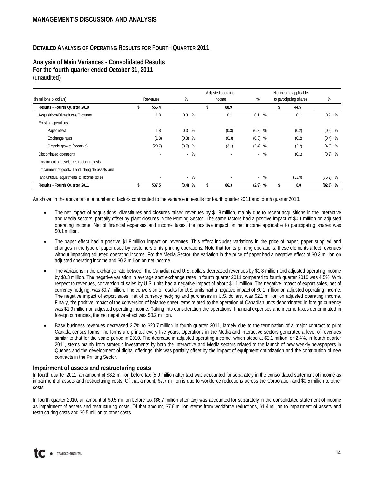#### **DETAILED ANALYSIS OF OPERATING RESULTS FOR FOURTH QUARTER 2011**

**Analysis of Main Variances - Consolidated Results** For the fourth quarter ended October 31, 2011 (unaudited)

|                                                  |                 |           |       |    | Adjusted operating       |           |       |                         | Net income applicable |            |  |
|--------------------------------------------------|-----------------|-----------|-------|----|--------------------------|-----------|-------|-------------------------|-----------------------|------------|--|
| (in millions of dollars)                         | <b>Revenues</b> |           | %     |    | income                   |           |       | to participating shares |                       | %          |  |
| Results - Fourth Quarter 2010                    | 556.4           |           |       | ъ  | 88.9                     |           |       | S                       | 44.5                  |            |  |
| Acquisitions/Divestitures/Closures               | 1.8             | 0.3%      |       |    | 0.1                      | 0.1       | %     |                         | 0.1                   | 0.2 %      |  |
| Existing operations                              |                 |           |       |    |                          |           |       |                         |                       |            |  |
| Paper effect                                     | 1.8             | 0.3       | %     |    | (0.3)                    | $(0.3)$ % |       |                         | (0.2)                 | $(0.4)$ %  |  |
| Exchange rates                                   | (1.8)           | $(0.3)$ % |       |    | (0.3)                    | $(0.3)$ % |       |                         | (0.2)                 | $(0.4)$ %  |  |
| Organic growth (negative)                        | (20.7)          | $(3.7)$ % |       |    | (2.1)                    | $(2.4)$ % |       |                         | (2.2)                 | $(4.9)$ %  |  |
| Discontinued operations                          | ۰.              |           | $-$ % |    | $\overline{\phantom{a}}$ |           | $-$ % |                         | (0.1)                 | $(0.2)$ %  |  |
| Impairment of assets, restructuring costs        |                 |           |       |    |                          |           |       |                         |                       |            |  |
| impairment of goodwill and intangible assets and |                 |           |       |    |                          |           |       |                         |                       |            |  |
| and unusual adjustments to income taxes          | ٠               |           | $-$ % |    | $\overline{\phantom{a}}$ |           | $-$ % |                         | (33.9)                | $(76.2)$ % |  |
| Results - Fourth Ouarter 2011                    | \$<br>537.5     | (3.4)     | %     | \$ | 86.3                     | (2.9)     | %     | \$                      | 8.0                   | $(82.0)$ % |  |

As shown in the above table, a number of factors contributed to the variance in results for fourth quarter 2011 and fourth quarter 2010.

- The net impact of acquisitions, divestitures and closures raised revenues by \$1.8 million, mainly due to recent acquisitions in the Interactive and Media sectors, partially offset by plant closures in the Printing Sector. The same factors had a positive impact of \$0.1 million on adjusted operating income. Net of financial expenses and income taxes, the positive impact on net income applicable to participating shares was  $$0.1$  million.
- The paper effect had a positive \$1.8 million impact on revenues. This effect includes variations in the price of paper, paper supplied and changes in the type of paper used by customers of its printing operations. Note that for its printing operations, these elements affect revenues without impacting adjusted operating income. For the Media Sector, the variation in the price of paper had a negative effect of \$0.3 million on adjusted operating income and \$0.2 million on net income.
- The variations in the exchange rate between the Canadian and U.S. dollars decreased revenues by \$1.8 million and adjusted operating income by \$0.3 million. The negative variation in average spot exchange rates in fourth quarter 2011 compared to fourth quarter 2010 was 4.5%. With respect to revenues, conversion of sales by U.S. units had a negative impact of about \$1.1 million. The negative impact of export sales, net of currency hedging, was \$0.7 million. The conversion of results for U.S. units had a negative impact of \$0.1 million on adjusted operating income. The negative impact of export sales, net of currency hedging and purchases in U.S. dollars, was \$2.1 million on adjusted operating income. Finally, the positive impact of the conversion of balance sheet items related to the operation of Canadian units denominated in foreign currency was \$1.9 million on adjusted operating income. Taking into consideration the operations, financial expenses and income taxes denominated in foreign currencies, the net negative effect was \$0.2 million.
- Base business revenues decreased 3.7% to \$20.7 million in fourth quarter 2011, largely due to the termination of a major contract to print Canada census forms; the forms are printed every five years. Operations in the Media and Interactive sectors generated a level of revenues similar to that for the same period in 2010. The decrease in adjusted operating income, which stood at \$2.1 million, or 2.4%, in fourth quarter 2011, stems mainly from strategic investments by both the Interactive and Media sectors related to the launch of new weekly newspapers in Quebec and the development of digital offerings; this was partially offset by the impact of equipment optimization and the contribution of new contracts in the Printing Sector.

#### Impairment of assets and restructuring costs

In fourth quarter 2011, an amount of \$8.2 million before tax (5.9 million after tax) was accounted for separately in the consolidated statement of income as impairment of assets and restructuring costs. Of that amount, \$7.7 million is due to workforce reductions across the Corporation and \$0.5 million to other costs.

In fourth quarter 2010, an amount of \$9.5 million before tax (\$6.7 million after tax) was accounted for separately in the consolidated statement of income as impairment of assets and restructuring costs. Of that amount, \$7.6 million stems from workforce reductions, \$1.4 million to impairment of assets and restructuring costs and \$0.5 million to other costs.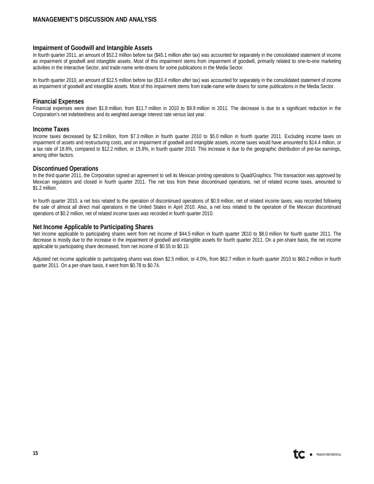#### Impairment of Goodwill and Intangible Assets

In fourth quarter 2011, an amount of \$52.2 million before tax (\$45.1 million after tax) was accounted for separately in the consolidated statement of income as impairment of goodwill and intangible assets. Most of this impairment stems from impairment of goodwill, primarily related to one-to-one marketing activities in the Interactive Sector, and trade-name write-downs for some publications in the Media Sector.

In fourth quarter 2010, an amount of \$12.5 million before tax (\$10.4 million after tax) was accounted for separately in the consolidated statement of income as impairment of goodwill and intangible assets. Most of this impairment stems from trade-name write downs for some publications in the Media Sector.

#### **Financial Expenses**

Financial expenses were down \$1.8 million, from \$11.7 million in 2010 to \$9.9 million in 2011. The decrease is due to a significant reduction in the Corporation's net indebtedness and its weighted average interest rate versus last year.

#### **Income Taxes**

Income taxes decreased by \$2.3 million, from \$7.3 million in fourth quarter 2010 to \$5.0 million in fourth quarter 2011. Excluding income taxes on impairment of assets and restructuring costs, and on impairment of goodwill and intangible assets, income taxes would have amounted to \$14.4 million, or a tax rate of 18.8%, compared to \$12.2 million, or 15.8%, in fourth quarter 2010. This increase is due to the geographic distribution of pre-tax earnings, among other factors.

#### **Discontinued Operations**

In the third quarter 2011, the Corporation signed an agreement to sell its Mexican printing operations to Quad/Graphics. This transaction was approved by Mexican regulators and closed in fourth quarter 2011. The net loss from these discontinued operations, net of related income taxes, amounted to \$1.2 million.

In fourth quarter 2010, a net loss related to the operation of discontinued operations of \$0.9 million, net of related income taxes, was recorded following the sale of almost all direct mail operations in the United States in April 2010. Also, a net loss related to the operation of the Mexican discontinued operations of \$0.2 million, net of related income taxes was recorded in fourth quarter 2010.

#### Net Income Applicable to Participating Shares

Net income applicable to participating shares went from net income of \$44.5 million in fourth quarter 2010 to \$8.0 million for fourth quarter 2011. The decrease is mostly due to the increase in the impairment of goodwill and intangible assets for fourth quarter 2011. On a per-share basis, the net income applicable to participating share decreased, from net income of \$0.55 to \$0.10.

Adjusted net income applicable to participating shares was down \$2.5 million, or 4.0%, from \$62.7 million in fourth quarter 2010 to \$60.2 million in fourth quarter 2011. On a per-share basis, it went from \$0.78 to \$0.74.

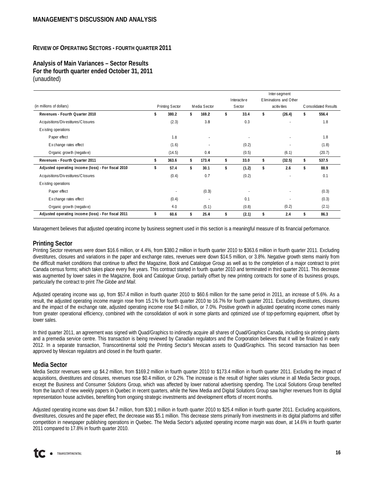#### **REVIEW OF OPERATING SECTORS - FOURTH QUARTER 2011**

## Analysis of Main Variances - Sector Results **F For the fourth quarter ended d October 31, 2011**  ( unaudited)

|                                                    |                        |        |              |          |        | Interactive              |             | Inter-segment<br>Eliminations and Other |                      |        |
|----------------------------------------------------|------------------------|--------|--------------|----------|--------|--------------------------|-------------|-----------------------------------------|----------------------|--------|
| (in millions of dollars)                           | <b>Printing Sector</b> |        | Media Sector |          | Sector |                          | acitivities |                                         | Consolidated Results |        |
| Revenues - Fourth Quarter 2010                     | \$                     | 380.2  | \$           | 169.2    | \$     | 33.4                     | \$          | (26.4)                                  | \$                   | 556.4  |
| Acquisitions/Divestitures/Closures                 |                        | (2.3)  |              | 3.8      |        | 0.3                      |             | $\sim$                                  |                      | 1.8    |
| Existing operations                                |                        |        |              |          |        |                          |             |                                         |                      |        |
| Paper effect                                       |                        | 1.8    |              |          |        | $\overline{\phantom{a}}$ |             |                                         |                      | 1.8    |
| Exchange rates effect                              |                        | (1.6)  |              | <b>.</b> |        | (0.2)                    |             |                                         |                      | (1.8)  |
| Organic growth (negative)                          |                        | (14.5) |              | 0.4      |        | (0.5)                    |             | (6.1)                                   |                      | (20.7) |
| Revenues - Fourth Quarter 2011                     | \$                     | 363.6  | \$           | 173.4    | \$     | 33.0                     | \$          | (32.5)                                  | \$                   | 537.5  |
| Adjusted operating income (loss) - For fiscal 2010 | \$                     | 57.4   | \$           | 30.1     | \$     | (1.2)                    | \$          | 2.6                                     | \$                   | 88.9   |
| Acquisitions/Divestitures/Closures                 |                        | (0.4)  |              | 0.7      |        | (0.2)                    |             | $\sim$                                  |                      | 0.1    |
| Existing operations                                |                        |        |              |          |        |                          |             |                                         |                      |        |
| Paper effect                                       |                        |        |              | (0.3)    |        |                          |             |                                         |                      | (0.3)  |
| Exchange rates effect                              |                        | (0.4)  |              |          |        | 0.1                      |             |                                         |                      | (0.3)  |
| Organic growth (negative)                          |                        | 4.0    |              | (5.1)    |        | (0.8)                    |             | (0.2)                                   |                      | (2.1)  |
| Adjusted operating income (loss) - For fiscal 2011 | \$                     | 60.6   | \$           | 25.4     | \$     | (2.1)                    | \$          | 2.4                                     | \$                   | 86.3   |

Management believes that adjusted operating income by business segment used in this section is a meaningful measure of its financial performance.

#### **Printing Sector**

Printing Sector revenues were down \$16.6 million, or 4.4%, from \$380.2 million in fourth quarter 2010 to \$363.6 million in fourth quarter 2011. Excluding divestitures, closures and variations in the paper and exchange rates, revenues were down \$14.5 million, or 3.8%. Negative growth stems mainly from the difficult market conditions that continue to affect the Magazine, Book and Catalogue Group as well as to the completion of a major contract to print Canada census forms; which takes place every five years. This contract started in fourth quarter 2010 and terminated in third quarter 2011. This decrease was augmented by lower sales in the Magazine, Book and Catalogue Group, partially offset by new printing contracts for some of its business groups, particularly the contract to print *The Globe and Mail*.

Adjusted operating income was up, from \$57.4 million in fourth quarter 2010 to \$60.6 million for the same period in 2011, an increase of 5.6%. As a result, the adjusted operating income margin rose from 15.1% for fourth quarter 2010 to 16.7% for fourth quarter 2011. Excluding divestitures, closures and the impact of the exchange rate, adjusted operating income rose \$4.0 million, or 7.0%. Positive growth in adjusted operating income comes mainly from greater operational efficiency, combined with the consolidation of work in some plants and optimized use of top-performing equipment, offset by lower sales.

In third quarter 2011, an agreement was signed with Quad/Graphics to indirectly acquire all shares of Quad/Graphics Canada, including six printing plants and a premedia service centre. This transaction is being reviewed by Canadian regulators and the Corporation believes that it will be finalized in early 2012. In a separate transaction, Transcontinental sold the Printing Sector's Mexican assets to Quad/Graphics. This second transaction has been approved by Mexican regulators and closed in the fourth quarter.

#### **M Media Sector**

Media Sector revenues were up \$4.2 million, from \$169.2 million in fourth quarter 2010 to \$173.4 million in fourth quarter 2011. Excluding the impact of acquisitions, divestitures and closures, revenues rose \$0.4 million, or 0.2%. The increase is the result of higher sales volume in all Media Sector groups, except the Business and Consumer Solutions Group, which was affected by lower national advertising spending. The Local Solutions Group benefited from the launch of new weekly papers in Quebec in recent quarters, while the New Media and Digital Solutions Group saw higher revenues from its digital representation house activities, benefiting from ongoing strategic investments and development efforts of recent months.

Adjusted operating income was down \$4.7 million, from \$30.1 million in fourth quarter 2010 to \$25.4 million in fourth quarter 2011. Excluding acquisitions, divestitures, closures and the paper effect, the decrease was \$5.1 million. This decrease stems primarily from investments in its digital platforms and stiffer competition in newspaper publishing operations in Quebec. The Media Sector's adjusted operating income margin was down, at 14.6% in fourth quarter 2 2011 compared to 17.8% in fourth q uarter 2010.

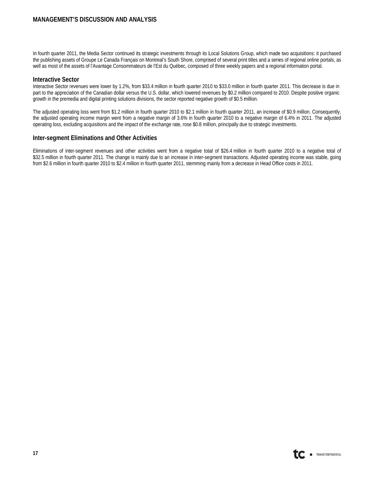In fourth quarter 2011, the Media Sector continued its strategic investments through its Local Solutions Group, which made two acquisitions: it purchased the publishing assets of Groupe Le Canada Français on Montreal's South Shore, comprised of several print titles and a series of regional online portals, as well as most of the assets of l'Avantage Consommateurs de l'Est du Québec, composed of three weekly papers and a regional information portal.

#### **Interactive Sector**

Interactive Sector revenues were lower by 1.2%, from \$33.4 million in fourth quarter 2010 to \$33.0 million in fourth quarter 2011. This decrease is due in part to the appreciation of the Canadian dollar versus the U.S. dollar, which lowered revenues by \$0.2 million compared to 2010. Despite positive organic growth in the premedia and digital printing solutions divisions, the sector reported negative growth of \$0.5 million.

The adjusted operating loss went from \$1.2 million in fourth quarter 2010 to \$2.1 million in fourth quarter 2011, an increase of \$0.9 million. Consequently, the adjusted operating income margin went from a negative margin of 3.6% in fourth quarter 2010 to a negative margin of 6.4% in 2011. The adjusted operating loss, excluding acquisitions and the impact of the exchange rate, rose \$0.8 million, principally due to strategic investments.

#### Inter-segment Eliminations and Other Activities

Eliminations of inter-segment revenues and other activities went from a negative total of \$26.4 million in fourth quarter 2010 to a negative total of \$32.5 million in fourth quarter 2011. The change is mainly due to an increase in inter-segment transactions. Adjusted operating income was stable, going from \$2.6 million in fourth quarter 2010 to \$2.4 million in fourth quarter 2011, stemming mainly from a decrease in Head Office costs in 2011.

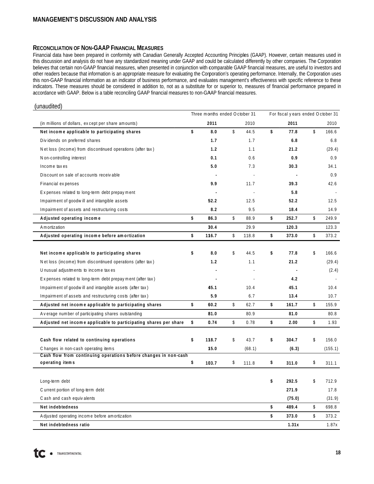### **RECONCILIATION OF NON-GAAP FINANCIAL MEASURES**

Financial data have been prepared in conformity with Canadian Generally Accepted Accounting Principles (GAAP). However, certain measures used in this discussion and analysis do not have any standardized meaning under GAAP and could be calculated differently by other companies. The Corporation believes that certain non-GAAP financial measures, when presented in conjunction with comparable GAAP financial measures, are useful to investors and other readers because that information is an appropriate measure for evaluating the Corporation's operating performance. Internally, the Corporation uses this non-GAAP financial information as an indicator of business performance, and evaluates management's effectiveness with specific reference to these indicators. These measures should be considered in addition to, not as a substitute for or superior to, measures of financial performance prepared in accordance with GAAP. Below is a table reconciling GAAP financial measures to non-GAAP financial measures.

#### (unaudited)

|                                                                  | Three months ended October 31 |             |        | For fiscal years ended October 31 |                       |
|------------------------------------------------------------------|-------------------------------|-------------|--------|-----------------------------------|-----------------------|
| (in millions of dollars, except per share amounts)               | 2011                          |             | 2010   | 2011                              | 2010                  |
| Net income applicable to participating shares                    | \$<br>8.0                     | $\mathbb S$ | 44.5   | \$<br>77.8                        | \$<br>166.6           |
| Dividends on preferred shares                                    | 1.7                           |             | 1.7    | 6.8                               | 6.8                   |
| Net loss (income) from discontinued operations (after tax)       | 1.2                           |             | 1.1    | 21.2                              | (29.4)                |
| N on-controlling interest                                        | 0.1                           |             | 0.6    | 0.9                               | 0.9                   |
| Income taxes                                                     | 5.0                           |             | 7.3    | 30.3                              | 34.1                  |
| Discount on sale of accounts receivable                          | $\sim$                        |             |        | $\sim$                            | 0.9                   |
| Financial expenses                                               | 9.9                           |             | 11.7   | 39.3                              | 42.6                  |
| Expenses related to long-term debt prepayment                    | ÷.                            |             |        | 5.8                               |                       |
| Impairment of goodwill and intangible assets                     | 52.2                          |             | 12.5   | 52.2                              | 12.5                  |
| Impairment of assets and restructuring costs                     | 8.2                           |             | 9.5    | 18.4                              | 14.9                  |
| Adjusted operating income                                        | \$<br>86.3                    | \$          | 88.9   | \$<br>252.7                       | \$<br>249.9           |
| A m ortiz ation                                                  | 30.4                          |             | 29.9   | 120.3                             | 123.3                 |
| Adjusted operating income before amortization                    | \$<br>116.7                   | \$          | 118.8  | \$<br>373.0                       | \$<br>373.2           |
|                                                                  |                               |             |        |                                   |                       |
| Net income applicable to participating shares                    | \$<br>8.0                     | \$          | 44.5   | \$<br>77.8                        | \$<br>166.6           |
| Net loss (income) from discontinued operations (after tax)       | 1.2                           |             | 1.1    | 21.2                              | (29.4)                |
| Unusual adjustments to income taxes                              |                               |             |        |                                   | (2.4)                 |
| Expenses related to long-term debt prepayment (after tax)        | $\overline{a}$                |             |        | 4.2                               |                       |
| Impairment of goodwill and intangible assets (after tax)         | 45.1                          |             | 10.4   | 45.1                              | 10.4                  |
| Impairment of assets and restructuring costs (after tax)         | 5.9                           |             | 6.7    | 13.4                              | 10.7                  |
| Adjusted net income applicable to participating shares           | \$<br>60.2                    | \$          | 62.7   | \$<br>161.7                       | \$<br>155.9           |
| Average number of participating shares outstanding               | 81.0                          |             | 80.9   | 81.0                              | 80.8                  |
| Adjusted net income applicable to participating shares per share | \$<br>0.74                    | \$          | 0.78   | \$<br>2.00                        | \$<br>1.93            |
|                                                                  |                               |             |        |                                   |                       |
| Cash flow related to continuing operations                       | \$<br>118.7                   | \$          | 43.7   | \$<br>304.7                       | \$<br>156.0           |
| Changes in non-cash operating items                              | 15.0                          |             | (68.1) | (6.3)                             | (155.1)               |
| Cash flow from continuing operations before changes in non-cash  |                               |             |        |                                   |                       |
| operating items                                                  | \$<br>103.7                   | \$          | 111.8  | \$<br>311.0                       | \$<br>311.1           |
|                                                                  |                               |             |        | \$<br>292.5                       | \$<br>712.9           |
| Long-term debt                                                   |                               |             |        | 271.9                             | 17.8                  |
| Current portion of long-term debt                                |                               |             |        |                                   |                       |
| Cash and cash equivalents<br>Net indebtedness                    |                               |             |        | \$<br>(75.0)<br>489.4             | \$<br>(31.9)<br>698.8 |
|                                                                  |                               |             |        |                                   |                       |
| Adjusted operating income before amortization                    |                               |             |        | \$<br>373.0                       | \$<br>373.2           |
| Net indebtedness ratio                                           |                               |             |        | 1.31x                             | 1.87x                 |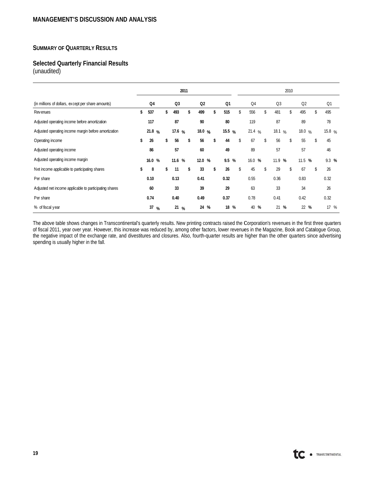## **SUMMARY OF QUARTERLY RESULTS**

## **Selected Quarterly Financial Results**

(unaudited)

|                                                        | 2011<br>2010 |          |   |                |    |        |    |          |                |    |        |           |      |                |
|--------------------------------------------------------|--------------|----------|---|----------------|----|--------|----|----------|----------------|----|--------|-----------|------|----------------|
| (in millions of dollars, except per share amounts)     |              | Q4       |   | Q <sub>3</sub> |    | Q2     |    | Q1       | Q <sub>4</sub> |    | Q3     | Q2        |      | Q <sub>1</sub> |
| Rev enues                                              | \$           | 537      |   | \$<br>493      | \$ | 499    | \$ | 515      | \$<br>556      | \$ | 481    | \$<br>495 | \$   | 495            |
| Adjusted operating income before amortization          |              | 117      |   | 87             |    | 90     |    | 80       | 119            |    | 87     | 89        |      | 78             |
| Adjusted operating income margin before amortization   |              | $21.8\%$ |   | 17.6 $%$       |    | 18.0 % |    | $15.5\%$ | 21.4%          |    | 18.1 % | 18.0 %    |      | 15.8 %         |
| Operating income                                       | \$           | 26       |   | \$<br>56       | \$ | 56     | \$ | 44       | \$<br>67       | \$ | 56     | \$<br>55  | \$   | 45             |
| Adjusted operating income                              |              | 86       |   | 57             |    | 60     |    | 49       | 89             |    | 57     | 57        |      | 46             |
| Adjusted operating income margin                       |              | 16.0 %   |   | 11.6 %         |    | 12.0 % |    | 9.5 %    | 16.0 %         |    | 11.9 % | 11.5 %    |      | 9.3 %          |
| Net income applicable to participating shares          | \$           | 8        |   | \$<br>11       | \$ | 33     | \$ | 26       | \$<br>45       | \$ | 29     | \$<br>67  | \$   | 26             |
| Per share                                              |              | 0.10     |   | 0.13           |    | 0.41   |    | 0.32     | 0.55           |    | 0.36   | 0.83      |      | 0.32           |
| Adjusted net income applicable to participating shares |              | 60       |   | 33             |    | 39     |    | 29       | 63             |    | 33     | 34        |      | 26             |
| Per share                                              |              | 0.74     |   | 0.40           |    | 0.49   |    | 0.37     | 0.78           |    | 0.41   | 0.42      |      | 0.32           |
| % of fiscal year                                       |              | 37       | % | 21 %           |    | 24 %   |    | 18 %     | 40             | %  | 21 %   |           | 22 % | 17 %           |

The above table shows changes in Transcontinental's quarterly results. New printing contracts raised the Corporation's revenues in the first three quarters of fiscal 2011, year over year. However, this increase was reduced by, among other factors, lower revenues in the Magazine, Book and Catalogue Group, the negative impact of the exchange rate, and divestitures and closures. Also, fourth-quarter results are higher than the other quarters since advertising spending is usually higher in the fall.

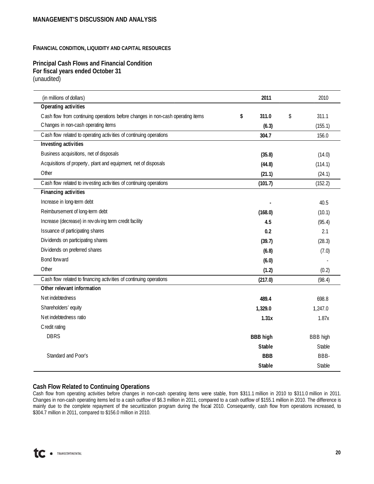#### FINANCIAL CONDITION, LIQUIDITY AND CAPITAL RESOURCES

## **Principal Cash Flows and Financial Condition** For fiscal years ended October 31 (unaudited)

| (in millions of dollars)                                                        | 2011            | 2010            |
|---------------------------------------------------------------------------------|-----------------|-----------------|
| Operating activities                                                            |                 |                 |
| Cash flow from continuing operations before changes in non-cash operating items | \$<br>311.0     | \$<br>311.1     |
| Changes in non-cash operating items                                             | (6.3)           | (155.1)         |
| Cash flow related to operating activities of continuing operations              | 304.7           | 156.0           |
| Investing activities                                                            |                 |                 |
| Business acquisitions, net of disposals                                         | (35.8)          | (14.0)          |
| Acquisitions of property, plant and equipment, net of disposals                 | (44.8)          | (114.1)         |
| Other                                                                           | (21.1)          | (24.1)          |
| Cash flow related to investing activities of continuing operations              | (101.7)         | (152.2)         |
| <b>Financing activities</b>                                                     |                 |                 |
| Increase in long-term debt                                                      |                 | 40.5            |
| Reimbursement of long-term debt                                                 | (168.0)         | (10.1)          |
| Increase (decrease) in revolving term credit facility                           | 4.5             | (95.4)          |
| Issuance of participating shares                                                | 0.2             | 2.1             |
| Dividends on participating shares                                               | (39.7)          | (28.3)          |
| Dividends on preferred shares                                                   | (6.8)           | (7.0)           |
| Bond forward                                                                    | (6.0)           |                 |
| Other                                                                           | (1.2)           | (0.2)           |
| Cash flow related to financing activities of continuing operations              | (217.0)         | (98.4)          |
| Other relevant information                                                      |                 |                 |
| Net indebtedness                                                                | 489.4           | 698.8           |
| Shareholders' equity                                                            | 1,329.0         | 1,247.0         |
| Net indebtedness ratio                                                          | 1.31x           | 1.87x           |
| Credit rating                                                                   |                 |                 |
| <b>DBRS</b>                                                                     | <b>BBB high</b> | <b>BBB</b> high |
|                                                                                 | Stable          | Stable          |
| Standard and Poor's                                                             | <b>BBB</b>      | BBB-            |
|                                                                                 | Stable          | Stable          |

## Cash Flow Related to Continuing Operations

Cash flow from operating activities before changes in non-cash operating items were stable, from \$311.1 million in 2010 to \$311.0 million in 2011.<br>Changes in non-cash operating items led to a cash outflow of \$6.3 million i mainly due to the complete repayment of the securitization program during the fiscal 2010. Consequently, cash flow from operations increased, to \$304.7 million in 2011, compared to \$156.0 million in 2010.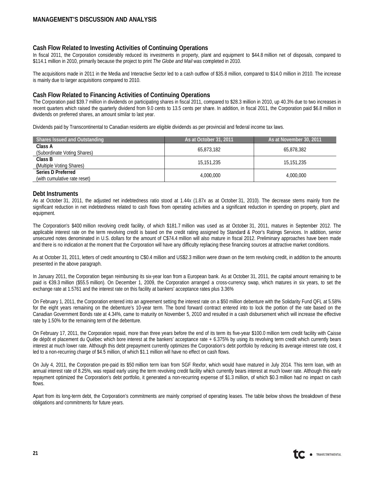#### Cash Flow Related to Investing Activities of Continuing Operations

In fiscal 2011, the Corporation considerably reduced its investments in property, plant and equipment to \$44.8 million net of disposals, compared to \$114.1 million in 2010, primarily because the project to print The Globe and Mail was completed in 2010.

The acquisitions made in 2011 in the Media and Interactive Sector led to a cash outflow of \$35.8 million, compared to \$14.0 million in 2010. The increase is mainly due to larger acquisitions compared to 2010.

#### Cash Flow Related to Financing Activities of Continuing Operations

The Corporation paid \$39.7 million in dividends on participating shares in fiscal 2011, compared to \$28.3 million in 2010, up 40.3% due to two increases in recent quarters which raised the quarterly dividend from 9.0 cents to 13.5 cents per share. In addition, in fiscal 2011, the Corporation paid \$6.8 million in dividends on preferred shares, an amount similar to last year.

Dividends paid by Transcontinental to Canadian residents are eligible dividends as per provincial and federal income tax laws.

| <b>Shares Issued and Outstanding</b>               | As at October 31, 2011 | As at November 30, 2011 |
|----------------------------------------------------|------------------------|-------------------------|
| Class A<br>(Subordinate Voting Shares)             | 65.873.182             | 65,878,382              |
| Class B<br>(Multiple Voting Shares)                | 15.151.235             | 15,151,235              |
| Series D Preferred<br>(with cumulative rate reset) | 4.000.000              | 4.000.000               |

#### Debt Instruments

As at October 31, 2011, the adjusted net indebtedness ratio stood at 1.44x (1.87x as at October 31, 2010). The decrease stems mainly from the significant reduction in net indebtedness related to cash flows from operating activities and a significant reduction in spending on property, plant and equipment.

The Corporation's \$400 million revolving credit facility, of which \$181.7 million was used as at October 31, 2011, matures in September 2012. The applicable interest rate on the term revolving credit is based on the credit rating assigned by Standard & Poor's Ratings Services. In addition, senior unsecured notes denominated in U.S. dollars for the amount of C\$74.4 million will also mature in fiscal 2012. Preliminary approaches have been made and there is no indication at the moment that the Corporation will have any difficulty replacing these financing sources at attractive market conditions.

As at October 31, 2011, letters of credit amounting to C\$0.4 million and US\$2.3 million were drawn on the term revolving credit, in addition to the amounts presented in the above paragraph.

In January 2011, the Corporation began reimbursing its six-year loan from a European bank. As at October 31, 2011, the capital amount remaining to be paid is €39.3 million (\$55.5 million). On December 1, 2009, the Corporation arranged a cross-currency swap, which matures in six years, to set the exchange rate at 1.5761 and the interest rate on this facility at bankers' acceptance rates plus 3.36%

On February 1, 2011, the Corporation entered into an agreement setting the interest rate on a \$50 million debenture with the Solidarity Fund QFL at 5.58% for the eight years remaining on the debenture's 10-year term. The bond forward contract entered into to lock the portion of the rate based on the Canadian Government Bonds rate at 4.34%, came to maturity on November 5, 2010 and resulted in a cash disbursement which will increase the effective rate by 1.50% for the remaining term of the debenture.

On February 17, 2011, the Corporation repaid, more than three years before the end of its term its five-year \$100.0 million term credit facility with Caisse de dépôt et placement du Québec which bore interest at the bankers' acceptance rate + 6.375% by using its revolving term credit which currently bears interest at much lower rate. Although this debt prepayment currently optimizes the Corporation's debt portfolio by reducing its average interest rate cost, it led to a non-recurring charge of \$4.5 million, of which \$1.1 million will have no effect on cash flows.

On July 4, 2011, the Corporation pre-paid its \$50 million term loan from SGF Rexfor, which would have matured in July 2014. This term loan, with an annual interest rate of 8.25%, was repaid early using the term revolving credit facility which currently bears interest at much lower rate. Although this early repayment optimized the Corporation's debt portfolio, it generated a non-recurring expense of \$1.3 million, of which \$0.3 million had no impact on cash flows.

Apart from its long-term debt, the Corporation's commitments are mainly comprised of operating leases. The table below shows the breakdown of these obligations and commitments for future years.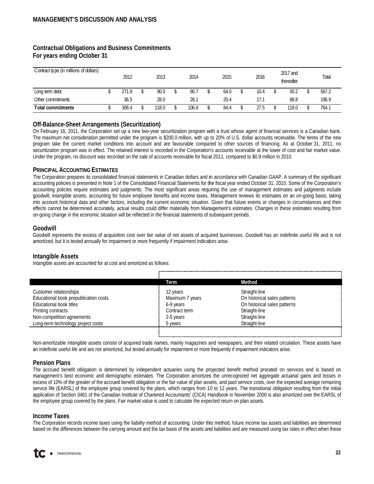## **Contractual Obligations and Business Commitments** For years ending October 31

| Contract type (in millions of dollars) | 2012  | 2013  | 2014  | 2015 | 2016 | 2017 and<br>thereafter | Total |
|----------------------------------------|-------|-------|-------|------|------|------------------------|-------|
| Long term debt                         | 271.9 | 90.0  | 80.7  | 64.0 | 10.4 | 50.2                   | 567.2 |
| Other commitments                      | 36.5  | 28.0  | 26.1  | 20.4 | 17.1 | 68.8                   | 196.9 |
| Total commitments                      | 308.4 | 118.0 | 106.8 | 84.4 | 27.5 | 119.0                  | 764.1 |

#### **Off-Balance-Sheet Arrangements (Securitization)**

On February 16, 2011, the Corporation set up a new two-year securitization program with a trust whose agent of financial services is a Canadian bank. The maximum net consideration permitted under the program is \$200.0 million, with up to 20% of U.S. dollar accounts receivable. The terms of the new program take the current market conditions into account and are favourable compared to other sources of financing. As at October 31, 2011, no securitization program was in effect. The retained interest is recorded in the Corporation's accounts receivable at the lower of cost and fair market value. Under the program, no discount was recorded on the sale of accounts receivable for fiscal 2011, compared to \$0.9 million in 2010.

#### **PRINCIPAL ACCOUNTING ESTIMATES**

The Corporation prepares its consolidated financial statements in Canadian dollars and in accordance with Canadian GAAP. A summary of the significant accounting policies is presented in Note 1 of the Consolidated Financial Statements for the fiscal year ended October 31, 2010. Some of the Corporation's accounting policies require estimates and judgments. The most significant areas requiring the use of management estimates and judgments include goodwill, intangible assets, accounting for future employee benefits and income taxes. Management reviews its estimates on an on-going basis, taking into account historical data and other factors, including the current economic situation. Given that future events or changes in circumstances and their effects cannot be determined accurately, actual results could differ materially from Management's estimates. Changes in these estimates resulting from on-going change in the economic situation will be reflected in the financial statements of subsequent periods.

#### **G Goodwill**

Goodwill represents the excess of acquisition cost over fair value of net assets of acquired businesses. Goodwill has an indefinite useful life and is not amortized, but it is tested annually for impairment or more frequently if impairment indicators arise.

#### **Intangible Assets**

Intangible assets are accounted for at cost and amortized as follows:

|                                       | Term            | Method                       |
|---------------------------------------|-----------------|------------------------------|
| Customer relationships                | 12 years        | Straight-line                |
| Educational book prepublication costs | Maximum 7 years | On historical sales patterns |
| Educational book titles               | 6-9 years       | On historical sales patterns |
| Printing contracts                    | Contract term   | Straight-line                |
| Non-competition agreements            | 2-5 years       | Straight-line                |
| Long-term technology project costs    | 5 years         | Straight-line                |
|                                       |                 |                              |

Non-amortizable intangible assets consist of acquired trade names, mainly magazines and newspapers, and their related circulation. These assets have an indefinite useful life and are not amortized, but tested annually for impairment or more frequently if impairment indicators arise.

#### **P Pension Plans s**

The accrued benefit obligation is determined by independent actuaries using the projected benefit method prorated on services and is based on management's best economic and demographic estimates. The Corporation amortizes the unrecognized net aggregate actuarial gains and losses in excess of 10% of the greater of the accrued benefit obligation or the fair value of plan assets, and past service costs, over the expected average remaining service life (EARSL) of the employee group covered by the plans, which ranges from 10 to 12 years. The transitional obligation resulting from the initial application of Section 3461 of the Canadian Institute of Chartered Accountants' (CICA) Handbook in November 2000 is also amortized over the EARSL of the employee group covered by the plans. Fair market value is used to calculate the expected return on plan assets.

#### **In ncome Taxes**

The Corporation records income taxes using the liability method of accounting. Under this method, future income tax assets and liabilities are determined based on the differences between the carrying amount and the tax basis of the assets and liabilities and are measured using tax rates in effect when these

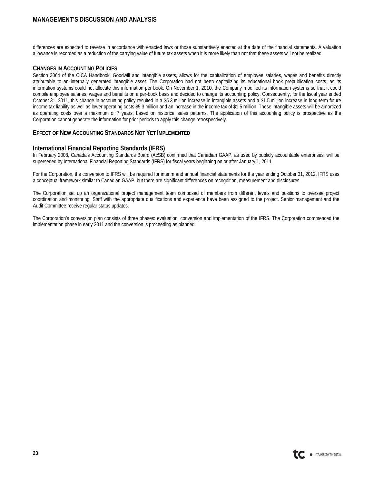differences are expected to reverse in accordance with enacted laws or those substantively enacted at the date of the financial statements. A valuation allowance is recorded as a reduction of the carrying value of future tax assets when it is more likely than not that these assets will not be realized.

#### **CHANGES IN ACCOUNTING POLICIES**

Section 3064 of the CICA Handbook, Goodwill and intangible assets, allows for the capitalization of employee salaries, wages and benefits directly attributable to an internally generated intangible asset. The Corporation had not been capitalizing its educational book prepublication costs, as its information systems could not allocate this information per book. On November 1, 2010, the Company modified its information systems so that it could compile employee salaries, wages and benefits on a per-book basis and decided to change its accounting policy. Consequently, for the fiscal year ended October 31, 2011, this change in accounting policy resulted in a \$5.3 million increase in intangible assets and a \$1.5 million increase in long-term future income tax liability as well as lower operating costs \$5.3 million and an increase in the income tax of \$1.5 million. These intangible assets will be amortized as operating costs over a maximum of 7 years, based on historical sales patterns. The application of this accounting policy is prospective as the Corporation cannot generate the information for prior periods to apply this change retrospectively.

#### **EFFECT OF NEW ACCOUNTING STANDARDS NOT YET IMPLEMENTED**

#### **International Financial Reporting Standards (IFRS)**

In February 2008, Canada's Accounting Standards Board (AcSB) confirmed that Canadian GAAP, as used by publicly accountable enterprises, will be superseded by International Financial Reporting Standards (IFRS) for fiscal years beginning on or after January 1, 2011.

For the Corporation, the conversion to IFRS will be required for interim and annual financial statements for the year ending October 31, 2012. IFRS uses a conceptual framework similar to Canadian GAAP, but there are significant differences on recognition, measurement and disclosures.

The Corporation set up an organizational project management team composed of members from different levels and positions to oversee project coordination and monitoring. Staff with the appropriate qualifications and experience have been assigned to the project. Senior management and the Audit Committee receive regular status updates.

The Corporation's conversion plan consists of three phases: evaluation, conversion and implementation of the IFRS. The Corporation commenced the implementation phase in early 2011 and the conversion is proceeding as planned.

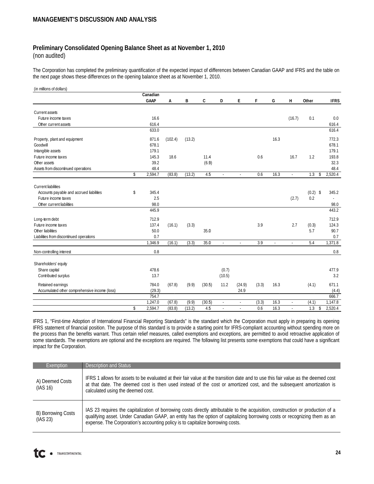#### Preliminary Consolidated Opening Balance Sheet as at November 1, 2010

(non audited)

The Corporation has completed the preliminary quantification of the expected impact of differences between Canadian GAAP and IFRS and the table on the next page shows these differences on the opening balance sheet as at November 1, 2010.

| (in millions of dollars)                      | Canadian      |         |        |              |                          |                          |       |      |        |            |             |
|-----------------------------------------------|---------------|---------|--------|--------------|--------------------------|--------------------------|-------|------|--------|------------|-------------|
|                                               | <b>GAAP</b>   | А       | В      | $\mathsf{C}$ | D                        | E                        | F     | G    | н      | Other      | <b>IFRS</b> |
| Current assets                                |               |         |        |              |                          |                          |       |      |        |            |             |
| Future income taxes                           | 16.6          |         |        |              |                          |                          |       |      | (16.7) | 0.1        | 0.0         |
| Other current assets                          | 616.4         |         |        |              |                          |                          |       |      |        |            | 616.4       |
|                                               | 633.0         |         |        |              |                          |                          |       |      |        |            | 616.4       |
| Property, plant and equipment                 | 871.6         | (102.4) | (13.2) |              |                          |                          |       | 16.3 |        |            | 772.3       |
| Goodwill                                      | 678.1         |         |        |              |                          |                          |       |      |        |            | 678.1       |
| Intangible assets                             | 179.1         |         |        |              |                          |                          |       |      |        |            | 179.1       |
| Future income taxes                           | 145.3         | 18.6    |        | 11.4         |                          |                          | 0.6   |      | 16.7   | 1.2        | 193.8       |
| Other assets                                  | 39.2          |         |        | (6.9)        |                          |                          |       |      |        |            | 32.3        |
| Assets from discontinued operations           | 48.4          |         |        |              |                          |                          |       |      |        |            | 48.4        |
|                                               | \$<br>2,594.7 | (83.8)  | (13.2) | 4.5          | $\overline{\phantom{a}}$ | ٠                        | 0.6   | 16.3 | $\sim$ | 1.3<br>\$  | 2,520.4     |
| <b>Current liabilities</b>                    |               |         |        |              |                          |                          |       |      |        |            |             |
| Accounts payable and accrued liabilities      | \$<br>345.4   |         |        |              |                          |                          |       |      |        | $(0.2)$ \$ | 345.2       |
| Future income taxes                           | 2.5           |         |        |              |                          |                          |       |      | (2.7)  | 0.2        |             |
| Other current liabilities                     | 98.0          |         |        |              |                          |                          |       |      |        |            | 98.0        |
|                                               | 445.9         |         |        |              |                          |                          |       |      |        |            | 443.2       |
| Long-term debt                                | 712.9         |         |        |              |                          |                          |       |      |        |            | 712.9       |
| Future income taxes                           | 137.4         | (16.1)  | (3.3)  |              |                          |                          | 3.9   |      | 2.7    | (0.3)      | 124.3       |
| Other liabilities                             | 50.0          |         |        | 35.0         |                          |                          |       |      |        | 5.7        | 90.7        |
| Liabilities from discontinued operations      | 0.7           |         |        |              |                          |                          |       |      |        |            | 0.7         |
|                                               | 1,346.9       | (16.1)  | (3.3)  | 35.0         | $\overline{\phantom{a}}$ | ÷.                       | 3.9   | ÷.   | $\sim$ | 5.4        | 1,371.8     |
| Non-controlling interest                      | 0.8           |         |        |              |                          |                          |       |      |        |            | 0.8         |
| Shareholders' equity                          |               |         |        |              |                          |                          |       |      |        |            |             |
| Share capital                                 | 478.6         |         |        |              | (0.7)                    |                          |       |      |        |            | 477.9       |
| Contributed surplus                           | 13.7          |         |        |              | (10.5)                   |                          |       |      |        |            | 3.2         |
|                                               |               |         |        |              |                          |                          |       |      |        |            |             |
| Retained earnings                             | 784.0         | (67.8)  | (9.9)  | (30.5)       | 11.2                     | (24.9)                   | (3.3) | 16.3 |        | (4.1)      | 671.1       |
| Accumulated other comprehensive income (loss) | (29.3)        |         |        |              |                          | 24.9                     |       |      |        |            | (4.4)       |
|                                               | 754.7         |         |        |              |                          |                          |       |      |        |            | 666.7       |
|                                               | 1,247.0       | (67.8)  | (9.9)  | (30.5)       | $\overline{\phantom{a}}$ | $\overline{\phantom{a}}$ | (3.3) | 16.3 |        | (4.1)      | 1,147.8     |
|                                               | \$<br>2,594.7 | (83.8)  | (13.2) | 4.5          | $\overline{\phantom{a}}$ | ÷.                       | 0.6   | 16.3 |        | 1.3<br>\$  | 2,520.4     |

IFRS 1, "First-time Adoption of International Financial Reporting Standards" is the standard which the Corporation must apply in preparing its opening IFRS statement of financial position. The purpose of this standard is to provide a starting point for IFRS-compliant accounting without spending more on the process than the benefits warrant. Thus certain relief measures, called exemptions and exceptions, are permitted to avoid retroactive application of some standards. The exemptions are optional and the exceptions are required. The following list presents some exemptions that could have a significant impact for the Corporation.

| Exemption                      | Description and Status                                                                                                                                                                                                                                                                                                                         |
|--------------------------------|------------------------------------------------------------------------------------------------------------------------------------------------------------------------------------------------------------------------------------------------------------------------------------------------------------------------------------------------|
| A) Deemed Costs<br>(IAS 16)    | IFRS 1 allows for assets to be evaluated at their fair value at the transition date and to use this fair value as the deemed cost<br>at that date. The deemed cost is then used instead of the cost or amortized cost, and the subsequent amortization is<br>calculated using the deemed cost.                                                 |
| B) Borrowing Costs<br>(IAS 23) | IAS 23 requires the capitalization of borrowing costs directly attributable to the acquisition, construction or production of a<br>qualifying asset. Under Canadian GAAP, an entity has the option of capitalizing borrowing costs or recognizing them as an<br>expense. The Corporation's accounting policy is to capitalize borrowing costs. |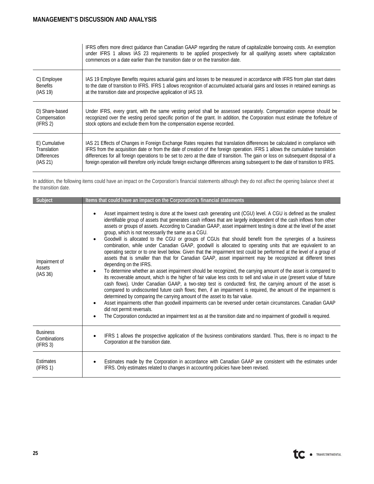|                    | IFRS offers more direct guidance than Canadian GAAP regarding the nature of capitalizable borrowing costs. An exemption<br>under IFRS 1 allows IAS 23 requirements to be applied prospectively for all qualifying assets where capitalization<br>commences on a date earlier than the transition date or on the transition date. |
|--------------------|----------------------------------------------------------------------------------------------------------------------------------------------------------------------------------------------------------------------------------------------------------------------------------------------------------------------------------|
| C) Employee        | IAS 19 Employee Benefits requires actuarial gains and losses to be measured in accordance with IFRS from plan start dates                                                                                                                                                                                                        |
| <b>Benefits</b>    | to the date of transition to IFRS. IFRS 1 allows recognition of accumulated actuarial gains and losses in retained earnings as                                                                                                                                                                                                   |
| (IAS 19)           | at the transition date and prospective application of IAS 19.                                                                                                                                                                                                                                                                    |
| D) Share-based     | Under IFRS, every grant, with the same vesting period shall be assessed separately. Compensation expense should be                                                                                                                                                                                                               |
| Compensation       | recognized over the vesting period specific portion of the grant. In addition, the Corporation must estimate the forfeiture of                                                                                                                                                                                                   |
| (IFRS 2)           | stock options and exclude them from the compensation expense recorded.                                                                                                                                                                                                                                                           |
| E) Cumulative      | IAS 21 Effects of Changes in Foreign Exchange Rates requires that translation differences be calculated in compliance with                                                                                                                                                                                                       |
| Translation        | IFRS from the acquisition date or from the date of creation of the foreign operation. IFRS 1 allows the cumulative translation                                                                                                                                                                                                   |
| <b>Differences</b> | differences for all foreign operations to be set to zero at the date of transition. The gain or loss on subsequent disposal of a                                                                                                                                                                                                 |
| (IAS 21)           | foreign operation will therefore only include foreign exchange differences arising subsequent to the date of transition to IFRS.                                                                                                                                                                                                 |

In addition, the following items could have an impact on the Corporation's financial statements although they do not affect the opening balance sheet at the transition date.

| Subject                                     | Items that could have an impact on the Corporation's financial statements                                                                                                                                                                                                                                                                                                                                                                                                                                                                                                                                                                                                                                                                                                                                                                                                                                                                                                                                                                                                                                                                                                                                                                                                                                                                                                                                                                                                                                                                                                                                                                                                                                                                                                               |
|---------------------------------------------|-----------------------------------------------------------------------------------------------------------------------------------------------------------------------------------------------------------------------------------------------------------------------------------------------------------------------------------------------------------------------------------------------------------------------------------------------------------------------------------------------------------------------------------------------------------------------------------------------------------------------------------------------------------------------------------------------------------------------------------------------------------------------------------------------------------------------------------------------------------------------------------------------------------------------------------------------------------------------------------------------------------------------------------------------------------------------------------------------------------------------------------------------------------------------------------------------------------------------------------------------------------------------------------------------------------------------------------------------------------------------------------------------------------------------------------------------------------------------------------------------------------------------------------------------------------------------------------------------------------------------------------------------------------------------------------------------------------------------------------------------------------------------------------------|
| Impairment of<br>Assets<br>(IAS 36)         | Asset impairment testing is done at the lowest cash generating unit (CGU) level. A CGU is defined as the smallest<br>$\bullet$<br>identifiable group of assets that generates cash inflows that are largely independent of the cash inflows from other<br>assets or groups of assets. According to Canadian GAAP, asset impairment testing is done at the level of the asset<br>group, which is not necessarily the same as a CGU.<br>Goodwill is allocated to the CGU or groups of CGUs that should benefit from the synergies of a business<br>combination, while under Canadian GAAP, goodwill is allocated to operating units that are equivalent to an<br>operating sector or to one level below. Given that the impairment test could be performed at the level of a group of<br>assets that is smaller than that for Canadian GAAP, asset impairment may be recognized at different times<br>depending on the IFRS.<br>To determine whether an asset impairment should be recognized, the carrying amount of the asset is compared to<br>$\bullet$<br>its recoverable amount, which is the higher of fair value less costs to sell and value in use (present value of future<br>cash flows). Under Canadian GAAP, a two-step test is conducted: first, the carrying amount of the asset is<br>compared to undiscounted future cash flows; then, if an impairment is required, the amount of the impairment is<br>determined by comparing the carrying amount of the asset to its fair value.<br>Asset impairments other than goodwill impairments can be reversed under certain circumstances. Canadian GAAP<br>$\bullet$<br>did not permit reversals.<br>The Corporation conducted an impairment test as at the transition date and no impairment of goodwill is required.<br>٠ |
| <b>Business</b><br>Combinations<br>(IFRS 3) | IFRS 1 allows the prospective application of the business combinations standard. Thus, there is no impact to the<br>Corporation at the transition date.                                                                                                                                                                                                                                                                                                                                                                                                                                                                                                                                                                                                                                                                                                                                                                                                                                                                                                                                                                                                                                                                                                                                                                                                                                                                                                                                                                                                                                                                                                                                                                                                                                 |
| <b>Estimates</b><br>(IFRS 1)                | Estimates made by the Corporation in accordance with Canadian GAAP are consistent with the estimates under<br>IFRS. Only estimates related to changes in accounting policies have been revised.                                                                                                                                                                                                                                                                                                                                                                                                                                                                                                                                                                                                                                                                                                                                                                                                                                                                                                                                                                                                                                                                                                                                                                                                                                                                                                                                                                                                                                                                                                                                                                                         |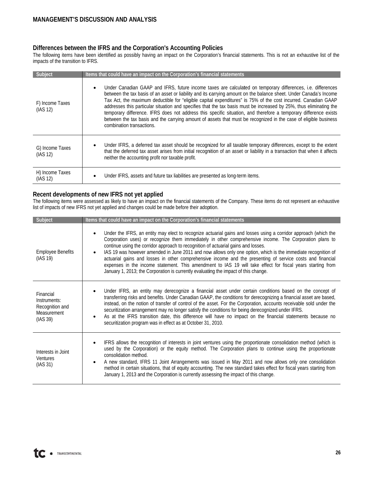Differences between the IFRS and the Corporation's Accounting Policies<br>The following items have been identified as possibly having an impact on the Corporation's financial statements. This is not an exhaustive list of the impacts of the transition to IFRS.

| Subject                     | Items that could have an impact on the Corporation's financial statements                                                                                                                                                                                                                                                                                                                                                                                                                                                                                                                                                                                                                                                                       |
|-----------------------------|-------------------------------------------------------------------------------------------------------------------------------------------------------------------------------------------------------------------------------------------------------------------------------------------------------------------------------------------------------------------------------------------------------------------------------------------------------------------------------------------------------------------------------------------------------------------------------------------------------------------------------------------------------------------------------------------------------------------------------------------------|
| F) Income Taxes<br>(IAS 12) | Under Canadian GAAP and IFRS, future income taxes are calculated on temporary differences, i.e. differences<br>between the tax basis of an asset or liability and its carrying amount on the balance sheet. Under Canada's Income<br>Tax Act, the maximum deductible for "eligible capital expenditures" is 75% of the cost incurred. Canadian GAAP<br>addresses this particular situation and specifies that the tax basis must be increased by 25%, thus eliminating the<br>temporary difference. IFRS does not address this specific situation, and therefore a temporary difference exists<br>between the tax basis and the carrying amount of assets that must be recognized in the case of eligible business<br>combination transactions. |
| G) Income Taxes<br>(IAS 12) | Under IFRS, a deferred tax asset should be recognized for all taxable temporary differences, except to the extent<br>that the deferred tax asset arises from initial recognition of an asset or liability in a transaction that when it affects<br>neither the accounting profit nor taxable profit.                                                                                                                                                                                                                                                                                                                                                                                                                                            |
| H) Income Taxes<br>(IAS 12) | Under IFRS, assets and future tax liabilities are presented as long-term items.                                                                                                                                                                                                                                                                                                                                                                                                                                                                                                                                                                                                                                                                 |

#### Recent developments of new IFRS not yet applied

The following items were assessed as likely to have an impact on the financial statements of the Company. These items do not represent an exhaustive list of impacts of new IFRS not yet applied and changes could be made before their adoption.

| Subject                                                                 | Items that could have an impact on the Corporation's financial statements                                                                                                                                                                                                                                                                                                                                                                                                                                                                                                                                                                                                                                                                                          |
|-------------------------------------------------------------------------|--------------------------------------------------------------------------------------------------------------------------------------------------------------------------------------------------------------------------------------------------------------------------------------------------------------------------------------------------------------------------------------------------------------------------------------------------------------------------------------------------------------------------------------------------------------------------------------------------------------------------------------------------------------------------------------------------------------------------------------------------------------------|
| <b>Employee Benefits</b><br>(IAS 19)                                    | Under the IFRS, an entity may elect to recognize actuarial gains and losses using a corridor approach (which the<br>Corporation uses) or recognize them immediately in other comprehensive income. The Corporation plans to<br>continue using the corridor approach to recognition of actuarial gains and losses.<br>IAS 19 was however amended in June 2011 and now allows only one option, which is the immediate recognition of<br>$\bullet$<br>actuarial gains and losses in other comprehensive income and the presenting of service costs and financial<br>expenses in the income statement. This amendment to IAS 19 will take effect for fiscal years starting from<br>January 1, 2013; the Corporation is currently evaluating the impact of this change. |
| Financial<br>Instruments:<br>Recognition and<br>Measurement<br>(IAS 39) | Under IFRS, an entity may derecognize a financial asset under certain conditions based on the concept of<br>transferring risks and benefits. Under Canadian GAAP, the conditions for derecognizing a financial asset are based,<br>instead, on the notion of transfer of control of the asset. For the Corporation, accounts receivable sold under the<br>securitization arrangement may no longer satisfy the conditions for being derecognized under IFRS.<br>As at the IFRS transition date, this difference will have no impact on the financial statements because no<br>securitization program was in effect as at October 31, 2010.                                                                                                                         |
| Interests in Joint<br><b>Ventures</b><br>(IAS 31)                       | IFRS allows the recognition of interests in joint ventures using the proportionate consolidation method (which is<br>used by the Corporation) or the equity method. The Corporation plans to continue using the proportionate<br>consolidation method.<br>A new standard, IFRS 11 Joint Arrangements was issued in May 2011 and now allows only one consolidation<br>method in certain situations, that of equity accounting. The new standard takes effect for fiscal years starting from<br>January 1, 2013 and the Corporation is currently assessing the impact of this change.                                                                                                                                                                                |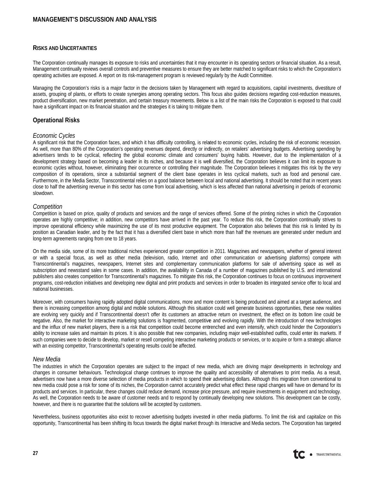#### **RISKS AND UNCERTAINTIES**

The Corporation continually manages its exposure to risks and uncertainties that it may encounter in its operating sectors or financial situation. As a result, Management continually reviews overall controls and preventive measures to ensure they are better matched to significant risks to which the Corporation's operating activities are exposed. A report on its risk-management program is reviewed regularly by the Audit Committee.

Managing the Corporation's risks is a major factor in the decisions taken by Management with regard to acquisitions, capital investments, divestiture of assets, grouping of plants, or efforts to create synergies among operating sectors. This focus also guides decisions regarding cost-reduction measures, product diversification, new market penetration, and certain treasury movements. Below is a list of the main risks the Corporation is exposed to that could have a significant impact on its financial situation and the strategies it is taking to mitigate them.

#### **Operational Risks**

#### Economic Cycles

A significant risk that the Corporation faces, and which it has difficulty controlling, is related to economic cycles, including the risk of economic recession. As well, more than 80% of the Corporation's operating revenues depend, directly or indirectly, on retailers' advertising budgets. Advertising spending by advertisers tends to be cyclical, reflecting the global economic climate and consumers' buying habits. However, due to the implementation of a development strategy based on becoming a leader in its niches, and because it is well diversified, the Corporation believes it can limit its exposure to economic cycles without, however, eliminating their occurrence or controlling their magnitude. The Corporation believes it mitigates this risk by the very composition of its operations, since a substantial segment of the client base operates in less cyclical markets, such as food and personal care. Furthermore, in the Media Sector, Transcontinental relies on a good balance between local and national advertising. It should be noted that in recent years close to half the advertising revenue in this sector has come from local advertising, which is less affected than national advertising in periods of economic slowdown

#### Competition

Competition is based on price, quality of products and services and the range of services offered. Some of the printing niches in which the Corporation operates are highly competitive; in addition, new competitors have arrived in the past year. To reduce this risk, the Corporation continually strives to improve operational efficiency while maximizing the use of its most productive equipment. The Corporation also believes that this risk is limited by its position as Canadian leader, and by the fact that it has a diversified client base in which more than half the revenues are generated under medium and long-term agreements ranging from one to 18 years.

On the media side, some of its more traditional niches experienced greater competition in 2011. Magazines and newspapers, whether of general interest or with a special focus, as well as other media (television, radio, Internet and other communication or advertising platforms) compete with Transcontinental's magazines, newspapers, Internet sites and complementary communication platforms for sale of advertising space as well as subscription and newsstand sales in some cases. In addition, the availability in Canada of a number of magazines published by U.S. and international publishers also creates competition for Transcontinental's magazines. To mitigate this risk, the Corporation continues to focus on continuous improvement programs, cost-reduction initiatives and developing new digital and print products and services in order to broaden its integrated service offer to local and national businesses.

Moreover, with consumers having rapidly adopted digital communications, more and more content is being produced and aimed at a target audience, and there is increasing competition among digital and mobile solutions. Although this situation could well generate business opportunities, these new realities are evolving very quickly and if Transcontinental doesn't offer its customers an attractive return on investment, the effect on its bottom line could be negative. Also, the market for interactive marketing solutions is fragmented, competitive and evolving rapidly. With the introduction of new technologies and the influx of new market players, there is a risk that competition could become entrenched and even intensify, which could hinder the Corporation's ability to increase sales and maintain its prices. It is also possible that new companies, including major well-established outfits, could enter its markets. If such companies were to decide to develop, market or resell competing interactive marketing products or services, or to acquire or form a strategic alliance with an existing competitor, Transcontinental's operating results could be affected.

#### New Media

The industries in which the Corporation operates are subject to the impact of new media, which are driving major developments in technology and changes in consumer behaviours. Technological change continues to improve the quality and accessibility of alternatives to print media. As a result, advertisers now have a more diverse selection of media products in which to spend their advertising dollars. Although this migration from conventional to new media could pose a risk for some of its niches, the Corporation cannot accurately predict what effect these rapid changes will have on demand for its products and services. In particular, these changes could reduce demand, increase price pressure, and require investments in equipment and technology. As well, the Corporation needs to be aware of customer needs and to respond by continually developing new solutions. This development can be costly, however, and there is no quarantee that the solutions will be accepted by customers.

Nevertheless, business opportunities also exist to recover advertising budgets invested in other media platforms. To limit the risk and capitalize on this opportunity, Transcontinental has been shifting its focus towards the digital market through its Interactive and Media sectors. The Corporation has targeted

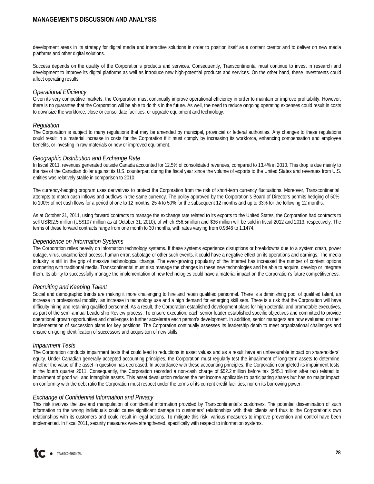development areas in its strategy for digital media and interactive solutions in order to position itself as a content creator and to deliver on new media platforms and other digital solutions.

Success depends on the quality of the Corporation's products and services. Consequently, Transcontinental must continue to invest in research and development to improve its digital platforms as well as introduce new high-potential products and services. On the other hand, these investments could affect operating results.

#### Operational Efficiency

Given its very competitive markets, the Corporation must continually improve operational efficiency in order to maintain or improve profitability. However, there is no quarantee that the Corporation will be able to do this in the future. As well, the need to reduce ongoing operating expenses could result in costs to downsize the workforce, close or consolidate facilities, or upgrade equipment and technology.

#### Reaulation

The Corporation is subject to many regulations that may be amended by municipal, provincial or federal authorities. Any changes to these regulations could result in a material increase in costs for the Corporation if it must comply by increasing its workforce, enhancing compensation and employee benefits, or investing in raw materials or new or improved equipment.

#### Geographic Distribution and Exchange Rate

In fiscal 2011, revenues generated outside Canada accounted for 12.5% of consolidated revenues, compared to 13.4% in 2010. This drop is due mainly to the rise of the Canadian dollar against its U.S. counterpart during the fiscal year since the volume of exports to the United States and revenues from U.S. entities was relatively stable in comparison to 2010.

The currency-hedging program uses derivatives to protect the Corporation from the risk of short-term currency fluctuations. Moreover, Transcontinental attempts to match cash inflows and outflows in the same currency. The policy approved by the Corporation's Board of Directors permits hedging of 50% to 100% of net cash flows for a period of one to 12 months, 25% to 50% for the subsequent 12 months and up to 33% for the following 12 months.

As at October 31, 2011, using forward contracts to manage the exchange rate related to its exports to the United States, the Corporation had contracts to sell US\$92.5 million (US\$107 million as at October 31, 2010), of which \$56.5million and \$36 million will be sold in fiscal 2012 and 2013, respectively. The terms of these forward contracts range from one month to 30 months, with rates varying from 0.9846 to 1.1474.

#### Dependence on Information Systems

The Corporation relies heavily on information technology systems. If these systems experience disruptions or breakdowns due to a system crash, power outage, virus, unauthorized access, human error, sabotage or other such events, it could have a negative effect on its operations and earnings. The media industry is still in the grip of massive technological change. The ever-growing popularity of the Internet has increased the number of content options competing with traditional media. Transcontinental must also manage the changes in these new technologies and be able to acquire, develop or integrate them. Its ability to successfully manage the implementation of new technologies could have a material impact on the Corporation's future competitiveness.

#### Recruiting and Keeping Talent

Social and demographic trends are making it more challenging to hire and retain qualified personnel. There is a diminishing pool of qualified talent, an increase in professional mobility, an increase in technology use and a high demand for emerging skill sets. There is a risk that the Corporation will have difficulty hiring and retaining qualified personnel. As a result, the Corporation established development plans for high-potential and promotable executives, as part of the semi-annual Leadership Review process. To ensure execution, each senior leader established specific objectives and committed to provide operational growth opportunities and challenges to further accelerate each person's development. In addition, senior managers are now evaluated on their implementation of succession plans for key positions. The Corporation continually assesses its leadership depth to meet organizational challenges and ensure on-going identification of successors and acquisition of new skills.

#### **Impairment Tests**

The Corporation conducts impairment tests that could lead to reductions in asset values and as a result have an unfavourable impact on shareholders' equity. Under Canadian generally accepted accounting principles, the Corporation must regularly test the impairment of long-term assets to determine whether the value of the asset in question has decreased. In accordance with these accounting principles, the Corporation completed its impairment tests in the fourth quarter 2011. Consequently, the Corporation recorded a non-cash charge of \$52.2 million before tax (\$45.1 million after tax) related to impairment of good will and intangible assets. This asset devaluation reduces the net income applicable to participating shares but has no major impact on conformity with the debt ratio the Corporation must respect under the terms of its current credit facilities, nor on its borrowing power.

#### Exchange of Confidential Information and Privacy

This risk involves the use and manipulation of confidential information provided by Transcontinental's customers. The potential dissemination of such information to the wrong individuals could cause significant damage to customers' relationships with their clients and thus to the Corporation's own relationships with its customers and could result in legal actions. To mitigate this risk, various measures to improve prevention and control have been implemented. In fiscal 2011, security measures were strengthened, specifically with respect to information systems.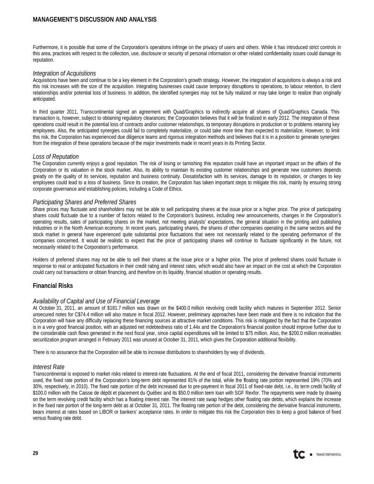# **M MANAGEMENT T'S DISCUSSI ION AND ANA ALYSIS**

Furthermore, it is possible that some of the Corporation's operations infringe on the privacy of users and others. While it has introduced strict controls in this area, practices with respect to the collection, use, disclosure or security of personal information or other related confidentiality issues could damage its reputation.

## *In ntegration of A Acquisitions*

Acquisitions have been and continue to be a key element in the Corporation's growth strategy. However, the integration of acquisitions is always a risk and this risk increases with the size of the acquisition. Integrating businesses could cause temporary disruptions to operations, to labour retention, to client relationships and/or potential loss of business. In addition, the identified synergies may not be fully realized or may take longer to realize than originally a anticipated.

In third quarter 2011, Transcontinental signed an agreement with Quad/Graphics to indirectly acquire all shares of Quad/Graphics Canada. This transaction is, however, subject to obtaining regulatory clearances; the Corporation believes that it will be finalized in early 2012. The integration of these operations could result in the potential loss of contracts and/or customer relationships, to temporary disruptions in production or to problems retaining key employees. Also, the anticipated synergies could fail to completely materialize, or could take more time than expected to materialize. However, to limit this risk, the Corporation has experienced due diligence teams and rigorous integration methods and believes that it is in a position to generate synergies from the integration of these operations because of the major investments made in recent years in its Printing Sector.

# *L Loss of Reputa tion*

The Corporation currently enjoys a good reputation. The risk of losing or tarnishing this reputation could have an important impact on the affairs of the Corporation or its valuation in the stock market. Also, its ability to maintain its existing customer relationships and generate new customers depends greatly on the quality of its services, reputation and business continuity. Dissatisfaction with its services, damage to its reputation, or changes to key employees could lead to a loss of business. Since its creation, the Corporation has taken important steps to mitigate this risk, mainly by ensuring strong corporate governance and establishing policies, including a Code of Ethics.

# *P Participating Sh hares and Pref ferred Shares*

Share prices may fluctuate and shareholders may not be able to sell participating shares at the issue price or a higher price. The price of participating shares could fluctuate due to a number of factors related to the Corporation's business, including new announcements, changes in the Corporation's operating results, sales of participating shares on the market, not meeting analysts' expectations, the general situation in the printing and publishing industries or in the North American economy. In recent years, participating shares, the shares of other companies operating in the same sectors and the stock market in general have experienced quite substantial price fluctuations that were not necessarily related to the operating performance of the companies concerned. It would be realistic to expect that the price of participating shares will continue to fluctuate significantly in the future, not necessarily related to the Corporation's performance.

Holders of preferred shares may not be able to sell their shares at the issue price or a higher price. The price of preferred shares could fluctuate in response to real or anticipated fluctuations in their credit rating and interest rates, which would also have an impact on the cost at which the Corporation could carry out transactions or obtain financing, and therefore on its liquidity, financial situation or operating results.

# **F Financial Risk ks**

## *A Availability of C Capital and Use e of Financial L Leverage*

At October 31, 2011, an amount of \$181.7 million was drawn on the \$400.0 million revolving credit facility which matures in September 2012. Senior unsecured notes for C\$74.4 million will also mature in fiscal 2012. However, preliminary approaches have been made and there is no indication that the Corporation will have any difficulty replacing these financing sources at attractive market conditions. This risk is mitigated by the fact that the Corporation is in a very good financial position, with an adjusted net indebtedness ratio of 1.44x and the Corporation's financial position should improve further due to the considerable cash flows generated in the next fiscal year, since capital expenditures will be limited to \$75 million. Also, the \$200.0 million receivables securitization program arranged in February 2011 was unused at October 31, 2011, which gives the Corporation additional flexibility.

There is no assurance that the Corporation will be able to increase distributions to shareholders by way of dividends.

## *In nterest Rate*

Transcontinental is exposed to market risks related to interest-rate fluctuations. At the end of fiscal 2011, considering the derivative financial instruments used, the fixed rate portion of the Corporation's long-term debt represented 81% of the total, while the floating rate portion represented 19% (70% and 30%, respectively, in 2010). The fixed rate portion of the debt increased due to pre-payment in fiscal 2011 of fixed-rate debt, i.e., its term credit facility of \$100.0 million with the Caisse de dépôt et placement du Québec and its \$50.0 million term loan with SGF Rexfor. The repayments were made by drawing on the term revolving credit facility which has a floating interest rate. The interest rate swap hedges other floating rate debts, which explains the increase in the fixed rate portion of the long-term debt as at October 31, 2011. The floating rate portion of the debt, considering the derivative financial instruments, bears interest at rates based on LIBOR or bankers' acceptance rates. In order to mitigate this risk the Corporation tries to keep a good balance of fixed versus floating rate debt.

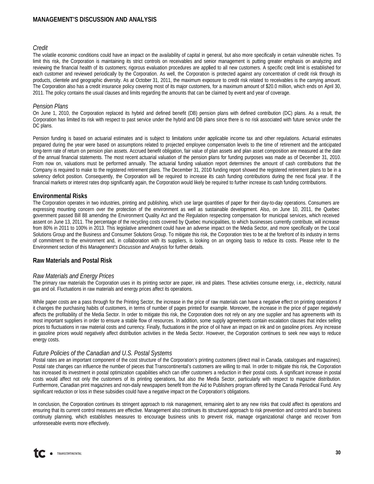# **M MANAGEMENT T'S DISCUSSI ION AND ANA ALYSIS**

# *C Credit*

The volatile economic conditions could have an impact on the availability of capital in general, but also more specifically in certain vulnerable niches. To limit this risk, the Corporation is maintaining its strict controls on receivables and senior management is putting greater emphasis on analyzing and reviewing the financial health of its customers; rigorous evaluation procedures are applied to all new customers. A specific credit limit is established for each customer and reviewed periodically by the Corporation. As well, the Corporation is protected against any concentration of credit risk through its products, clientele and geographic diversity. As at October 31, 2011, the maximum exposure to credit risk related to receivables is the carrying amount. The Corporation also has a credit insurance policy covering most of its major customers, for a maximum amount of \$20.0 million, which ends on April 30, 2011. The policy contains the usual clauses and limits regarding the amounts that can be claimed by event and year of coverage.

# *P Pension Plans*

On June 1, 2010, the Corporation replaced its hybrid and defined benefit (DB) pension plans with defined contribution (DC) plans. As a result, the Corporation has limited its risk with respect to past service under the hybrid and DB plans since there is no risk associated with future service under the D DC plans.

Pension funding is based on actuarial estimates and is subject to limitations under applicable income tax and other regulations. Actuarial estimates prepared during the year were based on assumptions related to projected employee compensation levels to the time of retirement and the anticipated long-term rate of return on pension plan assets. Accrued benefit obligation, fair value of plan assets and plan asset composition are measured at the date of the annual financial statements. The most recent actuarial valuation of the pension plans for funding purposes was made as of December 31, 2010. From now on, valuations must be performed annually. The actuarial funding valuation report determines the amount of cash contributions that the Company is required to make to the registered retirement plans. The December 31, 2010 funding report showed the registered retirement plans to be in a solvency deficit position. Consequently, the Corporation will be required to increase its cash funding contributions during the next fiscal year. If the financial markets or interest rates drop significantly again, the Corporation would likely be required to further increase its cash funding contributions.

## **E Environmenta l Risks**

The Corporation operates in two industries, printing and publishing, which use large quantities of paper for their day-to-day operations. Consumers are expressing mounting concern over the protection of the environment as well as sustainable development. Also, on June 10, 2011, the Quebec government passed Bill 88 amending the Environment Quality Act and the Regulation respecting compensation for municipal services, which received assent on June 13, 2011. The percentage of the recycling costs covered by Quebec municipalities, to which businesses currently contribute, will increase from 80% in 2011 to 100% in 2013. This legislative amendment could have an adverse impact on the Media Sector, and more specifically on the Local Solutions Group and the Business and Consumer Solutions Group. To mitigate this risk, the Corporation tries to be at the forefront of its industry in terms of commitment to the environment and, in collaboration with its suppliers, is looking on an ongoing basis to reduce its costs. Please refer to the Environment section of this *Management's Discussion and Analysis* for further details.

# **R Raw Materials and Postal R isk**

## **Raw Materials and Energy Prices**

The primary raw materials the Corporation uses in its printing sector are paper, ink and plates. These activities consume energy, i.e., electricity, natural gas and oil. Fluctuations in raw materials and energy prices affect its operations.

While paper costs are a pass through for the Printing Sector, the increase in the price of raw materials can have a negative effect on printing operations if it changes the purchasing habits of customers, in terms of number of pages printed for example. Moreover, the increase in the price of paper negatively affects the profitability of the Media Sector. In order to mitigate this risk, the Corporation does not rely on any one supplier and has agreements with its most important suppliers in order to ensure a stable flow of resources. In addition, some supply agreements contain escalation clauses that index selling prices to fluctuations in raw material costs and currency. Finally, fluctuations in the price of oil have an impact on ink and on gasoline prices. Any increase in gasoline prices would negatively affect distribution activities in the Media Sector. However, the Corporation continues to seek new ways to reduce e energy costs.

# *Future Policies of the Canadian and U.S. Postal Systems*

Postal rates are an important component of the cost structure of the Corporation's printing customers (direct mail in Canada, catalogues and magazines). Postal rate changes can influence the number of pieces that Transcontinental's customers are willing to mail. In order to mitigate this risk, the Corporation has increased its investment in postal optimization capabilities which can offer customers a reduction in their postal costs. A significant increase in postal costs would affect not only the customers of its printing operations, but also the Media Sector, particularly with respect to magazine distribution. Furthermore, Canadian print magazines and non-daily newspapers benefit from the Aid to Publishers program offered by the Canada Periodical Fund. Any significant reduction or loss in these subsidies could have a negative impact on the Corporation's obligations.

In conclusion, the Corporation continues its stringent approach to risk management, remaining alert to any new risks that could affect its operations and ensuring that its current control measures are effective. Management also continues its structured approach to risk prevention and control and to business continuity planning, which establishes measures to encourage business units to prevent risk, manage organizational change and recover from unforeseeable events more effectively.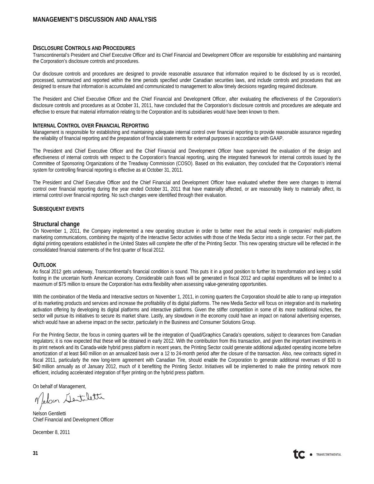## **DISCLOSURE CONTROLS AND PROCEDURES**

Transcontinental's President and Chief Executive Officer and its Chief Financial and Development Officer are responsible for establishing and maintaining the Corporation's disclosure controls and procedures.

Our disclosure controls and procedures are designed to provide reasonable assurance that information required to be disclosed by us is recorded, processed, summarized and reported within the time periods specified under Canadian securities laws, and include controls and procedures that are designed to ensure that information is accumulated and communicated to management to allow timely decisions regarding required disclosure.

The President and Chief Executive Officer and the Chief Financial and Development Officer, after evaluating the effectiveness of the Corporation's disclosure controls and procedures as at October 31, 2011, have concluded that the Corporation's disclosure controls and procedures are adequate and effective to ensure that material information relating to the Corporation and its subsidiaries would have been known to them.

## **INTERNAL CONTROL OVER FINANCIAL REPORTING**

Management is responsible for establishing and maintaining adequate internal control over financial reporting to provide reasonable assurance regarding the reliability of financial reporting and the preparation of financial statements for external purposes in accordance with GAAP.

The President and Chief Executive Officer and the Chief Financial and Development Officer have supervised the evaluation of the design and effectiveness of internal controls with respect to the Corporation's financial reporting, using the integrated framework for internal controls issued by the Committee of Sponsoring Organizations of the Treadway Commission (COSO). Based on this evaluation, they concluded that the Corporation's internal system for controlling financial reporting is effective as at October 31, 2011.

The President and Chief Executive Officer and the Chief Financial and Development Officer have evaluated whether there were changes to internal control over financial reporting during the year ended October 31, 2011 that have materially affected, or are reasonably likely to materially affect, its internal control over financial reporting. No such changes were identified through their evaluation.

## SUBSEQUENT EVENTS

## Structural change

On November 1, 2011, the Company implemented a new operating structure in order to better meet the actual needs in companies' multi-platform marketing communications, combining the majority of the Interactive Sector activities with those of the Media Sector into a single sector. For their part, the digital printing operations established in the United States will complete the offer of the Printing Sector. This new operating structure will be reflected in the consolidated financial statements of the first quarter of fiscal 2012.

## **O OUTLOOK**

As fiscal 2012 gets underway, Transcontinental's financial condition is sound. This puts it in a good position to further its transformation and keep a solid footing in the uncertain North American economy. Considerable cash flows will be generated in fiscal 2012 and capital expenditures will be limited to a maximum of \$75 million to ensure the Corporation has extra flexibility when assessing value-generating opportunities.

With the combination of the Media and Interactive sectors on November 1, 2011, in coming quarters the Corporation should be able to ramp up integration of its marketing products and services and increase the profitability of its digital platforms. The new Media Sector will focus on integration and its marketing activation offering by developing its digital platforms and interactive platforms. Given the stiffer competition in some of its more traditional niches, the sector will pursue its initiatives to secure its market share. Lastly, any slowdown in the economy could have an impact on national advertising expenses, which would have an adverse impact on the sector, particularly in the Business and Consumer Solutions Group.

For the Printing Sector, the focus in coming quarters will be the integration of Quad/Graphics Canada's operations, subject to clearances from Canadian regulators; it is now expected that these will be obtained in early 2012. With the contribution from this transaction, and given the important investments in its print network and its Canada-wide hybrid press platform in recent years, the Printing Sector could generate additional adjusted operating income before amortization of at least \$40 million on an annualized basis over a 12 to 24-month period after the closure of the transaction. Also, new contracts signed in fiscal 2011, particularly the new long-term agreement with Canadian Tire, should enable the Corporation to generate additional revenues of \$30 to \$40 million annually as of January 2012, much of it benefiting the Printing Sector. Initiatives will be implemented to make the printing network more efficient, including accelerated integration of flyer printing on the hybrid press platform.

O On behalf of Mana gement,

Nelson Gentilette

N Nelson Gentiletti Chief Financial and Development Officer

D December 8, 2011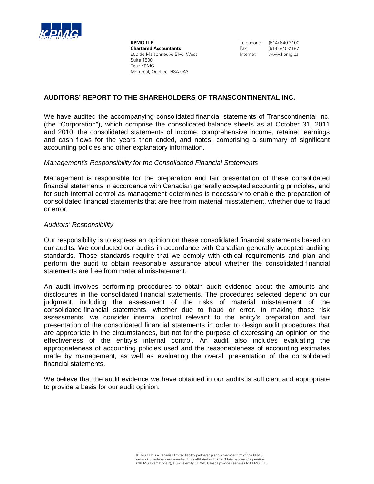

**KPMG LLP Chartered Accountants** 600 de Maisonneuve Blvd. West Suite 1500 Tour KPMG Montréal, Québec H3A 0A3

Telephone (514) 840-2100 Fax (514) 840-2187 Internet www.kpmg.ca

# **AUDITORS' REPORT TO THE SHAREHOLDERS OF TRANSCONTINENTAL INC.**

We have audited the accompanying consolidated financial statements of Transcontinental inc. (the "Corporation"), which comprise the consolidated balance sheets as at October 31, 2011 and 2010, the consolidated statements of income, comprehensive income, retained earnings and cash flows for the years then ended, and notes, comprising a summary of significant accounting policies and other explanatory information.

# *Management's Responsibility for the Consolidated Financial Statements*

Management is responsible for the preparation and fair presentation of these consolidated financial statements in accordance with Canadian generally accepted accounting principles, and for such internal control as management determines is necessary to enable the preparation of consolidated financial statements that are free from material misstatement, whether due to fraud or error.

# *Auditors' Responsibility*

Our responsibility is to express an opinion on these consolidated financial statements based on our audits. We conducted our audits in accordance with Canadian generally accepted auditing standards. Those standards require that we comply with ethical requirements and plan and perform the audit to obtain reasonable assurance about whether the consolidated financial statements are free from material misstatement.

An audit involves performing procedures to obtain audit evidence about the amounts and disclosures in the consolidated financial statements. The procedures selected depend on our judgment, including the assessment of the risks of material misstatement of the consolidated financial statements, whether due to fraud or error. In making those risk assessments, we consider internal control relevant to the entity's preparation and fair presentation of the consolidated financial statements in order to design audit procedures that are appropriate in the circumstances, but not for the purpose of expressing an opinion on the effectiveness of the entity's internal control. An audit also includes evaluating the appropriateness of accounting policies used and the reasonableness of accounting estimates made by management, as well as evaluating the overall presentation of the consolidated financial statements.

We believe that the audit evidence we have obtained in our audits is sufficient and appropriate to provide a basis for our audit opinion.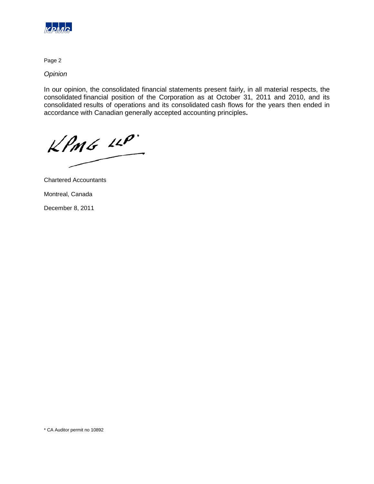

Page 2

*Opinion*

In our opinion, the consolidated financial statements present fairly, in all material respects, the consolidated financial position of the Corporation as at October 31, 2011 and 2010, and its consolidated results of operations and its consolidated cash flows for the years then ended in accordance with Canadian generally accepted accounting principles**.**

 $KPMG$  14P

Chartered Accountants

Montreal, Canada

December 8, 2011

\* CA Auditor permit no 10892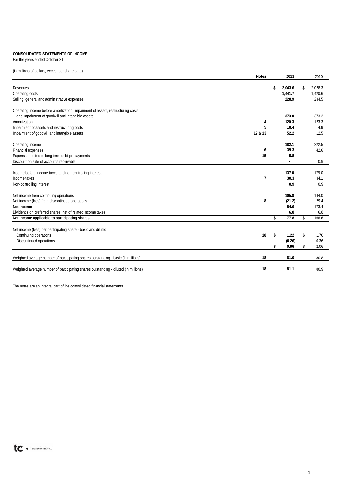# **CONSOLIDATED STATEMENTS OF INCOME**

For the years ended October 31

## (in millions of dollars, except per share data)

|                                                                                     | <b>Notes</b>   | 2011                     | 2010                     |
|-------------------------------------------------------------------------------------|----------------|--------------------------|--------------------------|
| Revenues<br>Operating costs                                                         |                | \$<br>2,043.6<br>1.441.7 | \$<br>2.028.3<br>1,420.6 |
| Selling, general and administrative expenses                                        |                | 228.9                    | 234.5                    |
|                                                                                     |                |                          |                          |
| Operating income before amortization, impairment of assets, restructuring costs     |                |                          |                          |
| and impairment of goodwill and intangible assets                                    |                | 373.0                    | 373.2                    |
| Amortization                                                                        | 4              | 120.3                    | 123.3                    |
| Impairment of assets and restructuring costs                                        | 5              | 18.4                     | 14.9                     |
| Impairment of goodwill and intangible assets                                        | 12 & 13        | 52.2                     | 12.5                     |
|                                                                                     |                |                          |                          |
| Operating income                                                                    |                | 182.1                    | 222.5                    |
| Financial expenses                                                                  | 6              | 39.3                     | 42.6                     |
| Expenses related to long-term debt prepayments                                      | 15             | 5.8                      | $\sim$                   |
| Discount on sale of accounts receivable                                             |                | $\blacksquare$           | 0.9                      |
|                                                                                     |                | 137.0                    | 179.0                    |
| Income before income taxes and non-controlling interest<br>Income taxes             | $\overline{7}$ | 30.3                     | 34.1                     |
|                                                                                     |                | 0.9                      | 0.9                      |
| Non-controlling interest                                                            |                |                          |                          |
| Net income from continuing operations                                               |                | 105.8                    | 144.0                    |
| Net income (loss) from discontinued operations                                      | 8              | (21.2)                   | 29.4                     |
| Net income                                                                          |                | 84.6                     | 173.4                    |
| Dividends on preferred shares, net of related income taxes                          |                | 6.8                      | 6.8                      |
| Net income applicable to participating shares                                       |                | 77.8<br>\$               | \$<br>166.6              |
|                                                                                     |                |                          |                          |
| Net income (loss) per participating share - basic and diluted                       |                |                          |                          |
| Continuing operations                                                               | 18             | 1.22<br>\$               | \$<br>1.70               |
| Discontinued operations                                                             |                | (0.26)                   | 0.36                     |
|                                                                                     |                | \$<br>0.96               | \$<br>2.06               |
|                                                                                     |                |                          |                          |
| Weighted average number of participating shares outstanding - basic (in millions)   | 18             | 81.0                     | 80.8                     |
|                                                                                     |                |                          |                          |
| Weighted average number of participating shares outstanding - diluted (in millions) | 18             | 81.1                     | 80.9                     |
|                                                                                     |                |                          |                          |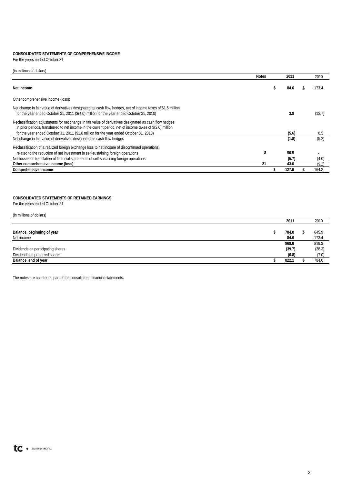# **CONSOLIDATED STATEMENTS OF COMPREHENSIVE INCOME**

For the years ended October 31

(in millions of dollars)

|                                                                                                                                                                                                                                                                                                                 | <b>Notes</b> | 2011  | 2010   |
|-----------------------------------------------------------------------------------------------------------------------------------------------------------------------------------------------------------------------------------------------------------------------------------------------------------------|--------------|-------|--------|
| Net income                                                                                                                                                                                                                                                                                                      |              | 84.6  | 173.4  |
| Other comprehensive income (loss):                                                                                                                                                                                                                                                                              |              |       |        |
| Net change in fair value of derivatives designated as cash flow hedges, net of income taxes of \$1.5 million<br>for the year ended October 31, 2011 (\$(4.0) million for the year ended October 31, 2010)                                                                                                       |              | 3.8   | (13.7) |
| Reclassification adjustments for net change in fair value of derivatives designated as cash flow hedges<br>in prior periods, transferred to net income in the current period, net of income taxes of $(2.0)$ million<br>for the year ended October 31, 2011 (\$1.8 million for the year ended October 31, 2010) |              | (5.6) | 8.5    |
| Net change in fair value of derivatives designated as cash flow hedges                                                                                                                                                                                                                                          |              | (1.8) | (5.2)  |
| Reclassification of a realized foreign exchange loss to net income of discontinued operations,<br>related to the reduction of net investment in self-sustaining foreign operations                                                                                                                              | 8            | 50.5  |        |
| Net losses on translation of financial statements of self-sustaining foreign operations                                                                                                                                                                                                                         |              | (5.7) | (4.0)  |
| Other comprehensive income (loss)                                                                                                                                                                                                                                                                               | 21           | 43.0  | (9.2)  |
| Comprehensive income                                                                                                                                                                                                                                                                                            |              | 127.6 | 164.2  |

## **CONSOLIDATED STATEMENTS OF RETAINED EARNINGS**

For the years ended October 31

(in millions of dollars)

|                                   | 2011   | 2010   |
|-----------------------------------|--------|--------|
| Balance, beginning of year        | 784.0  | 645.9  |
| Net income                        | 84.6   | 173.4  |
|                                   | 868.6  | 819.3  |
| Dividends on participating shares | (39.7) | (28.3) |
| Dividends on preferred shares     | (6.8)  | (7.0)  |
| Balance, end of year              | 822.1  | 784.0  |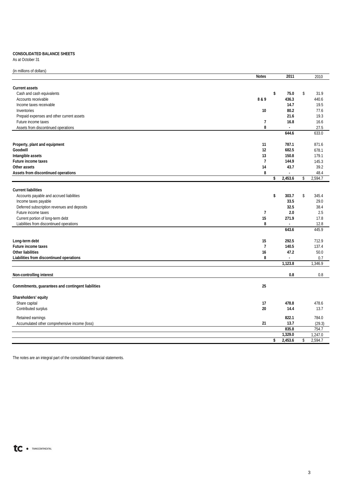# **CONSOLIDATED BALANCE SHEETS**

As at October 31

(in millions of dollars)

|                                                    | <b>Notes</b>   | 2011                     |              | 2010    |
|----------------------------------------------------|----------------|--------------------------|--------------|---------|
| <b>Current assets</b>                              |                |                          |              |         |
| Cash and cash equivalents                          |                | \$<br>75.0               | \$           | 31.9    |
| Accounts receivable                                | 8 & 9          | 436.3                    |              | 440.6   |
| Income taxes receivable                            |                | 14.7                     |              | 19.5    |
| Inventories                                        | 10             | 80.2                     |              | 77.6    |
| Prepaid expenses and other current assets          |                | 21.6                     |              | 19.3    |
| Future income taxes                                | $\overline{1}$ | 16.8                     |              | 16.6    |
| Assets from discontinued operations                | 8              | $\overline{\phantom{a}}$ |              | 27.5    |
|                                                    |                | 644.6                    |              | 633.0   |
|                                                    |                |                          |              |         |
| Property, plant and equipment                      | 11             | 787.1                    |              | 871.6   |
| Goodwill                                           | 12             | 682.5                    |              | 678.1   |
| Intangible assets                                  | 13             | 150.8                    |              | 179.1   |
| Future income taxes                                | $\overline{1}$ | 144.9                    |              | 145.3   |
| Other assets                                       | 14             | 43.7                     |              | 39.2    |
| Assets from discontinued operations                | 8              | ÷,                       |              | 48.4    |
|                                                    |                | 2,453.6<br>\$            | \$           | 2,594.7 |
|                                                    |                |                          |              |         |
| <b>Current liabilities</b>                         |                |                          |              |         |
| Accounts payable and accrued liabilities           |                | \$<br>303.7              | \$           | 345.4   |
| Income taxes payable                               |                | 33.5                     |              | 29.0    |
| Deferred subscription revenues and deposits        |                | 32.5                     |              | 38.4    |
| Future income taxes                                | $\overline{1}$ | 2.0                      |              | 2.5     |
| Current portion of long-term debt                  | 15             | 271.9                    |              | 17.8    |
| Liabilities from discontinued operations           | 8              | $\overline{\phantom{a}}$ |              | 12.8    |
|                                                    |                | 643.6                    |              | 445.9   |
| Long-term debt                                     | 15             | 292.5                    |              | 712.9   |
| Future income taxes                                | $\overline{1}$ | 140.5                    |              | 137.4   |
| Other liabilities                                  | 16             | 47.2                     |              | 50.0    |
| Liabilities from discontinued operations           | 8              | ÷.                       |              | 0.7     |
|                                                    |                | 1,123.8                  |              | 1,346.9 |
|                                                    |                |                          |              |         |
| Non-controlling interest                           |                | 0.8                      |              | 0.8     |
|                                                    |                |                          |              |         |
| Commitments, guarantees and contingent liabilities | 25             |                          |              |         |
| Shareholders' equity                               |                |                          |              |         |
| Share capital                                      | 17             | 478.8                    |              | 478.6   |
| Contributed surplus                                | 20             | 14.4                     |              | 13.7    |
|                                                    |                |                          |              |         |
| Retained earnings                                  |                | 822.1                    |              | 784.0   |
| Accumulated other comprehensive income (loss)      | 21             | 13.7                     |              | (29.3)  |
|                                                    |                | 835.8                    |              | 754.7   |
|                                                    |                | 1,329.0                  |              | 1,247.0 |
|                                                    |                | 2,453.6<br>\$            | $\mathbb{S}$ | 2.594.7 |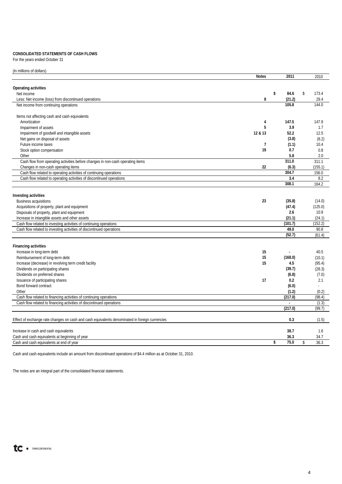# **CONSOLIDATED STATEMENTS OF CASH FLOWS**

For the years ended October 31

| <b>Notes</b><br>2011<br>2010<br>Operating activities<br>173.4<br>Net income<br>\$<br>84.6<br>\$<br>8<br>(21.2)<br>29.4<br>Less: Net income (loss) from discontinued operations<br>Net income from continuing operations<br>105.8<br>144.0<br>Items not affecting cash and cash equivalents<br>147.5<br>147.9<br>Amortization<br>4<br>5<br>3.9<br>1.7<br>Impairment of assets<br>52.2<br>12.5<br>Impairment of goodwill and intangible assets<br>12 & 13<br>(8.2)<br>Net gains on disposal of assets<br>(3.8)<br>Future income taxes<br>7<br>(1.1)<br>10.4<br>Stock option compensation<br>19<br>0.7<br>0.8<br>5.8<br>2.0<br>Other<br>311.0<br>311.1<br>Cash flow from operating activities before changes in non-cash operating items<br>22<br>Changes in non-cash operating items<br>(6.3)<br>(155.1)<br>304.7<br>Cash flow related to operating activities of continuing operations<br>156.0<br>Cash flow related to operating activities of discontinued operations<br>3.4<br>8.2<br>308.1<br>164.2<br>Investing activities<br><b>Business acquisitions</b><br>23<br>(35.8)<br>(14.0)<br>(47.4)<br>(125.0)<br>Acquisitions of property, plant and equipment<br>2.6<br>10.9<br>Disposals of property, plant and equipment<br>(21.1)<br>(24.1)<br>Increase in intangible assets and other assets<br>Cash flow related to investing activities of continuing operations<br>(152.2)<br>(101.7)<br>49.0<br>90.8<br>Cash flow related to investing activities of discontinued operations<br>(52.7)<br>(61.4)<br><b>Financing activities</b><br>40.5<br>Increase in long-term debt<br>15<br>15<br>Reimbursement of long-term debt<br>(168.0)<br>(10.1)<br>15<br>4.5<br>Increase (decrease) in revolving term credit facility<br>(95.4)<br>Dividends on participating shares<br>(39.7)<br>(28.3)<br>Dividends on preferred shares<br>(6.8)<br>(7.0)<br>17<br>0.2<br>2.1<br>Issuance of participating shares<br>Bond forward contract<br>(6.0)<br>÷.<br>(1.2)<br>Other<br>(0.2)<br>Cash flow related to financing activities of continuing operations<br>(217.0)<br>(98.4)<br>(1.3)<br>Cash flow related to financing activities of discontinued operations<br>(217.0)<br>(99.7)<br>0.3<br>(1.5)<br>Effect of exchange rate changes on cash and cash equivalents denominated in foreign currencies<br>38.7<br>Increase in cash and cash equivalents<br>1.6<br>Cash and cash equivalents at beginning of year<br>36.3<br>34.7<br>75.0<br>36.3<br>Cash and cash equivalents at end of year<br>\$<br>\$ | (in millions of dollars) |  |  |
|------------------------------------------------------------------------------------------------------------------------------------------------------------------------------------------------------------------------------------------------------------------------------------------------------------------------------------------------------------------------------------------------------------------------------------------------------------------------------------------------------------------------------------------------------------------------------------------------------------------------------------------------------------------------------------------------------------------------------------------------------------------------------------------------------------------------------------------------------------------------------------------------------------------------------------------------------------------------------------------------------------------------------------------------------------------------------------------------------------------------------------------------------------------------------------------------------------------------------------------------------------------------------------------------------------------------------------------------------------------------------------------------------------------------------------------------------------------------------------------------------------------------------------------------------------------------------------------------------------------------------------------------------------------------------------------------------------------------------------------------------------------------------------------------------------------------------------------------------------------------------------------------------------------------------------------------------------------------------------------------------------------------------------------------------------------------------------------------------------------------------------------------------------------------------------------------------------------------------------------------------------------------------------------------------------------------------------------------------------------------------------------------------------------------------------------------------------------------------------------------|--------------------------|--|--|
|                                                                                                                                                                                                                                                                                                                                                                                                                                                                                                                                                                                                                                                                                                                                                                                                                                                                                                                                                                                                                                                                                                                                                                                                                                                                                                                                                                                                                                                                                                                                                                                                                                                                                                                                                                                                                                                                                                                                                                                                                                                                                                                                                                                                                                                                                                                                                                                                                                                                                                |                          |  |  |
|                                                                                                                                                                                                                                                                                                                                                                                                                                                                                                                                                                                                                                                                                                                                                                                                                                                                                                                                                                                                                                                                                                                                                                                                                                                                                                                                                                                                                                                                                                                                                                                                                                                                                                                                                                                                                                                                                                                                                                                                                                                                                                                                                                                                                                                                                                                                                                                                                                                                                                |                          |  |  |
|                                                                                                                                                                                                                                                                                                                                                                                                                                                                                                                                                                                                                                                                                                                                                                                                                                                                                                                                                                                                                                                                                                                                                                                                                                                                                                                                                                                                                                                                                                                                                                                                                                                                                                                                                                                                                                                                                                                                                                                                                                                                                                                                                                                                                                                                                                                                                                                                                                                                                                |                          |  |  |
|                                                                                                                                                                                                                                                                                                                                                                                                                                                                                                                                                                                                                                                                                                                                                                                                                                                                                                                                                                                                                                                                                                                                                                                                                                                                                                                                                                                                                                                                                                                                                                                                                                                                                                                                                                                                                                                                                                                                                                                                                                                                                                                                                                                                                                                                                                                                                                                                                                                                                                |                          |  |  |
|                                                                                                                                                                                                                                                                                                                                                                                                                                                                                                                                                                                                                                                                                                                                                                                                                                                                                                                                                                                                                                                                                                                                                                                                                                                                                                                                                                                                                                                                                                                                                                                                                                                                                                                                                                                                                                                                                                                                                                                                                                                                                                                                                                                                                                                                                                                                                                                                                                                                                                |                          |  |  |
|                                                                                                                                                                                                                                                                                                                                                                                                                                                                                                                                                                                                                                                                                                                                                                                                                                                                                                                                                                                                                                                                                                                                                                                                                                                                                                                                                                                                                                                                                                                                                                                                                                                                                                                                                                                                                                                                                                                                                                                                                                                                                                                                                                                                                                                                                                                                                                                                                                                                                                |                          |  |  |
|                                                                                                                                                                                                                                                                                                                                                                                                                                                                                                                                                                                                                                                                                                                                                                                                                                                                                                                                                                                                                                                                                                                                                                                                                                                                                                                                                                                                                                                                                                                                                                                                                                                                                                                                                                                                                                                                                                                                                                                                                                                                                                                                                                                                                                                                                                                                                                                                                                                                                                |                          |  |  |
|                                                                                                                                                                                                                                                                                                                                                                                                                                                                                                                                                                                                                                                                                                                                                                                                                                                                                                                                                                                                                                                                                                                                                                                                                                                                                                                                                                                                                                                                                                                                                                                                                                                                                                                                                                                                                                                                                                                                                                                                                                                                                                                                                                                                                                                                                                                                                                                                                                                                                                |                          |  |  |
|                                                                                                                                                                                                                                                                                                                                                                                                                                                                                                                                                                                                                                                                                                                                                                                                                                                                                                                                                                                                                                                                                                                                                                                                                                                                                                                                                                                                                                                                                                                                                                                                                                                                                                                                                                                                                                                                                                                                                                                                                                                                                                                                                                                                                                                                                                                                                                                                                                                                                                |                          |  |  |
|                                                                                                                                                                                                                                                                                                                                                                                                                                                                                                                                                                                                                                                                                                                                                                                                                                                                                                                                                                                                                                                                                                                                                                                                                                                                                                                                                                                                                                                                                                                                                                                                                                                                                                                                                                                                                                                                                                                                                                                                                                                                                                                                                                                                                                                                                                                                                                                                                                                                                                |                          |  |  |
|                                                                                                                                                                                                                                                                                                                                                                                                                                                                                                                                                                                                                                                                                                                                                                                                                                                                                                                                                                                                                                                                                                                                                                                                                                                                                                                                                                                                                                                                                                                                                                                                                                                                                                                                                                                                                                                                                                                                                                                                                                                                                                                                                                                                                                                                                                                                                                                                                                                                                                |                          |  |  |
|                                                                                                                                                                                                                                                                                                                                                                                                                                                                                                                                                                                                                                                                                                                                                                                                                                                                                                                                                                                                                                                                                                                                                                                                                                                                                                                                                                                                                                                                                                                                                                                                                                                                                                                                                                                                                                                                                                                                                                                                                                                                                                                                                                                                                                                                                                                                                                                                                                                                                                |                          |  |  |
|                                                                                                                                                                                                                                                                                                                                                                                                                                                                                                                                                                                                                                                                                                                                                                                                                                                                                                                                                                                                                                                                                                                                                                                                                                                                                                                                                                                                                                                                                                                                                                                                                                                                                                                                                                                                                                                                                                                                                                                                                                                                                                                                                                                                                                                                                                                                                                                                                                                                                                |                          |  |  |
|                                                                                                                                                                                                                                                                                                                                                                                                                                                                                                                                                                                                                                                                                                                                                                                                                                                                                                                                                                                                                                                                                                                                                                                                                                                                                                                                                                                                                                                                                                                                                                                                                                                                                                                                                                                                                                                                                                                                                                                                                                                                                                                                                                                                                                                                                                                                                                                                                                                                                                |                          |  |  |
|                                                                                                                                                                                                                                                                                                                                                                                                                                                                                                                                                                                                                                                                                                                                                                                                                                                                                                                                                                                                                                                                                                                                                                                                                                                                                                                                                                                                                                                                                                                                                                                                                                                                                                                                                                                                                                                                                                                                                                                                                                                                                                                                                                                                                                                                                                                                                                                                                                                                                                |                          |  |  |
|                                                                                                                                                                                                                                                                                                                                                                                                                                                                                                                                                                                                                                                                                                                                                                                                                                                                                                                                                                                                                                                                                                                                                                                                                                                                                                                                                                                                                                                                                                                                                                                                                                                                                                                                                                                                                                                                                                                                                                                                                                                                                                                                                                                                                                                                                                                                                                                                                                                                                                |                          |  |  |
|                                                                                                                                                                                                                                                                                                                                                                                                                                                                                                                                                                                                                                                                                                                                                                                                                                                                                                                                                                                                                                                                                                                                                                                                                                                                                                                                                                                                                                                                                                                                                                                                                                                                                                                                                                                                                                                                                                                                                                                                                                                                                                                                                                                                                                                                                                                                                                                                                                                                                                |                          |  |  |
|                                                                                                                                                                                                                                                                                                                                                                                                                                                                                                                                                                                                                                                                                                                                                                                                                                                                                                                                                                                                                                                                                                                                                                                                                                                                                                                                                                                                                                                                                                                                                                                                                                                                                                                                                                                                                                                                                                                                                                                                                                                                                                                                                                                                                                                                                                                                                                                                                                                                                                |                          |  |  |
|                                                                                                                                                                                                                                                                                                                                                                                                                                                                                                                                                                                                                                                                                                                                                                                                                                                                                                                                                                                                                                                                                                                                                                                                                                                                                                                                                                                                                                                                                                                                                                                                                                                                                                                                                                                                                                                                                                                                                                                                                                                                                                                                                                                                                                                                                                                                                                                                                                                                                                |                          |  |  |
|                                                                                                                                                                                                                                                                                                                                                                                                                                                                                                                                                                                                                                                                                                                                                                                                                                                                                                                                                                                                                                                                                                                                                                                                                                                                                                                                                                                                                                                                                                                                                                                                                                                                                                                                                                                                                                                                                                                                                                                                                                                                                                                                                                                                                                                                                                                                                                                                                                                                                                |                          |  |  |
|                                                                                                                                                                                                                                                                                                                                                                                                                                                                                                                                                                                                                                                                                                                                                                                                                                                                                                                                                                                                                                                                                                                                                                                                                                                                                                                                                                                                                                                                                                                                                                                                                                                                                                                                                                                                                                                                                                                                                                                                                                                                                                                                                                                                                                                                                                                                                                                                                                                                                                |                          |  |  |
|                                                                                                                                                                                                                                                                                                                                                                                                                                                                                                                                                                                                                                                                                                                                                                                                                                                                                                                                                                                                                                                                                                                                                                                                                                                                                                                                                                                                                                                                                                                                                                                                                                                                                                                                                                                                                                                                                                                                                                                                                                                                                                                                                                                                                                                                                                                                                                                                                                                                                                |                          |  |  |
|                                                                                                                                                                                                                                                                                                                                                                                                                                                                                                                                                                                                                                                                                                                                                                                                                                                                                                                                                                                                                                                                                                                                                                                                                                                                                                                                                                                                                                                                                                                                                                                                                                                                                                                                                                                                                                                                                                                                                                                                                                                                                                                                                                                                                                                                                                                                                                                                                                                                                                |                          |  |  |
|                                                                                                                                                                                                                                                                                                                                                                                                                                                                                                                                                                                                                                                                                                                                                                                                                                                                                                                                                                                                                                                                                                                                                                                                                                                                                                                                                                                                                                                                                                                                                                                                                                                                                                                                                                                                                                                                                                                                                                                                                                                                                                                                                                                                                                                                                                                                                                                                                                                                                                |                          |  |  |
|                                                                                                                                                                                                                                                                                                                                                                                                                                                                                                                                                                                                                                                                                                                                                                                                                                                                                                                                                                                                                                                                                                                                                                                                                                                                                                                                                                                                                                                                                                                                                                                                                                                                                                                                                                                                                                                                                                                                                                                                                                                                                                                                                                                                                                                                                                                                                                                                                                                                                                |                          |  |  |
|                                                                                                                                                                                                                                                                                                                                                                                                                                                                                                                                                                                                                                                                                                                                                                                                                                                                                                                                                                                                                                                                                                                                                                                                                                                                                                                                                                                                                                                                                                                                                                                                                                                                                                                                                                                                                                                                                                                                                                                                                                                                                                                                                                                                                                                                                                                                                                                                                                                                                                |                          |  |  |
|                                                                                                                                                                                                                                                                                                                                                                                                                                                                                                                                                                                                                                                                                                                                                                                                                                                                                                                                                                                                                                                                                                                                                                                                                                                                                                                                                                                                                                                                                                                                                                                                                                                                                                                                                                                                                                                                                                                                                                                                                                                                                                                                                                                                                                                                                                                                                                                                                                                                                                |                          |  |  |
|                                                                                                                                                                                                                                                                                                                                                                                                                                                                                                                                                                                                                                                                                                                                                                                                                                                                                                                                                                                                                                                                                                                                                                                                                                                                                                                                                                                                                                                                                                                                                                                                                                                                                                                                                                                                                                                                                                                                                                                                                                                                                                                                                                                                                                                                                                                                                                                                                                                                                                |                          |  |  |
|                                                                                                                                                                                                                                                                                                                                                                                                                                                                                                                                                                                                                                                                                                                                                                                                                                                                                                                                                                                                                                                                                                                                                                                                                                                                                                                                                                                                                                                                                                                                                                                                                                                                                                                                                                                                                                                                                                                                                                                                                                                                                                                                                                                                                                                                                                                                                                                                                                                                                                |                          |  |  |
|                                                                                                                                                                                                                                                                                                                                                                                                                                                                                                                                                                                                                                                                                                                                                                                                                                                                                                                                                                                                                                                                                                                                                                                                                                                                                                                                                                                                                                                                                                                                                                                                                                                                                                                                                                                                                                                                                                                                                                                                                                                                                                                                                                                                                                                                                                                                                                                                                                                                                                |                          |  |  |
|                                                                                                                                                                                                                                                                                                                                                                                                                                                                                                                                                                                                                                                                                                                                                                                                                                                                                                                                                                                                                                                                                                                                                                                                                                                                                                                                                                                                                                                                                                                                                                                                                                                                                                                                                                                                                                                                                                                                                                                                                                                                                                                                                                                                                                                                                                                                                                                                                                                                                                |                          |  |  |
|                                                                                                                                                                                                                                                                                                                                                                                                                                                                                                                                                                                                                                                                                                                                                                                                                                                                                                                                                                                                                                                                                                                                                                                                                                                                                                                                                                                                                                                                                                                                                                                                                                                                                                                                                                                                                                                                                                                                                                                                                                                                                                                                                                                                                                                                                                                                                                                                                                                                                                |                          |  |  |
|                                                                                                                                                                                                                                                                                                                                                                                                                                                                                                                                                                                                                                                                                                                                                                                                                                                                                                                                                                                                                                                                                                                                                                                                                                                                                                                                                                                                                                                                                                                                                                                                                                                                                                                                                                                                                                                                                                                                                                                                                                                                                                                                                                                                                                                                                                                                                                                                                                                                                                |                          |  |  |
|                                                                                                                                                                                                                                                                                                                                                                                                                                                                                                                                                                                                                                                                                                                                                                                                                                                                                                                                                                                                                                                                                                                                                                                                                                                                                                                                                                                                                                                                                                                                                                                                                                                                                                                                                                                                                                                                                                                                                                                                                                                                                                                                                                                                                                                                                                                                                                                                                                                                                                |                          |  |  |
|                                                                                                                                                                                                                                                                                                                                                                                                                                                                                                                                                                                                                                                                                                                                                                                                                                                                                                                                                                                                                                                                                                                                                                                                                                                                                                                                                                                                                                                                                                                                                                                                                                                                                                                                                                                                                                                                                                                                                                                                                                                                                                                                                                                                                                                                                                                                                                                                                                                                                                |                          |  |  |
|                                                                                                                                                                                                                                                                                                                                                                                                                                                                                                                                                                                                                                                                                                                                                                                                                                                                                                                                                                                                                                                                                                                                                                                                                                                                                                                                                                                                                                                                                                                                                                                                                                                                                                                                                                                                                                                                                                                                                                                                                                                                                                                                                                                                                                                                                                                                                                                                                                                                                                |                          |  |  |
|                                                                                                                                                                                                                                                                                                                                                                                                                                                                                                                                                                                                                                                                                                                                                                                                                                                                                                                                                                                                                                                                                                                                                                                                                                                                                                                                                                                                                                                                                                                                                                                                                                                                                                                                                                                                                                                                                                                                                                                                                                                                                                                                                                                                                                                                                                                                                                                                                                                                                                |                          |  |  |
|                                                                                                                                                                                                                                                                                                                                                                                                                                                                                                                                                                                                                                                                                                                                                                                                                                                                                                                                                                                                                                                                                                                                                                                                                                                                                                                                                                                                                                                                                                                                                                                                                                                                                                                                                                                                                                                                                                                                                                                                                                                                                                                                                                                                                                                                                                                                                                                                                                                                                                |                          |  |  |
|                                                                                                                                                                                                                                                                                                                                                                                                                                                                                                                                                                                                                                                                                                                                                                                                                                                                                                                                                                                                                                                                                                                                                                                                                                                                                                                                                                                                                                                                                                                                                                                                                                                                                                                                                                                                                                                                                                                                                                                                                                                                                                                                                                                                                                                                                                                                                                                                                                                                                                |                          |  |  |
|                                                                                                                                                                                                                                                                                                                                                                                                                                                                                                                                                                                                                                                                                                                                                                                                                                                                                                                                                                                                                                                                                                                                                                                                                                                                                                                                                                                                                                                                                                                                                                                                                                                                                                                                                                                                                                                                                                                                                                                                                                                                                                                                                                                                                                                                                                                                                                                                                                                                                                |                          |  |  |
|                                                                                                                                                                                                                                                                                                                                                                                                                                                                                                                                                                                                                                                                                                                                                                                                                                                                                                                                                                                                                                                                                                                                                                                                                                                                                                                                                                                                                                                                                                                                                                                                                                                                                                                                                                                                                                                                                                                                                                                                                                                                                                                                                                                                                                                                                                                                                                                                                                                                                                |                          |  |  |
|                                                                                                                                                                                                                                                                                                                                                                                                                                                                                                                                                                                                                                                                                                                                                                                                                                                                                                                                                                                                                                                                                                                                                                                                                                                                                                                                                                                                                                                                                                                                                                                                                                                                                                                                                                                                                                                                                                                                                                                                                                                                                                                                                                                                                                                                                                                                                                                                                                                                                                |                          |  |  |

Cash and cash equivalents include an amount from discontinued operations of \$4.4 million as at October 31, 2010.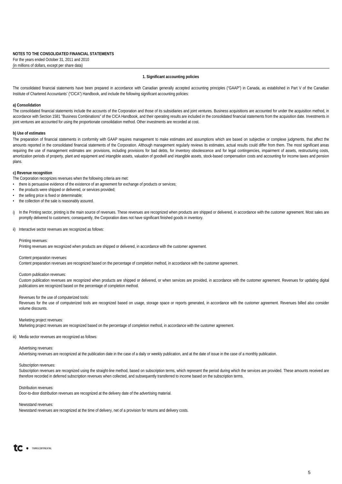### **1. Significant accounting policies**

The consolidated financial statements have been prepared in accordance with Canadian generally accepted accounting principles ("GAAP") in Canada, as established in Part V of the Canadian Institute of Chartered Accountants' ("CICA") Handbook, and include the following significant accounting policies:

#### **a) Consolidation**

The consolidated financial statements include the accounts of the Corporation and those of its subsidiaries and joint ventures. Business acquisitions are accounted for under the acquisition method, in accordance with Section 1581 "Business Combinations" of the CICA Handbook, and their operating results are included in the consolidated financial statements from the acquisition date. Investments in joint ventures are accounted for using the proportionate consolidation method. Other investments are recorded at cost.

#### **b) Use of estimates**

The preparation of financial statements in conformity with GAAP requires management to make estimates and assumptions which are based on subjective or complexe judgments, that affect the amounts reported in the consolidated financial statements of the Corporation. Although management regularly reviews its estimates, actual results could differ from them. The most significant areas requiring the use of management estimates are: provisions, including provisions for bad debts, for inventory obsolescence and for legal contingencies, impairment of assets, restructuring costs, amortization periods of property, plant and equipment and intangible assets, valuation of goodwill and intangible assets, stock-based compensation costs and accounting for income taxes and pension plans.

### **c) Revenue recognition**

The Corporation recognizes revenues when the following criteria are met:

- there is persuasive evidence of the existence of an agreement for exchange of products or services;
- the products were shipped or delivered, or services provided;
- the selling price is fixed or determinable;
- the collection of the sale is reasonably assured.
- i) In the Printing sector, printing is the main source of revenues. These revenues are recognized when products are shipped or delivered, in accordance with the customer agreement. Most sales are promptly delivered to customers; consequently, the Corporation does not have significant finished goods in inventory.

### ii) Interactive sector revenues are recognized as follows:

#### Printing revenues:

Printing revenues are recognized when products are shipped or delivered, in accordance with the customer agreement.

#### Content preparation revenues:

Content preparation revenues are recognized based on the percentage of completion method, in accordance with the customer agreement.

#### Custom publication revenues:

Custom publication revenues are recognized when products are shipped or delivered, or when services are provided, in accordance with the customer agreement. Revenues for updating digital publications are recognized based on the percentage of completion method.

### Revenues for the use of computerized tools:

Revenues for the use of computerized tools are recognized based on usage, storage space or reports generated, in accordance with the customer agreement. Revenues billed also consider volume discounts.

Marketing project revenues:

Marketing project revenues are recognized based on the percentage of completion method, in accordance with the customer agreement.

### iii) Media sector revenues are recognized as follows:

### Advertising revenues:

Advertising revenues are recognized at the publication date in the case of a daily or weekly publication, and at the date of issue in the case of a monthly publication.

#### Subscription revenues:

Subscription revenues are recognized using the straight-line method, based on subscription terms, which represent the period during which the services are provided. These amounts received are therefore recorded in deferred subscription revenues when collected, and subsequently transferred to income based on the subscription terms.

### Distribution revenues:

Door-to-door distribution revenues are recognized at the delivery date of the advertising material.

### Newsstand revenues:

Newsstand revenues are recognized at the time of delivery, net of a provision for returns and delivery costs.

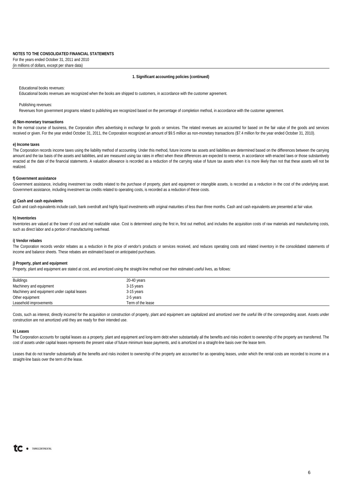Educational books revenues:

Educational books revenues are recognized when the books are shipped to customers, in accordance with the customer agreement.

Publishing revenues:

Revenues from government programs related to publishing are recognized based on the percentage of completion method, in accordance with the customer agreement.

#### **d) Non-monetary transactions**

In the normal course of business, the Corporation offers advertising in exchange for goods or services. The related revenues are accounted for based on the fair value of the goods and services received or given. For the year ended October 31, 2011, the Corporation recognized an amount of \$9.5 million as non-monetary transactions (\$7.4 million for the year ended October 31, 2010).

#### **e) Income taxes**

The Corporation records income taxes using the liability method of accounting. Under this method, future income tax assets and liabilities are determined based on the differences between the carrying amount and the tax basis of the assets and liabilities, and are measured using tax rates in effect when these differences are expected to reverse, in accordance with enacted laws or those substantively enacted at the date of the financial statements. A valuation allowance is recorded as a reduction of the carrying value of future tax assets when it is more likely than not that these assets will not be realized.

### **f) Government assistance**

Government assistance, including investment tax credits related to the purchase of property, plant and equipment or intangible assets, is recorded as a reduction in the cost of the underlying asset. Government assistance, including investment tax credits related to operating costs, is recorded as a reduction of these costs.

#### **g) Cash and cash equivalents**

Cash and cash equivalents include cash, bank overdraft and highly liquid investments with original maturities of less than three months. Cash and cash equivalents are presented at fair value.

#### **h) Inventories**

Inventories are valued at the lower of cost and net realizable value. Cost is determined using the first in, first out method, and includes the acquisition costs of raw materials and manufacturing costs, such as direct labor and a portion of manufacturing overhead.

### **i) Vendor rebates**

The Corporation records vendor rebates as a reduction in the price of vendor's products or services received, and reduces operating costs and related inventory in the consolidated statements of income and balance sheets. These rebates are estimated based on anticipated purchases.

## **j) Property, plant and equipment**

Property, plant and equipment are stated at cost, and amortized using the straight-line method over their estimated useful lives, as follows:

| <b>Buildings</b>                             | 20-40 years       |
|----------------------------------------------|-------------------|
| Machinery and equipment                      | 3-15 years        |
| Machinery and equipment under capital leases | 3-15 years        |
| Other equipment                              | 2-5 years         |
| Leasehold improvements                       | Term of the lease |

Costs, such as interest, directly incurred for the acquisition or construction of property, plant and equipment are capitalized and amortized over the useful life of the corresponding asset. Assets under construction are not amortized until they are ready for their intended use.

### **k) Leases**

The Corporation accounts for capital leases as a property, plant and equipment and long-term debt when substantially all the benefits and risks incident to ownership of the property are transferred. The cost of assets under capital leases represents the present value of future minimum lease payments, and is amortized on a straight-line basis over the lease term.

Leases that do not transfer substantially all the benefits and risks incident to ownership of the property are accounted for as operating leases, under which the rental costs are recorded to income on a straight-line basis over the term of the lease.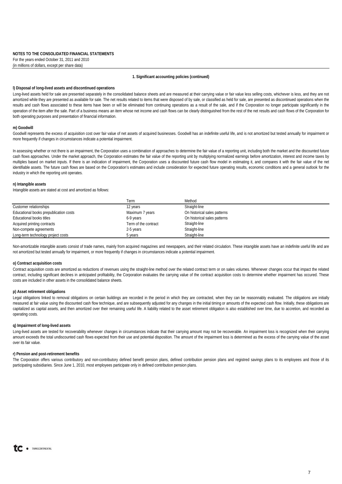#### **l) Disposal of long-lived assets and discontinued operations**

Long-lived assets held for sale are presented separately in the consolidated balance sheets and are measured at their carrying value or fair value less selling costs, whichever is less, and they are not amortized while they are presented as available for sale. The net results related to items that were disposed of by sale, or classified as held for sale, are presented as discontinued operations when the results and cash flows associated to these items have been or will be eliminated from continuing operations as a result of the sale, and if the Corporation no longer participate significantly in the operation of the item after the sale. Part of a business means an item whose net income and cash flows can be clearly distinguished from the rest of the net results and cash flows of the Corporation for both operating purposes and presentation of financial information.

### **m) Goodwill**

Goodwill represents the excess of acquisition cost over fair value of net assets of acquired businesses. Goodwill has an indefinite useful life, and is not amortized but tested annually for impairment or more frequently if changes in circumstances indicate a potential impairment.

In assessing whether or not there is an impairment, the Corporation uses a combination of approaches to determine the fair value of a reporting unit, including both the market and the discounted future cash flows approaches. Under the market approach, the Corporation estimates the fair value of the reporting unit by multiplying normalized earnings before amortization, interest and income taxes by multiples based on market inputs. If there is an indication of impairment, the Corporation uses a discounted future cash flow model in estimating it, and compares it with the fair value of the net identifiable assets. The future cash flows are based on the Corporation's estimates and include consideration for expected future operating results, economic conditions and a general outlook for the industry in which the reporting unit operates.

### **n) Intangible assets**

Intangible assets are stated at cost and amortized as follows:

|                                        | Term                 | Method                       |
|----------------------------------------|----------------------|------------------------------|
| Customer relationships                 | 12 years             | Straight-line                |
| Educational books prepublication costs | Maximum 7 years      | On historical sales patterns |
| Educational books titles               | 6-9 years            | On historical sales patterns |
| Acquired printing contracts            | Term of the contract | Straight-line                |
| Non-compete agreements                 | 2-5 years            | Straight-line                |
| Long-term technology project costs     | 5 years              | Straight-line                |

Non-amortizable intangible assets consist of trade names, mainly from acquired magazines and newspapers, and their related circulation. These intangible assets have an indefinite useful life and are not amortized but tested annually for impairment, or more frequently if changes in circumstances indicate a potential impairment.

### **o) Contract acquisition costs**

Contract acquisition costs are amortized as reductions of revenues using the straight-line method over the related contract term or on sales volumes. Whenever changes occur that impact the related contract, including significant declines in anticipated profitability, the Corporation evaluates the carrying value of the contract acquisition costs to determine whether impairment has occured. These costs are included in other assets in the consolidated balance sheets.

#### **p) Asset retirement obligations**

Legal obligations linked to removal obligations on certain buildings are recorded in the period in which they are contracted, when they can be reasonnably evaluated. The obligations are initially measured at fair value using the discounted cash flow technique, and are subsequently adjusted for any changes in the initial timing or amounts of the expected cash flow. Initially, these obligations are capitalized as capital assets, and then amortized over their remaining useful life. A liability related to the asset retirement obligation is also established over time, due to accretion, and recorded as operating costs.

#### **q) Impairment of long-lived assets**

Long-lived assets are tested for recoverability whenever changes in circumstances indicate that their carrying amount may not be recoverable. An impairment loss is recognized when their carrying amount exceeds the total undiscounted cash flows expected from their use and potential disposition. The amount of the impairment loss is determined as the excess of the carrying value of the asset over its fair value.

#### **r) Pension and post-retirement benefits**

The Corporation offers various contributory and non-contributory defined benefit pension plans, defined contribution pension plans and registred savings plans to its employees and those of its participating subsidiaries. Since June 1, 2010, most employees participate only in defined contribution pension plans.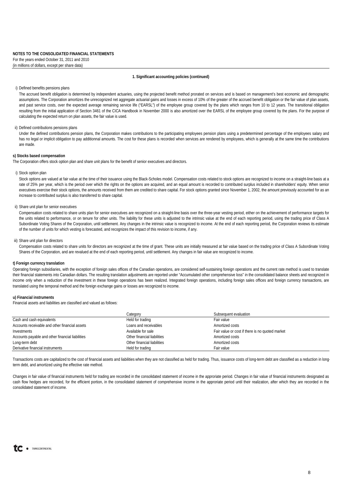#### i) Defined benefits pensions plans

The accrued benefit obligation is determined by independent actuaries, using the projected benefit method prorated on services and is based on management's best economic and demographic assumptions. The Corporation amortizes the unrecognized net aggregate actuarial gains and losses in excess of 10% of the greater of the accrued benefit obligation or the fair value of plan assets, and past service costs, over the expected average remaining service life ("EARSL") of the employee group covered by the plans which ranges from 10 to 12 years. The transitional obligation resulting from the initial application of Section 3461 of the CICA Handbook in November 2000 is also amortized over the EARSL of the employee group covered by the plans. For the purpose of calculating the expected return on plan assets, the fair value is used.

#### ii) Defined contributions pensions plans

Under the defined contributions pension plans, the Corporation makes contributions to the participating employees pension plans using a predetermined percentage of the employees salary and has no legal or implicit obligation to pay additionnal amounts. The cost for these plans is recorded when services are rendered by employees, which is generally at the same time the contributions are made.

#### **s) Stocks based compensation**

The Corporation offers stock option plan and share unit plans for the benefit of senior executives and directors.

i) Stock option plan

Stock options are valued at fair value at the time of their issuance using the Black-Scholes model. Compensation costs related to stock options are recognized to income on a straight-line basis at a rate of 25% per year, which is the period over which the rights on the options are acquired, and an equal amount is recorded to contributed surplus included in shareholders' equity. When senior executives exercise their stock options, the amounts received from them are credited to share capital. For stock options granted since November 1, 2002, the amount previously accounted for as an increase to contributed surplus is also transferred to share capital.

#### ii) Share unit plan for senior executives

Compensation costs related to share units plan for senior executives are recognized on a straight-line basis over the three-year vesting period, either on the achievement of performance targets for the units related to performance, or on tenure for other units. The liability for these units is adjusted to the intrinsic value at the end of each reporting period, using the trading price of Class A Subordinate Voting Shares of the Corporation, until settlement. Any changes in the intrinsic value is recognized to income. At the end of each reporting period, the Corporation reviews its estimate of the number of units for which vesting is forecasted, and recognizes the impact of this revision to income, if any.

#### iii) Share unit plan for directors

Compensation costs related to share units for directors are recognized at the time of grant. These units are initially measured at fair value based on the trading price of Class A Subordinate Voting Shares of the Corporation, and are revalued at the end of each reporting period, until settlement. Any changes in fair value are recognized to income.

#### **t) Foreign currency translation**

Operating foreign subsidiaries, with the exception of foreign sales offices of the Canadian operations, are considered self-sustaining foreign operations and the current rate method is used to translate their financial statements into Canadian dollars. The resulting translation adjustments are reported under "Accumulated other comprehensive loss" in the consolidated balance sheets and recognized in income only when a reduction of the investment in these foreign operations has been realized. Integrated foreign operations, including foreign sales offices and foreign currency transactions, are translated using the temporal method and the foreign exchange gains or losses are recognized to income.

### **u) Financial instruments**

Financial assets and liabilities are classified and valued as follows:

|                                                  | Category                    | Subsequent evaluation                           |
|--------------------------------------------------|-----------------------------|-------------------------------------------------|
| Cash and cash equivalents                        | Held for trading            | Fair value                                      |
| Accounts receivable and other financial assets   | Loans and receivables       | Amortized costs                                 |
| Investments                                      | Available for sale          | Fair value or cost if there is no quoted market |
| Accounts payable and other financial liabilities | Other financial liabilities | Amortized costs                                 |
| Long-term debt                                   | Other financial liabilities | Amortized costs                                 |
| Derivative financial instruments                 | Held for trading            | Fair value                                      |

Transactions costs are capitalized to the cost of financial assets and liabilities when they are not classified as held for trading. Thus, issuance costs of long-term debt are classified as a reduction in longterm debt, and amortized using the effective rate method.

Changes in fair value of financial instruments held for trading are recorded in the consolidated statement of income in the approriate period. Changes in fair value of financial instruments designated as cash flow hedges are recorded, for the efficient portion, in the consolidated statement of comprehensive income in the approriate period until their realization, after which they are recorded in the consolidated statement of income.

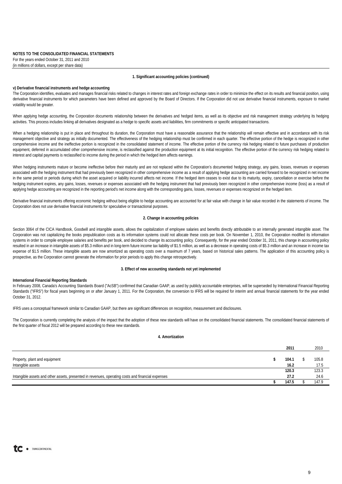#### **v) Derivative financial instruments and hedge accounting**

The Corporation identifies, evaluates and manages financial risks related to changes in interest rates and foreign exchange rates in order to minimize the effect on its results and financial position, using derivative financial instruments for which parameters have been defined and approved by the Board of Directors. If the Corporation did not use derivative financial instruments, exposure to market volatility would be greater.

When applying hedge accounting, the Corporation documents relationship between the derivatives and hedged items, as well as its objective and risk management strategy underlying its hedging activities. This process includes linking all derivatives designated as a hedge to specific assets and liabilities, firm commitments or specific anticipated transactions.

When a hedging relationship is put in place and throughout its duration, the Corporation must have a reasonable assurance that the relationship will remain effective and in accordance with its risk management objective and strategy as initially documented. The effectiveness of the hedging relationship must be confirmed in each quarter. The effective portion of the hedge is recognized in other comprehensive income and the ineffective portion is recognized in the consolidated statement of income. The effective portion of the currency risk hedging related to future purchases of production equipment, deferred in accumulated other comprehensive income, is reclassified against the production equipment at its initial recognition. The effective portion of the currency risk hedging related to interest and capital payments is reclassified to income during the period in which the hedged item affects earnings.

When hedging instruments mature or become ineffective before their maturity and are not replaced within the Corporation's documented hedging strategy, any gains, losses, revenues or expenses associated with the hedging instrument that had previously been recognized in other comprehensive income as a result of applying hedge accounting are carried forward to be recognized in net income in the same period or periods during which the asset acquired or liability incurred affects net income. If the hedged item ceases to exist due to its maturity, expiry, cancellation or exercise before the hedging instrument expires, any gains, losses, revenues or expenses associated with the hedging instrument that had previously been recognized in other comprehensive income (loss) as a result of applying hedge accounting are recognized in the reporting period's net income along with the corresponding gains, losses, revenues or expenses recognized on the hedged item.

Derivative financial instruments offering economic hedging without being eligible to hedge accounting are accounted for at fair value with change in fair value recorded in the statements of income. The Corporation does not use derivative financial instruments for speculative or transactional purposes.

### **2. Change in accounting policies**

Section 3064 of the CICA Handbook, Goodwill and intangible assets, allows the capitalization of employee salaries and benefits directly attributable to an internally generated intangible asset. The Corporation was not capitalizing the books prepublication costs as its information systems could not allocate these costs per book. On November 1, 2010, the Corporation modified its information systems in order to compile employee salaries and benefits per book, and decided to change its accounting policy. Consequently, for the year ended October 31, 2011, this change in accounting policy resulted in an increase in intangible assets of \$5.3 million and in long-term future income tax liability of \$1.5 million, as well as a decrease in operating costs of \$5.3 million and an increase in income tax expense of \$1.5 million. These intangible assets are now amortized as operating costs over a maximum of 7 years, based on historical sales patterns. The application of this accounting policy is prospective, as the Corporation cannot generate the information for prior periods to apply this change retrospectively.

### **3. Effect of new accounting standards not yet implemented**

### **International Financial Reporting Standards**

In February 2008, Canada's Accounting Standards Board ("AcSB") confirmed that Canadian GAAP, as used by publicly accountable enterprises, will be superseded by International Financial Reporting Standards ("IFRS") for fiscal years beginning on or after January 1, 2011. For the Corporation, the conversion to IFRS will be required for interim and annual financial statements for the year ended October 31, 2012.

IFRS uses a conceptual framework similar to Canadian GAAP, but there are significant differences on recognition, measurement and disclosures.

The Corporation is currently completing the analysis of the impact that the adoption of these new standards will have on the consolidated financial statements. The consolidated financial statements of the first quarter of fiscal 2012 will be prepared according to these new standards.

#### **4. Amortization**

|                                                                                                   | 2011          | 2010          |
|---------------------------------------------------------------------------------------------------|---------------|---------------|
| Property, plant and equipment<br>Intangible assets                                                | 104.1<br>16.2 | 105.8<br>17.5 |
|                                                                                                   | 120.3         | 123.3         |
| Intangible assets and other assets, presented in revenues, operating costs and financial expenses | 27.2          | 24.6          |
|                                                                                                   | 147.5         | 147.9         |

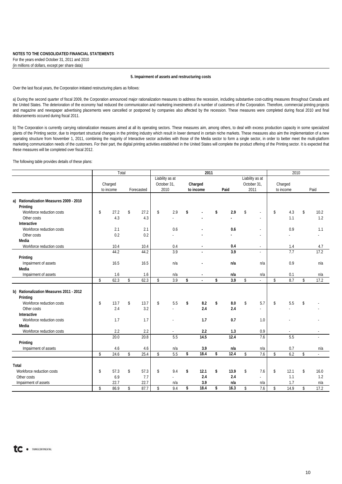## **5. Impairment of assets and restructuring costs**

Over the last fiscal years, the Corporation initiated restructuring plans as follows:

a) During the second quarter of fiscal 2009, the Corporation announced major rationalization measures to address the recession, including substantive cost-cutting measures throughout Canada and the United States. The deterioration of the economy had reduced the communication and marketing investments of a number of customers of the Corporation. Therefore, commercial printing projects and magazine and newspaper advertising placements were cancelled or postponed by companies also affected by the recession. These measures were completed during fiscal 2010 and final disbursements occured during fiscal 2011.

b) The Corporation is currently carrying rationalization measures aimed at all its operating sectors. These measures aim, among others, to deal with excess production capacity in some specialized plants of the Printing sector, due to important structural changes in the printing industry which result in lower demand in certain niche markets. These measures also aim the implementation of a new operating structure from November 1, 2011, combining the majority of Interactive sector activities with those of the Media sector to form a single sector, in order to better meet the multi-platform marketing communication needs of the customers. For their part, the digital printing activities established in the United States will complete the product offering of the Printing sector. It is expected that these measures will be completed over fiscal 2012.

The following table provides details of these plans:

|                                         | Total       |           |               |            | 2011            |     |    |           |    |      | 2010 |                 |             |           |               |      |
|-----------------------------------------|-------------|-----------|---------------|------------|-----------------|-----|----|-----------|----|------|------|-----------------|-------------|-----------|---------------|------|
|                                         |             |           |               |            | Liability as at |     |    |           |    |      |      | Liability as at |             |           |               |      |
|                                         |             | Charged   |               |            | October 31,     |     |    | Charged   |    |      |      | October 31,     |             | Charged   |               |      |
|                                         |             | to income |               | Forecasted | 2010            |     |    | to income |    | Paid |      | 2011            |             | to income |               | Paid |
| a) Rationalization Measures 2009 - 2010 |             |           |               |            |                 |     |    |           |    |      |      |                 |             |           |               |      |
| Printing                                |             |           |               |            |                 |     |    |           |    |      |      |                 |             |           |               |      |
| Workforce reduction costs               | \$          | 27.2      | \$            | 27.2       | \$              | 2.9 | \$ |           | \$ | 2.9  | \$   | ÷.              | \$          | 4.3       | \$            | 10.2 |
| Other costs                             |             | 4.3       |               | 4.3        |                 |     |    |           |    |      |      | ÷.              |             | 1.1       |               | 1.2  |
| Interactive                             |             |           |               |            |                 |     |    |           |    |      |      |                 |             |           |               |      |
| Workforce reduction costs               |             | 2.1       |               | 2.1        |                 | 0.6 |    |           |    | 0.6  |      | ×,              |             | 0.9       |               | 1.1  |
| Other costs                             |             | 0.2       |               | 0.2        |                 |     |    |           |    |      |      |                 |             |           |               |      |
| Media                                   |             |           |               |            |                 |     |    |           |    |      |      |                 |             |           |               |      |
| Workforce reduction costs               |             | 10.4      |               | 10.4       |                 | 0.4 |    |           |    | 0.4  |      | $\sim$          |             | 1.4       |               | 4.7  |
|                                         |             | 44.2      |               | 44.2       |                 | 3.9 |    |           |    | 3.9  |      |                 |             | 7.7       |               | 17.2 |
| Printing                                |             |           |               |            |                 |     |    |           |    |      |      |                 |             |           |               |      |
| Impairment of assets                    |             | 16.5      |               | 16.5       |                 | n/a |    |           |    | n/a  |      | n/a             |             | 0.9       |               | n/a  |
| Media                                   |             |           |               |            |                 |     |    |           |    |      |      |                 |             |           |               |      |
| Impairment of assets                    |             | 1.6       |               | 1.6        |                 | n/a |    |           |    | n/a  |      | n/a             |             | 0.1       |               | n/a  |
|                                         | $\mathbb S$ | 62.3      | $\mathbb S$   | 62.3       | \$              | 3.9 | \$ | ×.        | \$ | 3.9  | \$   | ÷.              | $\mathbb S$ | 8.7       | $\mathbb S$   | 17.2 |
| b) Rationalization Measures 2011 - 2012 |             |           |               |            |                 |     |    |           |    |      |      |                 |             |           |               |      |
| Printing                                |             |           |               |            |                 |     |    |           |    |      |      |                 |             |           |               |      |
| Workforce reduction costs               | \$          | 13.7      | \$            | 13.7       | \$              | 5.5 | \$ | 8.2       | \$ | 8.0  | \$   | 5.7             | \$          | 5.5       | \$            |      |
| Other costs                             |             | 2.4       |               | 3.2        |                 |     |    | 2.4       |    | 2.4  |      |                 |             |           |               |      |
| Interactive                             |             |           |               |            |                 |     |    |           |    |      |      |                 |             |           |               |      |
| Workforce reduction costs               |             | 1.7       |               | 1.7        |                 |     |    | 1.7       |    | 0.7  |      | 1.0             |             |           |               |      |
| Media                                   |             |           |               |            |                 |     |    |           |    |      |      |                 |             |           |               |      |
| Workforce reduction costs               |             | 2.2       |               | 2.2        |                 |     |    | 2.2       |    | 1.3  |      | 0.9             |             |           |               |      |
|                                         |             | 20.0      |               | 20.8       |                 | 5.5 |    | 14.5      |    | 12.4 |      | 7.6             |             | 5.5       |               |      |
| Printing                                |             |           |               |            |                 |     |    |           |    |      |      |                 |             |           |               |      |
| Impairment of assets                    |             | 4.6       |               | 4.6        |                 | n/a |    | 3.9       |    | n/a  |      | n/a             |             | 0.7       |               | n/a  |
|                                         | \$          | 24.6      | $\mathsf{\$}$ | 25.4       | \$              | 5.5 | \$ | 18.4      | \$ | 12.4 | \$   | 7.6             | \$          | 6.2       | $\mathsf{\$}$ | ×.   |
|                                         |             |           |               |            |                 |     |    |           |    |      |      |                 |             |           |               |      |
| Total                                   |             |           |               |            |                 |     |    |           |    |      |      |                 |             |           |               |      |
| Workforce reduction costs               | \$          | 57.3      | \$            | 57.3       | \$              | 9.4 | \$ | 12.1      | \$ | 13.9 | \$   | 7.6             | \$          | 12.1      | \$            | 16.0 |
| Other costs                             |             | 6.9       |               | 7.7        |                 |     |    | 2.4       |    | 2.4  |      |                 |             | 1.1       |               | 1.2  |
| Impairment of assets                    | $\mathbb S$ | 22.7      |               | 22.7       |                 | n/a |    | 3.9       |    | n/a  |      | n/a             |             | 1.7       |               | n/a  |
|                                         |             | 86.9      | \$            | 87.7       | \$              | 9.4 | \$ | 18.4      | \$ | 16.3 | \$   | 7.6             | \$          | 14.9      | \$            | 17.2 |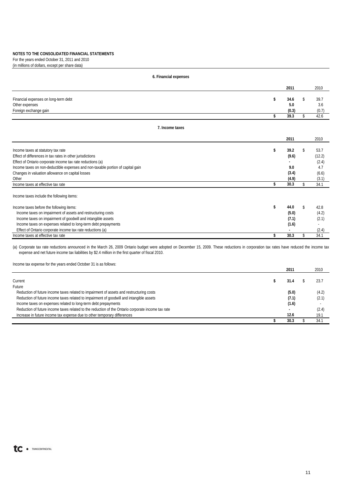# **NOTES TO THE CONSOLIDATED FINANCIAL STATEMENTS**

For the years ended October 31, 2011 and 2010 (in millions of dollars, except per share data)

| 6. Financial expenses                                                                                                                                                                                                                                                                                    |                                       |              |                                 |
|----------------------------------------------------------------------------------------------------------------------------------------------------------------------------------------------------------------------------------------------------------------------------------------------------------|---------------------------------------|--------------|---------------------------------|
|                                                                                                                                                                                                                                                                                                          | 2011                                  |              | 2010                            |
| Financial expenses on long-term debt<br>Other expenses<br>Foreign exchange gain                                                                                                                                                                                                                          | \$<br>34.6<br>5.0<br>(0.3)            | \$           | 39.7<br>3.6<br>(0.7)            |
|                                                                                                                                                                                                                                                                                                          | \$<br>39.3                            | $\mathbb{S}$ | 42.6                            |
| 7. Income taxes                                                                                                                                                                                                                                                                                          |                                       |              |                                 |
|                                                                                                                                                                                                                                                                                                          | 2011                                  |              | 2010                            |
| Income taxes at statutory tax rate<br>Effect of differences in tax rates in other jurisdictions<br>Effect of Ontario corporate income tax rate reductions (a)                                                                                                                                            | \$<br>39.2<br>(9.6)                   | \$           | 53.7<br>(12.2)<br>(2.4)         |
| Income taxes on non-deductible expenses and non-taxable portion of capital gain<br>Changes in valuation allowance on capital losses<br>Other                                                                                                                                                             | 9.0<br>(3.4)<br>(4.9)                 |              | 4.7<br>(6.6)<br>(3.1)           |
| Income taxes at effective tax rate                                                                                                                                                                                                                                                                       | \$<br>30.3                            | \$           | 34.1                            |
| Income taxes include the following items:                                                                                                                                                                                                                                                                |                                       |              |                                 |
| Income taxes before the following items:<br>Income taxes on impairment of assets and restructuring costs<br>Income taxes on impairment of goodwill and intangible assets<br>Income taxes on expenses related to long-term debt prepayments<br>Effect of Ontario corporate income tax rate reductions (a) | \$<br>44.0<br>(5.0)<br>(7.1)<br>(1.6) | \$           | 42.8<br>(4.2)<br>(2.1)<br>(2.4) |
| Income taxes at effective tax rate                                                                                                                                                                                                                                                                       | \$<br>30.3                            | \$           | 34.1                            |
| (a) Corporate tax rate reductions announced in the March 26, 2009 Ontario budget were adopted on December 15, 2009. These reductions in corporation tax rates have reduced the income tax<br>expense and net future income tax liabilities by \$2.4 million in the first quarter of fiscal 2010.         |                                       |              |                                 |
| Income tax expense for the years ended October 31 is as follows:                                                                                                                                                                                                                                         |                                       |              |                                 |

| meditional respective for the year's chacal october of its as follows.                             | 2011  | 2010  |
|----------------------------------------------------------------------------------------------------|-------|-------|
| Current                                                                                            | 31.4  | 23.7  |
| Future                                                                                             |       |       |
| Reduction of future income taxes related to impairment of assets and restructuring costs           | (5.0) | (4.2) |
| Reduction of future income taxes related to impairment of goodwill and intangible assets           | (7.1) | (2.1) |
| Income taxes on expenses related to long-term debt prepayments                                     | (1.6) |       |
| Reduction of future income taxes related to the reduction of the Ontario corporate income tax rate |       | (2.4) |
| Increase in future income tax expense due to other temporary differences                           | 12.6  | 19.1  |
|                                                                                                    | 30.3  | 34.1  |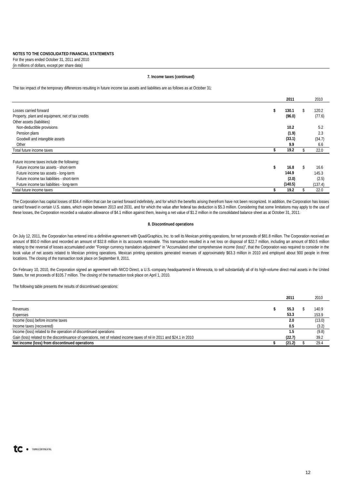### **7. Income taxes (continued)**

The tax impact of the temporary differences resulting in future income tax assets and liabilities are as follows as at October 31:

|                                                   | 2011       | 2010        |
|---------------------------------------------------|------------|-------------|
| Losses carried forward                            | 130.1      | \$<br>120.2 |
| Property, plant and equipment, net of tax credits | (96.0)     | (77.6)      |
| Other assets (liabilities)                        |            |             |
| Non-deductible provisions                         | 10.2       | 5.2         |
| Pension plans                                     | (1.9)      | 2.3         |
| Goodwill and intangible assets                    | (33.1)     | (34.7)      |
| Other                                             | 9.9        | 6.6         |
| Total future income taxes                         | 19.2       | 22.0        |
| Future income taxes include the following:        |            |             |
| Future income tax assets - short-term             | 16.8<br>\$ | \$<br>16.6  |
| Future income tax assets - long-term              | 144.9      | 145.3       |
| Future income tax liabilities - short-term        | (2.0)      | (2.5)       |
| Future income tax liabilities - long-term         | (140.5)    | (137.4)     |
| Total future income taxes                         | 19.2       | 22.0        |

The Corporation has capital losses of \$34.4 million that can be carried forward indefinitely, and for which the benefits arising therefrom have not been recognized. In addition, the Corporation has losses carried forward in certain U.S. states, which expire between 2013 and 2031, and for which the value after federal tax deduction is \$5.3 million. Considering that some limitations may apply to the use of these losses, the Corporation recorded a valuation allowance of \$4.1 million against them, leaving a net value of \$1.2 million in the consolidated balance sheet as at October 31, 2011.

### **8. Discontinued operations**

On July 12, 2011, the Corporation has entered into a definitive agreement with Quad/Graphics, Inc. to sell its Mexican printing operations, for net proceeds of \$81.8 million. The Corporation received an amount of \$50.0 million and recorded an amount of \$32.8 million in its accounts receivable. This transaction resulted in a net loss on disposal of \$22.7 million, including an amount of \$50.5 million relating to the reversal of losses accumulated under "Foreign currency translation adjustment" in "Accumulated other comprehensive income (loss)", that the Corporation was required to consider in the book value of net assets related to Mexican printing operations. Mexican printing operations generated revenues of approximately \$63.3 million in 2010 and employed about 900 people in three locations. The closing of the transaction took place on September 8, 2011.

On February 10, 2010, the Corporation signed an agreement with IWCO Direct, a U.S.-company headquartered in Minnesota, to sell substantially all of its high-volume direct mail assets in the United States, for net proceeds of \$105.7 million. The closing of the transaction took place on April 1, 2010.

The following table presents the results of discontinued operations:

|                                                                                                                        | 2011   | 2010   |
|------------------------------------------------------------------------------------------------------------------------|--------|--------|
|                                                                                                                        |        |        |
| Revenues                                                                                                               | 55.3   | 140.9  |
| Expenses                                                                                                               | 53.3   | 153.9  |
| Income (loss) before income taxes                                                                                      | 2.0    | (13.0) |
| Income taxes (recovered)                                                                                               | 0.5    | (3.2)  |
| Income (loss) related to the operation of discontinued operations                                                      | 1.5    | (9.8)  |
| Gain (loss) related to the discontinuance of operations, net of related income taxes of nil in 2011 and \$24.1 in 2010 | (22.7) | 39.2   |
| Net income (loss) from discontinued operations                                                                         | (21.2) | 29.4   |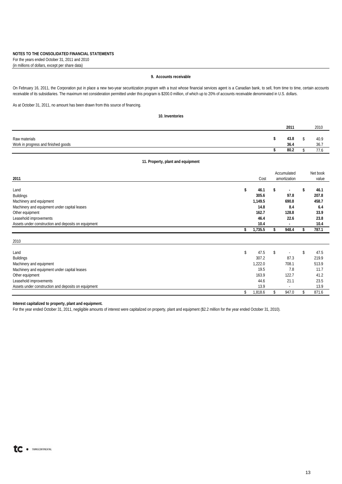### **9. Accounts receivable**

On February 16, 2011, the Corporation put in place a new two-year securitization program with a trust whose financial services agent is a Canadian bank, to sell, from time to time, certain accounts receivable of its subsidiaries. The maximum net consideration permitted under this program is \$200.0 million, of which up to 20% of accounts receivable denominated in U.S. dollars.

As at October 31, 2011, no amount has been drawn from this source of financing.

**10. Inventories**

|                                     | 2011 | 2010 |
|-------------------------------------|------|------|
| Raw materials                       | 43.8 | 40.9 |
| Work in progress and finished goods | 36.4 | 36.7 |
|                                     | 80.2 | 77.6 |

## **11. Property, plant and equipment**

| 2011                                                |    | Accumulated<br>amortization<br>Cost |    |                          |    |       |
|-----------------------------------------------------|----|-------------------------------------|----|--------------------------|----|-------|
| Land                                                | \$ | 46.1                                | \$ | $\sim$                   | \$ | 46.1  |
| <b>Buildings</b>                                    |    | 305.6                               |    | 97.8                     |    | 207.8 |
| Machinery and equipment                             |    | 1,149.5                             |    | 690.8                    |    | 458.7 |
| Machinery and equipment under capital leases        |    | 14.8                                |    | 8.4                      |    | 6.4   |
| Other equipment                                     |    | 162.7                               |    | 128.8                    |    | 33.9  |
| Leasehold improvements                              |    | 46.4                                |    | 22.6                     |    | 23.8  |
| Assets under construction and deposits on equipment |    | 10.4                                |    | $\sim$                   |    | 10.4  |
|                                                     | S  | 1,735.5                             |    | 948.4                    |    | 787.1 |
|                                                     |    |                                     |    |                          |    |       |
| 2010                                                |    |                                     |    |                          |    |       |
| Land                                                | \$ | 47.5                                | \$ | $\overline{\phantom{a}}$ | \$ | 47.5  |
| <b>Buildings</b>                                    |    | 307.2                               |    | 87.3                     |    | 219.9 |
| Machinery and equipment                             |    | 1,222.0                             |    | 708.1                    |    | 513.9 |
| Machinery and equipment under capital leases        |    | 19.5                                |    | 7.8                      |    | 11.7  |
| Other equipment                                     |    | 163.9                               |    | 122.7                    |    | 41.2  |
| Leasehold improvements                              |    | 44.6                                |    | 21.1                     |    | 23.5  |

### **Interest capitalized to property, plant and equipment.**

Assets under construction and deposits on equipment

For the year ended October 31, 2011, negligible amounts of interest were capitalized on property, plant and equipment (\$2.2 million for the year ended October 31, 2010).

13.9 - 13.9 1,818.6 \$ 947.0 \$ 871.6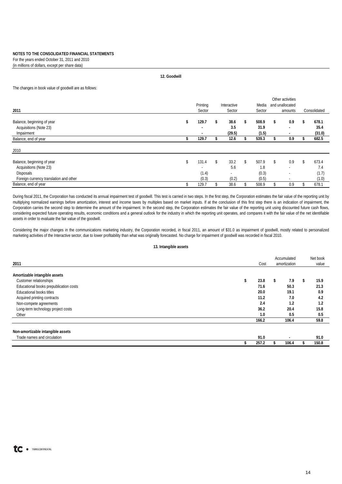**12. Goodwill**

The changes in book value of goodwill are as follows:

|                                        |                |             |             |    | Other activities         |                    |              |
|----------------------------------------|----------------|-------------|-------------|----|--------------------------|--------------------|--------------|
|                                        | Printing       | Interactive | Media       |    | and unallocated          |                    |              |
| 2011                                   | Sector         | Sector      | Sector      |    | amounts                  |                    | Consolidated |
| Balance, beginning of year             | \$<br>129.7    | \$<br>38.6  | \$<br>508.9 | \$ | 0.9                      | \$                 | 678.1        |
| Acquisitions (Note 23)                 | $\overline{a}$ | 3.5         | 31.9        |    | $\overline{\phantom{a}}$ |                    | 35.4         |
| Impairment                             | $\overline{a}$ | (29.5)      | (1.5)       |    |                          |                    | (31.0)       |
| Balance, end of year                   | 129.7          | 12.6        | 539.3       |    | 0.9                      |                    | 682.5        |
| 2010                                   |                |             |             |    |                          |                    |              |
| Balance, beginning of year             | \$<br>131.4    | \$<br>33.2  | \$<br>507.9 | S. | 0.9                      | $\mathbf{\hat{S}}$ | 673.4        |
| Acquisitions (Note 23)                 |                | 5.6         | 1.8         |    | $\overline{\phantom{a}}$ |                    | 7.4          |
| <b>Disposals</b>                       | (1.4)          | ٠           | (0.3)       |    | ۰                        |                    | (1.7)        |
| Foreign currency translation and other | (0.3)          | (0.2)       | (0.5)       |    |                          |                    | (1.0)        |
| Balance, end of year                   | 129.7          | 38.6        | 508.9       |    | 0.9                      |                    | 678.1        |

During fiscal 2011, the Corporation has conducted its annual impairment test of goodwill. This test is carried in two steps. In the first step, the Corporation estimates the fair value of the reporting unit by multiplying normalized earnings before amortization, interest and income taxes by multiples based on market inputs. If at the conclusion of this first step there is an indication of impairment, the Corporation carries the second step to determine the amount of the impairment. In the second step, the Corporation estimates the fair value of the reporting unit using discounted future cash flows, considering expected future operating results, economic conditions and a general outlook for the industry in which the reporting unit operates, and compares it with the fair value of the net identifiable assets in order to evaluate the fair value of the goodwill.

Considering the major changes in the communications marketing industry, the Corporation recorded, in fiscal 2011, an amount of \$31.0 as impairment of goodwill, mostly related to personalized marketing activities of the Interactive sector, due to lower profitability than what was originally forecasted. No charge for impairment of goodwill was recorded in fiscal 2010.

#### **13. Intangible assets**

| 2011                                   |       | Cost | Accumulated<br>amortization |   | Net book<br>value |
|----------------------------------------|-------|------|-----------------------------|---|-------------------|
|                                        |       |      |                             |   |                   |
| Amortizable intangible assets          |       |      |                             |   |                   |
| Customer relationships                 | 23.8  |      | \$<br>7.9                   | S | 15.9              |
| Educational books prepublication costs | 71.6  |      | 50.3                        |   | 21.3              |
| Educational books titles               | 20.0  |      | 19.1                        |   | 0.9               |
| Acquired printing contracts            | 11.2  |      | 7.0                         |   | 4.2               |
| Non-compete agreements                 | 2.4   |      | 1.2                         |   | 1.2               |
| Long-term technology project costs     | 36.2  |      | 20.4                        |   | 15.8              |
| Other                                  | 1.0   |      | 0.5                         |   | 0.5               |
|                                        | 166.2 |      | 106.4                       |   | 59.8              |
| Non-amortizable intangible assets      |       |      |                             |   |                   |
| Trade names and circulation            | 91.0  |      | $\overline{\phantom{a}}$    |   | 91.0              |
|                                        | 257.2 |      | 106.4                       |   | 150.8             |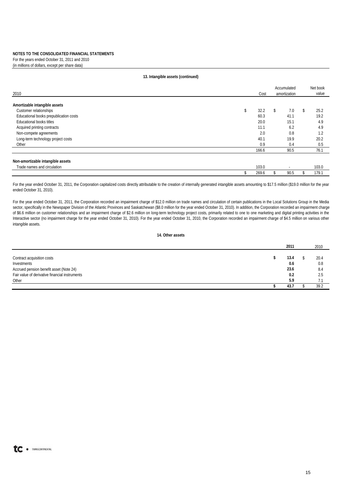|                                        |    |       | Accumulated  | Net book   |
|----------------------------------------|----|-------|--------------|------------|
| 2010                                   |    | Cost  | amortization | value      |
|                                        |    |       |              |            |
| Amortizable intangible assets          |    |       |              |            |
| Customer relationships                 | \$ | 32.2  | \$<br>7.0    | \$<br>25.2 |
| Educational books prepublication costs |    | 60.3  | 41.1         | 19.2       |
| Educational books titles               |    | 20.0  | 15.1         | 4.9        |
| Acquired printing contracts            |    | 11.1  | 6.2          | 4.9        |
| Non-compete agreements                 |    | 2.0   | 0.8          | 1.2        |
| Long-term technology project costs     |    | 40.1  | 19.9         | 20.2       |
| Other                                  |    | 0.9   | 0.4          | 0.5        |
|                                        |    | 166.6 | 90.5         | 76.1       |
| Non-amortizable intangible assets      |    |       |              |            |
|                                        |    |       |              |            |
| Trade names and circulation            |    | 103.0 |              | 103.0      |
|                                        |    | 269.6 | 90.5         | 179.1      |

**13. Intangible assets (continued)**

For the year ended October 31, 2011, the Corporation capitalized costs directly attributable to the creation of internally generated intangible assets amounting to \$17.5 million (\$19.0 million for the year ended October 31, 2010).

For the year ended October 31, 2011, the Corporation recorded an impairment charge of \$12.0 million on trade names and circulation of certain publications in the Local Solutions Group in the Media sector, specifically in the Newspaper Division of the Atlantic Provinces and Saskatchewan (\$8.0 million for the year ended October 31, 2010). In addition, the Corporation recorded an impairment charge of \$6.6 million on customer relationships and an impairment charge of \$2.6 million on long-term technology project costs, primarily related to one to one marketing and digital printing activities in the Interactive sector (no impairment charge for the year ended October 31, 2010). For the year ended October 31, 2010, the Corporation recorded an impairment charge of \$4.5 million on various other intangible assets.

## **14. Other assets**

|                                                | 2011 | 2010 |
|------------------------------------------------|------|------|
| Contract acquisition costs                     | 13.4 | 20.4 |
| Investments                                    | 0.6  | 0.8  |
| Accrued pension benefit asset (Note 24)        | 23.6 | 8.4  |
| Fair value of derivative financial instruments | 0.2  | 2.5  |
| Other                                          | 5.9  |      |
|                                                | 43.7 | 39.2 |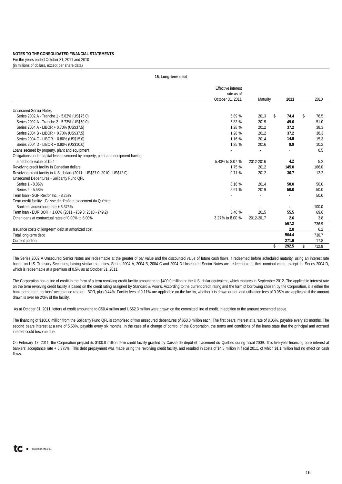**15. Long-term debt**

|                                                                                  | Effective interest<br>rate as of<br>October 31, 2011 | Maturity  | 2011 | 2010  |             |
|----------------------------------------------------------------------------------|------------------------------------------------------|-----------|------|-------|-------------|
| <b>Unsecured Senior Notes</b>                                                    |                                                      |           |      |       |             |
| Series 2002 A - Tranche 1 - 5.62% (US\$75.0)                                     | 5.89 %                                               | 2013      | \$   | 74.4  | \$<br>76.5  |
| Series 2002 A - Tranche 2 - 5.73% (US\$50.0)                                     | 5.83 %                                               | 2015      |      | 49.6  | 51.0        |
| Series 2004 A - LIBOR + 0.70% (US\$37.5)                                         | 1.28 %                                               | 2012      |      | 37.2  | 38.3        |
| Series 2004 B - LIBOR + 0.70% (US\$37.5)                                         | 1.28 %                                               | 2012      |      | 37.2  | 38.3        |
| Series 2004 C - LIBOR + 0.80% (US\$15.0)                                         | 1.16 %                                               | 2014      |      | 14.9  | 15.3        |
| Series 2004 D - LIBOR + 0.90% (US\$10.0)                                         | 1.25 %                                               | 2016      |      | 9.9   | 10.2        |
| Loans secured by property, plant and equipment                                   |                                                      |           |      |       | 0.5         |
| Obligations under capital leases secured by property, plant and equipment having |                                                      |           |      |       |             |
| a net book value of \$6.4                                                        | 5.43% to 8.07 %                                      | 2012-2016 |      | 4.2   | 5.2         |
| Revolving credit facility in Canadian dollars                                    | 1.75 %                                               | 2012      |      | 145.0 | 166.0       |
| Revolving credit facility in U.S. dollars (2011 - US\$37.0; 2010 - US\$12.0)     | 0.71%                                                | 2012      |      | 36.7  | 12.2        |
| Unsecured Debentures - Solidarity Fund QFL                                       |                                                      |           |      |       |             |
| Series 1 - 8.06%                                                                 | 8.16 %                                               | 2014      |      | 50.0  | 50.0        |
| Series 2 - 5.58%                                                                 | 5.61 %                                               | 2019      |      | 50.0  | 50.0        |
| Term loan - SGF Rexfor Inc. - 8.25%                                              |                                                      |           |      |       | 50.0        |
| Term credit facility - Caisse de dépôt et placement du Québec                    |                                                      |           |      |       |             |
| Banker's acceptance rate + 6.375%                                                |                                                      |           |      |       | 100.0       |
| Term loan - EURIBOR + 1.60% (2011 - €39.3; 2010 - €49.2)                         | 5.40 %                                               | 2015      |      | 55.5  | 69.6        |
| Other loans at contractual rates of 0.00% to 8.00%                               | 3.27% to 8.00 %                                      | 2012-2017 |      | 2.6   | 3.8         |
|                                                                                  |                                                      |           |      | 567.2 | 736.9       |
| Issuance costs of long-term debt at amortized cost                               |                                                      |           |      | 2.8   | 6.2         |
| Total long-term debt                                                             |                                                      |           |      | 564.4 | 730.7       |
| Current portion                                                                  |                                                      |           |      | 271.9 | 17.8        |
|                                                                                  |                                                      |           | \$   | 292.5 | \$<br>712.9 |

The Series 2002 A Unsecured Senior Notes are redeemable at the greater of par value and the discounted value of future cash flows, if redeemed before scheduled maturity, using an interest rate based on U.S. Treasury Securities, having similar maturities. Series 2004 A, 2004 B, 2004 C and 2004 D Unsecured Senior Notes are redeemable at their nominal value, except for Series 2004 D, which is redeemable at a premium of 0.5% as at October 31, 2011.

The Corporation has a line of credit in the form of a term revolving credit facility amounting to \$400.0 million or the U.S. dollar equivalent, which matures in September 2012. The applicable interest rate on the term revolving credit facility is based on the credit rating assigned by Standard & Poor's. According to the current credit rating and the form of borrowing chosen by the Corporation, it is either the bank prime rate, bankers' acceptance rate or LIBOR, plus 0.44%. Facility fees of 0.11% are applicable on the facility, whether it is drawn or not, and utilization fees of 0.05% are applicable if the amount drawn is over 66 2/3% of the facility.

As at October 31, 2011, letters of credit amounting to C\$0.4 million and US\$2.3 million were drawn on the committed line of credit, in addition to the amount presented above.

The financing of \$100.0 million from the Solidarity Fund QFL is comprised of two unsecured debentures of \$50.0 million each. The first bears interest at a rate of 8.06%, payable every six months. The second bears interest at a rate of 5.58%, payable every six months. In the case of a change of control of the Corporation, the terms and conditions of the loans state that the principal and accrued interest could become due.

On February 17, 2011, the Corporation prepaid its \$100.0 million term credit facility granted by Caisse de dépôt et placement du Québec during fiscal 2009. This five-year financing bore interest at bankers' acceptance rate + 6.375%. This debt prepayment was made using the revolving credit facility, and resulted in costs of \$4.5 million in fiscal 2011, of which \$1.1 million had no effect on cash flows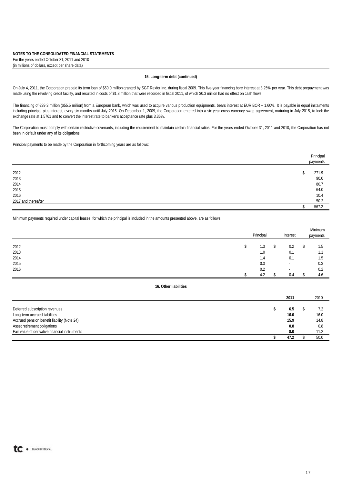### **15. Long-term debt (continued)**

On July 4, 2011, the Corporation prepaid its term loan of \$50.0 million granted by SGF Rexfor Inc. during fiscal 2009. This five-year financing bore interest at 8.25% per year. This debt prepayment was made using the revolving credit facility, and resulted in costs of \$1.3 million that were recorded in fiscal 2011, of which \$0.3 million had no effect on cash flows.

The financing of €39,3 million (\$55.5 million) from a European bank, which was used to acquire various production equipments, bears interest at EURIBOR + 1.60%. It is payable in equal instalments including principal plus interest, every six months until July 2015. On December 1, 2009, the Corporation entered into a six-year cross currency swap agreement, maturing in July 2015, to lock the exchange rate at 1.5761 and to convert the interest rate to banker's acceptance rate plus 3.36%.

The Corporation must comply with certain restrictive covenants, including the requirement to maintain certain financial ratios. For the years ended October 31, 2011 and 2010, the Corporation has not been in default under any of its obligations.

Principal payments to be made by the Corporation in forthcoming years are as follows:

|                     | Principal<br>payments |
|---------------------|-----------------------|
|                     |                       |
| 2012                | \$<br>271.9           |
| 2013                | 90.0                  |
| 2014                | 80.7                  |
| 2015                | 64.0                  |
| 2016                | 10.4                  |
| 2017 and thereafter | 50.2                  |
|                     | 567.2                 |

Minimum payments required under capital leases, for which the principal is included in the amounts presented above, are as follows:

|                                |                       | Principal |              | Interest                 |                     | Minimum<br>payments |
|--------------------------------|-----------------------|-----------|--------------|--------------------------|---------------------|---------------------|
|                                |                       |           |              |                          |                     |                     |
| 2012                           | \$                    | 1.3       | \$           | 0.2                      | \$                  | 1.5                 |
| 2013                           |                       | 1.0       |              | 0.1                      |                     | 1.1                 |
| 2014                           |                       | 1.4       |              | 0.1                      |                     | 1.5                 |
| 2015                           |                       | 0.3       |              | $\overline{\phantom{a}}$ |                     | 0.3                 |
| 2016                           |                       | 0.2       |              | $\sim$                   |                     | 0.2                 |
|                                |                       | 4.2       |              | 0.4                      |                     | 4.6                 |
|                                | 16. Other liabilities |           |              |                          |                     |                     |
|                                |                       |           |              | 2011                     |                     | 2010                |
| Deferred subscription revenues |                       |           | $\mathbf{C}$ | 65                       | $\ddot{\mathbf{r}}$ | 72                  |

| Deferred subscription revenues                 | 6.5  |      |
|------------------------------------------------|------|------|
| Long-term accrued liabilities                  | 16.0 | 16.0 |
| Accrued pension benefit liability (Note 24)    | 15.9 | 14.8 |
| Asset retirement obligations                   | 0.8  | 0.8  |
| Fair value of derivative financial instruments | 8.0  | 11.2 |
|                                                | 47.2 | 50.0 |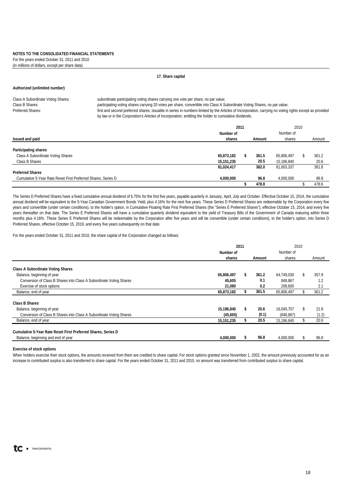### **17. Share capital**

### **Authorized (unlimited number)**

Class A Subordinate Voting Shares: subordinate participating voting shares carrying one vote per share, no par value; Class B Shares: Preferred Shares: participating voting shares carrying 20 votes per share, convertible into Class A Subordinate Voting Shares, no par value; first and second preferred shares, issuable in series in numbers limited by the Articles of Incorporation, carrying no voting rights except as provided by law or in the Corporation's Articles of Incorporation, entitling the holder to cumulative dividends.

|                                                               | 2011         |        | 2010       |  |        |
|---------------------------------------------------------------|--------------|--------|------------|--|--------|
|                                                               | Number of    |        | Number of  |  |        |
| Issued and paid                                               | shares       | Amount | shares     |  | Amount |
|                                                               |              |        |            |  |        |
| Participating shares                                          |              |        |            |  |        |
| Class A Subordinate Voting Shares                             | 65,873,182   | 361.5  | 65,806,497 |  | 361.2  |
| Class B Shares                                                | 15, 151, 235 | 20.5   | 15,196,840 |  | 20.6   |
|                                                               | 81,024,417   | 382.0  | 81,003,337 |  | 381.8  |
| <b>Preferred Shares</b>                                       |              |        |            |  |        |
| Cumulative 5-Year Rate Reset First Preferred Shares, Series D | 4,000,000    | 96.8   | 4,000,000  |  | 96.8   |
|                                                               |              | 478.8  |            |  | 478.6  |

The Series D Preferred Shares have a fixed cumulative annual dividend of 6.75% for the first five years, payable quarterly in January, April, July and October. Effective October 15, 2014, the cumulative annual dividend will be equivalent to the 5-Year Canadian Government Bonds Yield, plus 4.16% for the next five years. These Series D Preferred Shares are redeemable by the Corporation every five years and convertible (under certain conditions), to the holder's option, in Cumulative Floating Rate First Preferred Shares (the "Series E Preferred Shares"), effective October 15, 2014, and every five years thereafter on that date. The Series E Preferred Shares will have a cumulative quarterly dividend equivalent to the yield of Treasury Bills of the Government of Canada maturing within three months plus 4.16%. These Series E Preferred Shares will be redeemable by the Corporation after five years and will be convertible (under certain conditions), to the holder's option, into Series D Preferred Shares, effective October 15, 2019, and every five years subsequently on that date.

For the years ended October 31, 2011 and 2010, the share capital of the Corporation changed as follows:

|                                                                     | 2011       | 2010      |        |            |    |        |
|---------------------------------------------------------------------|------------|-----------|--------|------------|----|--------|
|                                                                     | Number of  | Number of |        |            |    |        |
|                                                                     | shares     |           | Amount | shares     |    | Amount |
| <b>Class A Subordinate Voting Shares</b>                            |            |           |        |            |    |        |
| Balance, beginning of year                                          | 65,806,497 | S.        | 361.2  | 64.749.030 | \$ | 357.9  |
| Conversion of Class B Shares into Class A Subordinate Voting Shares | 45,605     |           | 0.1    | 848.867    |    | 1.2    |
| Exercise of stock options                                           | 21,080     |           | 0.2    | 208,600    |    | 2.1    |
| Balance, end of year                                                | 65,873,182 |           | 361.5  | 65,806,497 |    | 361.2  |
| <b>Class B Shares</b>                                               |            |           |        |            |    |        |
| Balance, beginning of year                                          | 15,196,840 |           | 20.6   | 16.045.707 | \$ | 21.8   |
| Conversion of Class B Shares into Class A Subordinate Voting Shares | (45,605)   |           | (0.1)  | (848, 867) |    | (1.2)  |
| Balance, end of year                                                | 15,151,235 |           | 20.5   | 15,196,840 |    | 20.6   |
| Cumulative 5-Year Rate Reset First Preferred Shares, Series D       |            |           |        |            |    |        |
| Balance, beginning and end of year                                  | 4,000,000  |           | 96.8   | 4,000,000  |    | 96.8   |

#### **Exercise of stock options**

When holders exercise their stock options, the amounts received from them are credited to share capital. For stock options granted since November 1, 2002, the amount previously accounted for as an increase to contributed surplus is also transferred to share capital. For the years ended October 31, 2011 and 2010, no amount was transferred from contributed surplus to share capital.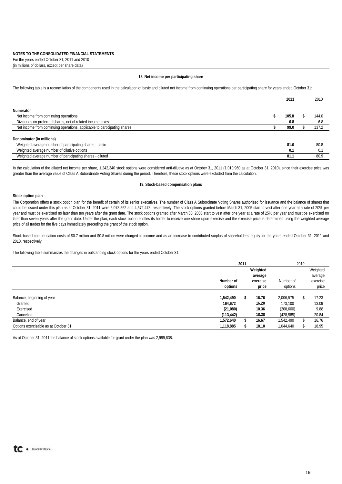### **18. Net income per participating share**

The following table is a reconciliation of the components used in the calculation of basic and diluted net income from continuing operations per participating share for years ended October 31:

|                                                                           | 2011  | 2010  |
|---------------------------------------------------------------------------|-------|-------|
| Numerator                                                                 |       |       |
| Net income from continuing operations                                     | 105.8 | 144.0 |
| Dividends on preferred shares, net of related income taxes                | 6.8   | 6.8   |
| Net income from continuing operations, applicable to participating shares | 99.0  | 137.2 |
|                                                                           |       |       |
| Denominator (in millions)                                                 |       |       |
| Weighted average number of participating shares - basic                   | 81.0  | 80.8  |
| Weighted average number of dilutive options                               | 0.1   | 0.1   |
| Weighted average number of participating shares - diluted                 | 81.1  | 80.9  |

In the calculation of the diluted net income per share, 1,242,340 stock options were considered anti-dilutive as at October 31, 2011 (1,010,960 as at October 31, 2010), since their exercise price was greater than the average value of Class A Subordinate Voting Shares during the period. Therefore, these stock options were excluded from the calculation.

### **19. Stock-based compensation plans**

#### **Stock option plan**

The Corporation offers a stock option plan for the benefit of certain of its senior executives. The number of Class A Subordinate Voting Shares authorized for issuance and the balance of shares that could be issued under this plan as at October 31, 2011 were 6,078,562 and 4,572,478, respectively. The stock options granted before March 31, 2005 start to vest after one year at a rate of 20% per year and must be exercised no later than ten years after the grant date. The stock options granted after March 30, 2005 start to vest after one year at a rate of 25% per year and must be exercised no later than seven years after the grant date. Under the plan, each stock option entitles its holder to receive one share upon exercise and the exercise price is determined using the weighted average price of all trades for the five days immediately preceding the grant of the stock option.

Stock-based compensation costs of \$0.7 million and \$0.8 million were charged to income and as an increase to contributed surplus of shareholders' equity for the years ended October 31, 2011 and 2010, respectively.

The following table summarizes the changes in outstanding stock options for the years ended October 31:

|                                      |            | 2011       |            |    |          |  |
|--------------------------------------|------------|------------|------------|----|----------|--|
|                                      |            | Weighted   |            |    | Weighted |  |
|                                      |            | average    |            |    | average  |  |
|                                      | Number of  | exercise   | Number of  |    | exercise |  |
|                                      | options    | price      | options    |    | price    |  |
|                                      |            |            |            |    |          |  |
| Balance, beginning of year           | 1,542,490  | 16.76<br>S | 2,006,575  | £. | 17.23    |  |
| Granted                              | 164,672    | 16.20      | 173,100    |    | 13.09    |  |
| Exercised                            | (21,080)   | 10.36      | (208, 600) |    | 9.88     |  |
| Cancelled                            | (113, 442) | 18.38      | (428, 585) |    | 20.84    |  |
| Balance, end of year                 | 1,572,640  | 16.67      | 1,542,490  |    | 16.76    |  |
| Options exercisable as at October 31 | 1,118,885  | 18.10      | 1,044,640  |    | 18.95    |  |

As at October 31, 2011 the balance of stock options available for grant under the plan was 2,999,838.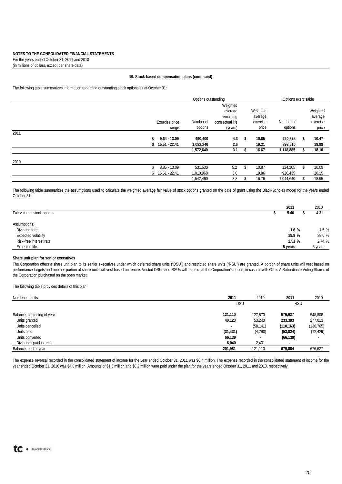### **19. Stock-based compensation plans (continued)**

The following table summarizes information regarding outstanding stock options as at October 31:

|      |                         |                      | Options exercisable                                             |                                 |                               |    |                                          |
|------|-------------------------|----------------------|-----------------------------------------------------------------|---------------------------------|-------------------------------|----|------------------------------------------|
|      | Exercise price<br>range | Number of<br>options | Weighted<br>average<br>remaining<br>contractual life<br>(years) | Weighted<br>average<br>exercise | Number of<br>options<br>price |    | Weighted<br>average<br>exercise<br>price |
| 2011 |                         |                      |                                                                 |                                 |                               |    |                                          |
|      | $9.64 - 13.09$          | 490,400              | 4.3                                                             | 10.85<br>\$                     | 220,375                       | \$ | 10.47                                    |
|      | 15.51 - 22.41<br>\$.    | 1,082,240            | 2.6                                                             | 19.31                           | 898,510                       |    | 19.98                                    |
|      |                         | 1,572,640            | 3.1                                                             | 16.67                           | 1,118,885                     |    | 18.10                                    |
| 2010 |                         |                      |                                                                 |                                 |                               |    |                                          |
|      | $8.85 - 13.09$          | 531,530              | 5.2                                                             | 10.87                           | 124,205                       |    | 10.09                                    |
|      | 15.51 - 22.41           | 1,010,960            | 3.0                                                             | 19.86                           | 920,435                       |    | 20.15                                    |
|      |                         | 1,542,490            | 3.8                                                             | 16.76                           | 1,044,640                     |    | 18.95                                    |

The following table summarizes the assumptions used to calculate the weighted average fair value of stock options granted on the date of grant using the Black-Scholes model for the years ended October 31:

|                             | 2011    | 2010    |
|-----------------------------|---------|---------|
| Fair value of stock options | 5.40    | 4.31    |
| Assumptions:                |         |         |
| Dividend rate               | $1.6\%$ | 1.5 %   |
| Expected volatility         | 39.8 %  | 38.6 %  |
| Risk-free interest rate     | 2.51 %  | 2.74 %  |
| Expected life               | 5 years | 5 years |

### **Share unit plan for senior executives**

The Corporation offers a share unit plan to its senior executives under which deferred share units ("DSU") and restricted share units ("RSU") are granted. A portion of share units will vest based on performance targets and another portion of share units will vest based on tenure. Vested DSUs and RSUs will be paid, at the Corporation's option, in cash or with Class A Subordinate Voting Shares of the Corporation purchased on the open market.

The following table provides details of this plan:

| Number of units            | 2011                     | 2010      | 2011                     | 2010       |
|----------------------------|--------------------------|-----------|--------------------------|------------|
|                            | <b>DSU</b>               |           | <b>RSU</b>               |            |
| Balance, beginning of year | 121,110                  | 127.870   | 676,627                  | 548,808    |
| Units granted              | 40,123                   | 53,240    | 233,383                  | 277,013    |
| Units cancelled            | $\overline{\phantom{a}}$ | (58, 141) | (110, 163)               | (136, 765) |
| Units paid                 | (31, 431)                | (4,290)   | (53, 824)                | (12, 429)  |
| Units converted            | 66,139                   |           | (66, 139)                |            |
| Dividends paid in units    | 6,040                    | 2,431     | $\overline{\phantom{a}}$ | $\sim$     |
| Balance, end of year       | 201,981                  | 121,110   | 679,884                  | 676,627    |

The expense reversal recorded in the consolidated statement of income for the year ended October 31, 2011 was \$0.4 million. The expense recorded in the consolidated statement of income for the year ended October 31, 2010 was \$4.0 million. Amounts of \$1.3 million and \$0.2 million were paid under the plan for the years ended October 31, 2011 and 2010, respectively.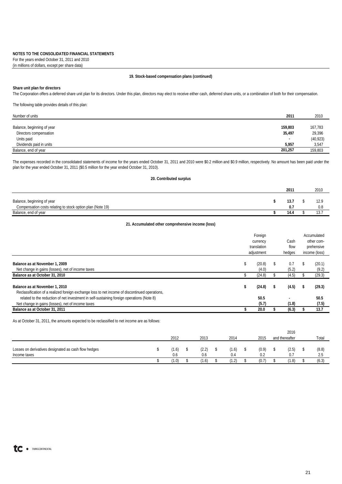## **19. Stock-based compensation plans (continued)**

### **Share unit plan for directors**

The Corporation offers a deferred share unit plan for its directors. Under this plan, directors may elect to receive either cash, deferred share units, or a combination of both for their compensation.

The following table provides details of this plan:

| Number of units            | 2011                     | 2010      |
|----------------------------|--------------------------|-----------|
|                            |                          |           |
| Balance, beginning of year | 159,803                  | 167,783   |
| Directors compensation     | 35,497                   | 29,396    |
| Units paid                 | $\overline{\phantom{a}}$ | (40, 923) |
| Dividends paid in units    | 5.957                    | 3,547     |
| Balance, end of year       | 201.257                  | 159.803   |

The expenses recorded in the consolidated statements of income for the years ended October 31, 2011 and 2010 were \$0.2 million and \$0.9 million, respectively. No amount has been paid under the plan for the year ended October 31, 2011 (\$0.5 million for the year ended October 31, 2010).

## **20. Contributed surplus**

|                                                            | 201  | 2010 |
|------------------------------------------------------------|------|------|
|                                                            |      |      |
| Balance, beginning of year                                 | 13.7 | 12.9 |
| Compensation costs relating to stock option plan (Note 19) | 0.7  |      |
| Balance, end of year                                       | 14.4 | 13.  |

### **21. Accumulated other comprehensive income (loss)**

|                                                                                                                                                | Foreign<br>currency<br>translation<br>adjustment |   | Cash<br>flow<br>hedges |     | Accumulated<br>other com-<br>prehensive<br>income (loss) |
|------------------------------------------------------------------------------------------------------------------------------------------------|--------------------------------------------------|---|------------------------|-----|----------------------------------------------------------|
| Balance as at November 1, 2009<br>Net change in gains (losses), net of income taxes                                                            | (20.8)<br>(4.0)                                  | S | 0.7<br>(5.2)           | ĴЪ. | (20.1)<br>(9.2)                                          |
| Balance as at October 31, 2010                                                                                                                 | (24.8)                                           |   | (4.5)                  |     | (29.3)                                                   |
| Balance as at November 1, 2010<br>Reclassification of a realized foreign exchange loss to net income of discontinued operations,               | (24.8)                                           | ъ | (4.5)                  | S   | (29.3)                                                   |
| related to the reduction of net investment in self-sustaining foreign operations (Note 8)<br>Net change in gains (losses), net of income taxes | 50.5<br>(5.7)                                    |   | $\sim$<br>(1.8)        |     | 50.5<br>(7.5)                                            |
| Balance as at October 31, 2011                                                                                                                 | 20.0                                             |   | (6.3)                  |     | 13.7                                                     |

As at October 31, 2011, the amounts expected to be reclassified to net income are as follows:

|                                                      |       |       |               |       | 2016           |                        |
|------------------------------------------------------|-------|-------|---------------|-------|----------------|------------------------|
|                                                      | 2012  | 2013  | 2014          | 2015  | and thereafter | Total                  |
| Losses on derivatives designated as cash flow hedges | (1.6) | (2.2) | (1.6)         | (0.9) | (2.5)          | (8.8)<br>$\sim$ $\sim$ |
| Income taxes                                         | 0.6   | 0.6   | 0.4<br>$\sim$ | 0.2   |                | د. ک                   |
|                                                      | (1.0) | 1.61  | 1.2           | (0.7) | 1.8)           | (6.3)                  |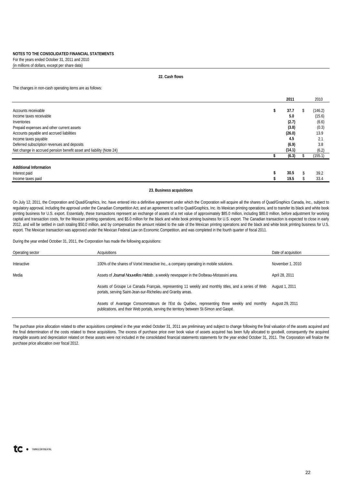### **22. Cash flows**

The changes in non-cash operating items are as follows:

|                                                                     | 2011      |    | 2010    |
|---------------------------------------------------------------------|-----------|----|---------|
|                                                                     |           |    |         |
| Accounts receivable                                                 | 37.7<br>S | Ъ  | (146.2) |
| Income taxes receivable                                             | 5.0       |    | (15.6)  |
| Inventories                                                         | (2.7)     |    | (6.6)   |
| Prepaid expenses and other current assets                           | (3.8)     |    | (0.3)   |
| Accounts payable and accrued liabilities                            | (26.0)    |    | 13.9    |
| Income taxes payable                                                | 4.5       |    | 2.1     |
| Deferred subscription revenues and deposits                         | (6.9)     |    | 3.8     |
| Net change in accrued pension benefit asset and liability (Note 24) | (14.1)    |    | (6.2)   |
|                                                                     | (6.3)     |    | (155.1) |
|                                                                     |           |    |         |
| <b>Additional Information</b>                                       |           |    |         |
| Interest paid                                                       | 30.5      | ٢. | 39.2    |
| Income taxes paid                                                   | 19.5      |    | 33.4    |

#### **23. Business acquisitions**

On July 12, 2011, the Corporation and Quad/Graphics, Inc. have entered into a definitive agreement under which the Corporation will acquire all the shares of Quad/Graphics Canada, Inc., subject to regulatory approval, including the approval under the Canadian Competition Act, and an agreement to sell to Quad/Graphics, Inc. its Mexican printing operations, and to transfer its black and white book printing business for U.S. export. Essentially, these transactions represent an exchange of assets of a net value of approximately \$85.0 million, including \$80.0 million, before adjustment for working capital and transaction costs, for the Mexican printing operations, and \$5.0 million for the black and white book printing business for U.S. export. The Canadian transaction is expected to close in early 2012, and will be settled in cash totaling \$50.0 million, and by compensation the amount related to the sale of the Mexican printing operations and the black and white book printing business for U.S. export. The Mexican transaction was approved under the Mexican Federal Law on Economic Competition, and was completed in the fourth quarter of fiscal 2011.

During the year ended October 31, 2011, the Corporation has made the following acquisitions:

| Operating sector | Acquisitions                                                                                                                                                                         | Date of acquisition |
|------------------|--------------------------------------------------------------------------------------------------------------------------------------------------------------------------------------|---------------------|
| Interactive      | 100% of the shares of Vortxt Interactive Inc., a company operating in mobile solutions.                                                                                              | November 1, 2010    |
| Media            | Assets of Journal Nouvelles Hebdo, a weekly newspaper in the Dolbeau-Mistassini area.                                                                                                | April 28, 2011      |
|                  | Assets of Groupe Le Canada Français, representing 11 weekly and monthly titles, and a series of Web<br>portals, serving Saint-Jean-sur-Richelieu and Granby areas.                   | August 1, 2011      |
|                  | Assets of Avantage Consommateurs de l'Est du Québec, representing three weekly and monthly<br>publications, and their Web portals, serving the territory between St-Simon and Gaspé. | August 29, 2011     |

The purchase price allocation related to other acquisitions completed in the year ended October 31, 2011 are preliminary and subject to change following the final valuation of the assets acquired and the final determination of the costs related to these acquisitions. The excess of purchase price over book value of assets acquired has been fully allocated to goodwill, consequently the acquired intangible assets and depreciation related on these assets were not included in the consolidated financial statements statements for the year ended October 31, 2011. The Corporation will finalize the purchase price allocation over fiscal 2012.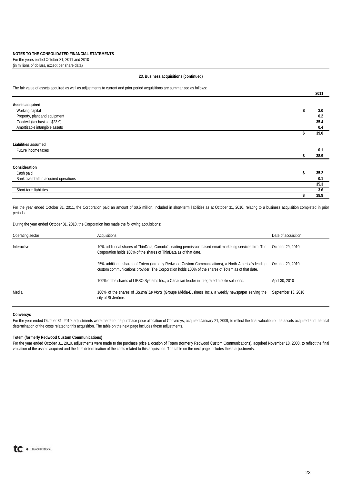### **23. Business acquisitions (continued)**

The fair value of assets acquired as well as adjustments to current and prior period acquisitions are summarized as follows:

|                                       |    | 2011 |
|---------------------------------------|----|------|
| Assets acquired                       |    |      |
| Working capital                       | Ŝ. | 3.0  |
| Property, plant and equipment         |    | 0.2  |
| Goodwill (tax basis of \$23.9)        |    | 35.4 |
| Amortizable intangible assets         |    | 0.4  |
|                                       | \$ | 39.0 |
| Liabilities assumed                   |    |      |
| Future income taxes                   |    | 0.1  |
|                                       |    | 38.9 |
| Consideration                         |    |      |
| Cash paid                             | \$ | 35.2 |
| Bank overdraft in acquired operations |    | 0.1  |
|                                       |    | 35.3 |
| Short-term liabilities                |    | 3.6  |
|                                       |    | 38.9 |

For the year ended October 31, 2011, the Corporation paid an amount of \$0.5 million, included in short-term liabilities as at October 31, 2010, relating to a business acquisition completed in prior periods.

During the year ended October 31, 2010, the Corporation has made the following acquisitions:

| Operating sector | Acquisitions                                                                                                                                                                                             | Date of acquisition |
|------------------|----------------------------------------------------------------------------------------------------------------------------------------------------------------------------------------------------------|---------------------|
| Interactive      | 10% additional shares of ThinData, Canada's leading permission-based email marketing services firm. The<br>Corporation holds 100% of the shares of ThinData as of that date.                             | October 29, 2010    |
|                  | 25% additional shares of Totem (formerly Redwood Custom Communications), a North America's leading<br>custom communications provider. The Corporation holds 100% of the shares of Totem as of that date. | October 29, 2010    |
|                  | 100% of the shares of LIPSO Systems Inc., a Canadian leader in integrated mobile solutions.                                                                                                              | April 30, 2010      |
| Media            | 100% of the shares of <i>Journal Le Nord</i> (Groupe Média-Business Inc.), a weekly newspaper serving the<br>city of St-Jérôme.                                                                          | September 13, 2010  |

### **Conversys**

For the year ended October 31, 2010, adjustments were made to the purchase price allocation of Conversys, acquired January 21, 2009, to reflect the final valuation of the assets acquired and the final determination of the costs related to this acquisition. The table on the next page includes these adjustments.

### **Totem (formerly Redwood Custom Communications)**

For the year ended October 31, 2010, adjustments were made to the purchase price allocation of Totem (formerly Redwood Custom Communications), acquired November 18, 2008, to reflect the final valuation of the assets acquired and the final determination of the costs related to this acquisition. The table on the next page includes these adjustments.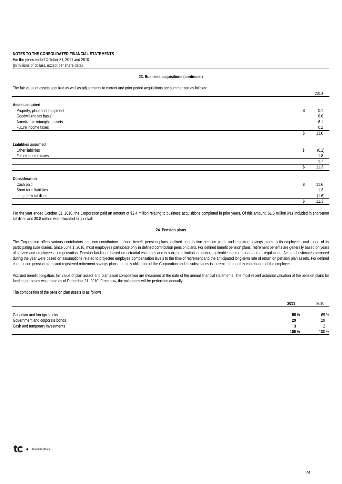### **23. Business acquisitions (continued)**

The fair value of assets acquired as well as adjustments to current and prior period acquisitions are summarized as follows:

|                               | $-\circ\cdot\circ$ |
|-------------------------------|--------------------|
|                               |                    |
| Assets acquired               |                    |
| Property, plant and equipment | \$<br>0.1          |
| Goodwill (no tax basis)       | 6.6                |
| Amortizable intangible assets | 6.1                |
| Future income taxes           | 0.2                |
|                               | 13.0               |
| Liabilities assumed           |                    |
| Other liabilities             | \$<br>(0.1)        |
| Future income taxes           | 1.8                |
|                               | 1.7                |
|                               | 11.3               |
| Consideration                 |                    |
| Cash paid                     | \$<br>11.6         |
| Short-term liabilities        | 1.3                |
| Long-term liabilities         | (1.6)              |
|                               | 11.3               |

For the year ended October 31, 2010, the Corporation paid an amount of \$2.4 million relating to business acquisitions completed in prior years. Of this amount, \$1.6 million was included in short-term liabilities and \$0.8 million was allocated to goodwill.

### **24. Pension plans**

The Corporation offers various contributory and non-contributory defined benefit pension plans, defined contribution pension plans and registred savings plans to its employees and those of its participating subsidiaries. Since June 1, 2010, most employees participate only in defined contribution pension plans. For defined benefit pension plans, retirement benefits are generally based on years of service and employees' compensation. Pension funding is based on actuarial estimates and is subject to limitations under applicable income tax and other regulations. Actuarial estimates prepared during the year were based on assumptions related to projected employee compensation levels to the time of retirement and the anticipated long-term rate of return on pension plan assets. For defined contribution pension plans and registered retirement savings plans, the only obligation of the Corporation and its subsidiaries is to remit the monthly contribution of the employer.

Accrued benefit obligation, fair value of plan assets and plan asset composition are measured at the date of the annual financial statements. The most recent actuarial valuation of the pension plans for funding purposes was made as of December 31, 2010. From now, the valuations will be performed annually.

The composition of the pension plan assets is as follows:

|                                | 2011 | 2010  |
|--------------------------------|------|-------|
|                                |      |       |
| Canadian and foreign stocks    | 68%  | 69%   |
| Government and corporate bonds | 29   | ാറ    |
| Cash and temporary investments |      |       |
|                                | 100% | 100 % |

 $2010$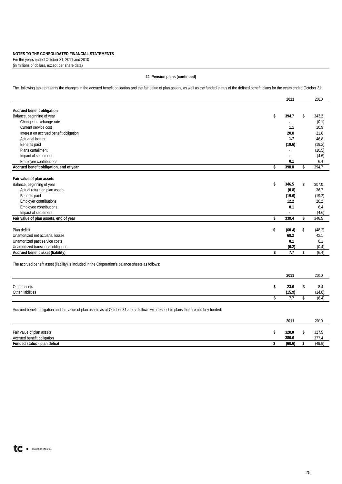# **24. Pension plans (continued)**

The following table presents the changes in the accrued benefit obligation and the fair value of plan assets, as well as the funded status of the defined benefit plans for the years ended October 31:

|                                                                                                                                           | 2011                     | 2010         |
|-------------------------------------------------------------------------------------------------------------------------------------------|--------------------------|--------------|
| Accrued benefit obligation                                                                                                                |                          |              |
| Balance, beginning of year                                                                                                                | \$<br>394.7              | \$<br>343.2  |
| Change in exchange rate                                                                                                                   | $\overline{\phantom{a}}$ | (0.1)        |
| Current service cost                                                                                                                      | 1.1                      | 10.9         |
| Interest on accrued benefit obligation                                                                                                    | 20.8                     | 21.8         |
| Actuarial losses                                                                                                                          | 1.7                      | 46.8         |
| Benefits paid                                                                                                                             | (19.6)                   | (19.2)       |
| Plans curtailment                                                                                                                         | $\sim$                   | (10.5)       |
| Impact of settlement                                                                                                                      |                          | (4.6)        |
| Employee contributions                                                                                                                    | 0.1                      | 6.4          |
| Accrued benefit obligation, end of year                                                                                                   | \$<br>398.8              | \$<br>394.7  |
|                                                                                                                                           |                          |              |
| Fair value of plan assets                                                                                                                 |                          |              |
| Balance, beginning of year                                                                                                                | \$<br>346.5              | \$<br>307.0  |
| Actual return on plan assets                                                                                                              | (0.8)                    | 36.7         |
| Benefits paid                                                                                                                             | (19.6)                   | (19.2)       |
| Employer contributions                                                                                                                    | 12.2                     | 20.2         |
| Employee contributions                                                                                                                    | 0.1                      | 6.4          |
| Impact of settlement                                                                                                                      | ÷.                       | (4.6)        |
| Fair value of plan assets, end of year                                                                                                    | \$<br>338.4              | \$<br>346.5  |
| Plan deficit                                                                                                                              | \$<br>(60.4)             | \$<br>(48.2) |
| Unamortized net actuarial losses                                                                                                          | 68.2                     | 42.1         |
| Unamortized past service costs                                                                                                            | 0.1                      | 0.1          |
| Unamortized transitional obligation                                                                                                       | (0.2)                    | (0.4)        |
| Accrued benefit asset (liability)                                                                                                         | \$<br>7.7                | \$<br>(6.4)  |
|                                                                                                                                           |                          |              |
| The accrued benefit asset (liability) is included in the Corporation's balance sheets as follows:                                         |                          |              |
|                                                                                                                                           | 2011                     | 2010         |
|                                                                                                                                           |                          |              |
| Other assets                                                                                                                              | \$<br>23.6               | \$<br>8.4    |
| Other liabilities                                                                                                                         | (15.9)                   | (14.8)       |
|                                                                                                                                           | \$<br>7.7                | \$<br>(6.4)  |
|                                                                                                                                           |                          |              |
| Accrued benefit obligation and fair value of plan assets as at October 31 are as follows with respect to plans that are not fully funded: |                          |              |
|                                                                                                                                           | 2011                     | 2010         |
|                                                                                                                                           |                          |              |
| Fair value of plan assets                                                                                                                 | \$<br>320.0              | \$<br>327.5  |
| Accrued benefit obligation                                                                                                                | 380.6                    | 377.4        |
| Funded status - plan deficit                                                                                                              | \$<br>(60.6)             | \$<br>(49.9) |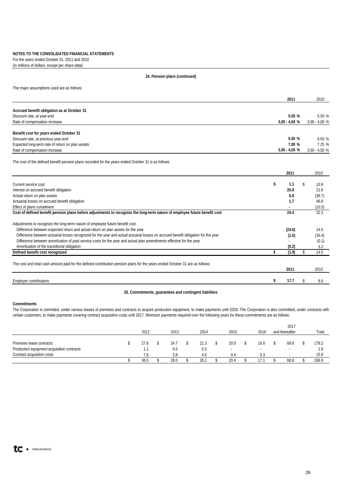## **NOTES TO THE CONSOLIDATED FINANCIAL STATEMENTS** For the years ended October 31, 2011 and 2010

(in millions of dollars, except per share data)

## **24. Pension plans (continued)**

The major assumptions used are as follows:

|                                                  | 2011            | 2010            |
|--------------------------------------------------|-----------------|-----------------|
|                                                  |                 |                 |
| Accrued benefit obligation as at October 31      |                 |                 |
| Discount rate, at year-end                       | 5.50%           | 5.50 %          |
| Rate of compensation increase                    | $3.00 - 4.00 %$ | $3,00 - 4,00 %$ |
| Benefit cost for years ended October 31          |                 |                 |
| Discount rate, at previous year-end              | 5.50%           | 6.50 %          |
| Expected long-term rate of return on plan assets | 7.00%           | 7.25 %          |
| Rate of compensation increase                    | $3.00 - 4.00 %$ | $3,50 - 4,50 %$ |

The cost of the defined benefit pension plans recorded for the years ended October 31 is as follows:

|                                                                                                                                    | 2011      | 2010   |
|------------------------------------------------------------------------------------------------------------------------------------|-----------|--------|
| Current service cost                                                                                                               | \$<br>1.1 | 10.9   |
| Interest on accrued benefit obligation                                                                                             | 20.8      | 21.8   |
| Actual return on plan assets                                                                                                       | 0.8       | (36.7) |
| Actuarial losses on accrued benefit obligation                                                                                     | 1.7       | 46.8   |
| Effect of plans curtailment                                                                                                        |           | (10.5) |
| Cost of defined benefit pension plans before adjustments to recognize the long-term nature of employee future benefit cost         | 24.4      | 32.3   |
| Adjustments to recognize the long-term nature of employee future benefit cost:                                                     |           |        |
| Difference between expected return and actual return on plan assets for the year                                                   | (24.6)    | 14.0   |
| Difference between actuarial losses recognized for the year and actual actuarial losses on accrued benefit obligation for the year | (1.5)     | (35.4) |
| Difference between amortization of past service costs for the year and actual plan amendments effective for the year               |           | (0.1)  |
| Amortization of the transitional obligation                                                                                        | (0.2)     | 3.2    |
| Defined benefit cost recognized                                                                                                    | (1.9)     | 14.0   |
|                                                                                                                                    |           |        |
| The cost and total cash amount paid for the defined contribution pension plans for the years ended October 31 are as follows:      | 2011      | 2010   |
|                                                                                                                                    | 17.7      | 8.6    |
| <b>Employer contributions</b>                                                                                                      |           |        |

## **25. Commitments, guarantees and contingent liabilities**

### **Commitments**

The Corporation is commited, under various leases of premises and contracts to acquire production equipment, to make payments until 2029. The Corporation is also committed, under contracts with certain customers, to make payments covering contract acquisition costs until 2017. Minimum payments required over the following years for these commitments are as follows:

|                                            |              |  |              |      |      |      |                |                          |       | 2017 |       |
|--------------------------------------------|--------------|--|--------------|------|------|------|----------------|--------------------------|-------|------|-------|
|                                            | 2012<br>2013 |  | 2015<br>2014 |      | 2016 |      | and thereafter |                          | Total |      |       |
|                                            |              |  |              |      |      |      |                |                          |       |      |       |
| Premises lease contracts                   | 27.6         |  | 24.7         | 21.3 |      | 20.0 |                | 16.8                     |       | 68.8 | 179.2 |
| Production equipment acquisition contracts |              |  | 0.5          | 0.3  |      |      |                | $\overline{\phantom{a}}$ |       |      | 1.9   |
| Contract acquisition costs                 | 7.8          |  | 2.8          | 4.5  |      | 0.4  |                |                          |       |      | 15.8  |
|                                            | 36.5         |  | 28.0         | 26.  |      | 20.4 |                |                          |       | 68.8 | 196.9 |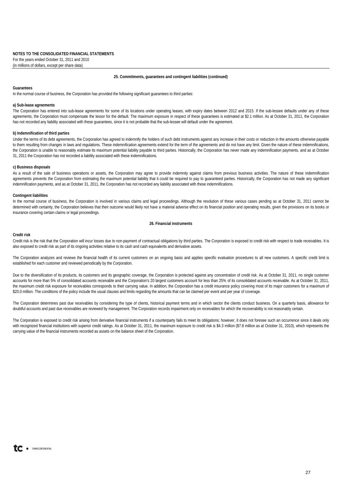### **25. Commitments, guarantees and contingent liabilities (continued)**

#### **Guarantees**

In the normal course of business, the Corporation has provided the following significant guarantees to third parties:

#### **a) Sub-lease agreements**

The Corporation has entered into sub-lease agreements for some of its locations under operating leases, with expiry dates between 2012 and 2015. If the sub-lessee defaults under any of these agreements, the Corporation must compensate the lessor for the default. The maximum exposure in respect of these guarantees is estimated at \$2.1 million. As at October 31, 2011, the Corporation has not recorded any liability associated with these guarantees, since it is not probable that the sub-lessee will default under the agreement.

#### **b) Indemnification of third parties**

Under the terms of its debt agreements, the Corporation has agreed to indemnify the holders of such debt instruments against any increase in their costs or reduction in the amounts otherwise payable to them resulting from changes in laws and regulations. These indemnification agreements extend for the term of the agreements and do not have any limit. Given the nature of these indemnifications, the Corporation is unable to reasonably estimate its maximum potential liability payable to third parties. Historically, the Corporation has never made any indemnification payments, and as at October 31, 2011 the Corporation has not recorded a liability associated with these indemnifications.

### **c) Business disposals**

As a result of the sale of business operations or assets, the Corporation may agree to provide indemnity against claims from previous business activities. The nature of these indemnification agreements prevents the Corporation from estimating the maximum potential liability that it could be required to pay to guaranteed parties. Historically, the Corporation has not made any significant indemnification payments, and as at October 31, 2011, the Corporation has not recorded any liability associated with these indemnifications.

### **Contingent liabilities**

In the normal course of business, the Corporation is involved in various claims and legal proceedings. Although the resolution of these various cases pending as at October 31, 2011 cannot be determined with certainty, the Corporation believes that their outcome would likely not have a material adverse effect on its financial position and operating results, given the provisions on its books or insurance covering certain claims or legal proceedings.

### **26. Financial instruments**

### **Credit risk**

Credit risk is the risk that the Corporation will incur losses due to non-payment of contractual obligations by third parties. The Corporation is exposed to credit risk with respect to trade receivables. It is also exposed to credit risk as part of its ongoing activities relative to its cash and cash equivalents and derivative assets.

The Corporation analyzes and reviews the financial health of its current customers on an ongoing basis and applies specific evaluation procedures to all new customers. A specific credit limit is established for each customer and reviewed periodically by the Corporation.

Due to the diversification of its products, its customers and its geographic coverage, the Corporation is protected against any concentration of credit risk. As at October 31, 2011, no single customer accounts for more than 5% of consolidated accounts receivable and the Corporation's 20 largest customers account for less than 25% of its consolidated accounts receivable. As at October 31, 2011, the maximum credit risk exposure for receivables corresponds to their carrying value. In addition, the Corporation has a credit insurance policy covering most of its major customers for a maximum of \$20.0 million. The conditions of the policy include the usual clauses and limits regarding the amounts that can be claimed per event and per year of coverage.

The Corporation determines past due receivables by considering the type of clients, historical payment terms and in which sector the clients conduct business. On a quarterly basis, allowance for doubtful accounts and past due receivables are reviewed by management. The Corporation records impairment only on receivables for which the recoverability is not reasonably certain.

The Corporation is exposed to credit risk arising from derivative financial instruments if a counterparty fails to meet its obligations; however, it does not foresee such an occurrence since it deals only with recognized financial institutions with superior credit ratings. As at October 31, 2011, the maximum exposure to credit risk is \$4.3 million (\$7.8 million as at October 31, 2010), which represents the carrying value of the financial instruments recorded as assets on the balance sheet of the Corporation.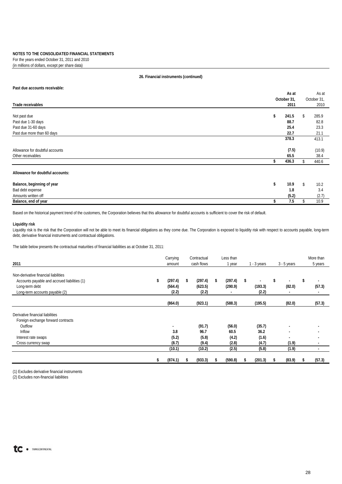## **Past due accounts receivable:**

|                                  | As at       | As at       |
|----------------------------------|-------------|-------------|
|                                  | October 31, | October 31, |
| Trade receivables                | 2011        | 2010        |
|                                  |             |             |
| Not past due                     | \$<br>241.5 | \$<br>285.9 |
| Past due 1-30 days               | 88.7        | 82.8        |
| Past due 31-60 days              | 25.4        | 23.3        |
| Past due more than 60 days       | 22.7        | 21.1        |
|                                  | 378.3       | 413.1       |
| Allowance for doubtful accounts  | (7.5)       | (10.9)      |
| Other receivables                | 65.5        | 38.4        |
|                                  | 436.3       | 440.6       |
| Allowance for doubtful accounts: |             |             |
| Balance, beginning of year       | \$<br>10.9  | \$<br>10.2  |
| Bad debt expense                 | 1.8         | 3.4         |
| Amounts written off              | (5.2)       | (2.7)       |

Based on the historical payment trend of the customers, the Corporation believes that this allowance for doubtful accounts is sufficient to cover the risk of default.

### **Liquidity risk**

Liquidity risk is the risk that the Corporation will not be able to meet its financial obligations as they come due. The Corporation is exposed to liquidity risk with respect to accounts payable, long-term debt, derivative financial instruments and contractual obligations.

**Balance, end of year 7.5** \$ **10.9 \$** 7.5 \$ 10.9

The table below presents the contractual maturities of financial liabilities as at October 31, 2011:

| 2011                                                                                                                                     | Carrying<br>amount |                             | Contractual<br>cash flows |                             | Less than<br>1 year      | $1 - 3$ years |                  | $3 - 5$ years |                          | More than<br>5 years                                                 |
|------------------------------------------------------------------------------------------------------------------------------------------|--------------------|-----------------------------|---------------------------|-----------------------------|--------------------------|---------------|------------------|---------------|--------------------------|----------------------------------------------------------------------|
| Non-derivative financial liabilities<br>Accounts payable and accrued liabilities (1)<br>Long-term debt<br>Long-term accounts payable (2) | \$                 | (297.4)<br>(564.4)<br>(2.2) | \$                        | (297.4)<br>(623.5)<br>(2.2) | \$<br>(297.4)<br>(290.9) | \$            | (193.3)<br>(2.2) | \$            | (82.0)                   | \$<br>$\overline{\phantom{a}}$<br>(57.3)<br>$\overline{\phantom{a}}$ |
|                                                                                                                                          |                    | (864.0)                     |                           | (923.1)                     | (588.3)                  |               | (195.5)          |               | (82.0)                   | (57.3)                                                               |
| Derivative financial liabilities<br>Foreign exchange forward contracts<br>Outflow                                                        |                    | ٠                           |                           | (91.7)                      | (56.0)                   |               | (35.7)           |               |                          |                                                                      |
| Inflow<br>Interest rate swaps                                                                                                            |                    | 3.8<br>(5.2)                |                           | 96.7<br>(5.8)               | 60.5<br>(4.2)            |               | 36.2<br>(1.6)    |               | $\overline{\phantom{a}}$ |                                                                      |
| Cross currency swap                                                                                                                      |                    | (8.7)<br>(10.1)             |                           | (9.4)<br>(10.2)             | (2.8)<br>(2.5)           |               | (4.7)<br>(5.8)   |               | (1.9)<br>(1.9)           | ٠<br>٠                                                               |
|                                                                                                                                          | S                  | (874.1)                     |                           | (933.3)                     | (590.8)                  |               | (201.3)          |               | (83.9)                   | (57.3)                                                               |

(1) Excludes derivative financial instruments

(2) Excludes non-financial liabilities

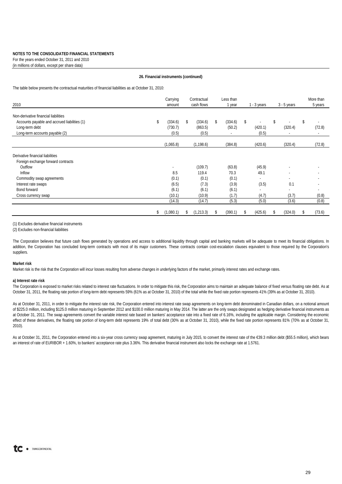The table below presents the contractual maturities of financial liabilities as at October 31, 2010:

| 2010                                                                   | Carrying<br>amount |           |    | Contractual<br>cash flows |    | Less than<br>1 year |    | $1 - 3$ years |    | $3 - 5$ years |    | More than<br>5 years |
|------------------------------------------------------------------------|--------------------|-----------|----|---------------------------|----|---------------------|----|---------------|----|---------------|----|----------------------|
| Non-derivative financial liabilities                                   |                    |           |    |                           |    |                     |    |               |    |               |    |                      |
| Accounts payable and accrued liabilities (1)                           | \$                 | (334.6)   | \$ | (334.6)                   | \$ | (334.6)             | \$ |               | \$ |               | \$ |                      |
| Long-term debt                                                         |                    | (730.7)   |    | (863.5)                   |    | (50.2)              |    | (420.1)       |    | (320.4)       |    | (72.8)               |
| Long-term accounts payable (2)                                         |                    | (0.5)     |    | (0.5)                     |    | $\sim$              |    | (0.5)         |    | ٠             |    | $\sim$               |
|                                                                        |                    | (1,065.8) |    | (1, 198.6)                |    | (384.8)             |    | (420.6)       |    | (320.4)       |    | (72.8)               |
| Derivative financial liabilities<br>Foreign exchange forward contracts |                    |           |    |                           |    |                     |    |               |    |               |    |                      |
| Outflow                                                                |                    | ٠         |    | (109.7)                   |    | (63.8)              |    | (45.9)        |    |               |    |                      |
| Inflow                                                                 |                    | 8.5       |    | 119.4                     |    | 70.3                |    | 49.1          |    | ٠             |    |                      |
| Commodity swap agreements                                              |                    | (0.1)     |    | (0.1)                     |    | (0.1)               |    | ٠             |    | ٠             |    |                      |
| Interest rate swaps                                                    |                    | (6.5)     |    | (7.3)                     |    | (3.9)               |    | (3.5)         |    | 0.1           |    |                      |
| Bond forward                                                           |                    | (6.1)     |    | (6.1)                     |    | (6.1)               |    | ٠             |    |               |    | $\sim$               |
| Cross currency swap                                                    |                    | (10.1)    |    | (10.9)                    |    | (1.7)               |    | (4.7)         |    | (3.7)         |    | (0.8)                |
|                                                                        |                    | (14.3)    |    | (14.7)                    |    | (5.3)               |    | (5.0)         |    | (3.6)         |    | (0.8)                |
|                                                                        | \$                 | (1,080.1) | \$ | (1, 213.3)                |    | (390.1)             |    | (425.6)       |    | (324.0)       | S  | (73.6)               |

(1) Excludes derivative financial instruments

(2) Excludes non-financial liabilities

The Corporation believes that future cash flows generated by operations and access to additional liquidity through capital and banking markets will be adequate to meet its financial obligations. In addition, the Corporation has concluded long-term contracts with most of its major customers. These contracts contain cost-escalation clauses equivalent to those required by the Corporation's suppliers.

### **Market risk**

Market risk is the risk that the Corporation will incur losses resulting from adverse changes in underlying factors of the market, primarily interest rates and exchange rates.

### **a) Interest rate risk**

The Corporation is exposed to market risks related to interest rate fluctuations. In order to mitigate this risk, the Corporation aims to maintain an adequate balance of fixed versus floating rate debt. As at October 31, 2011, the floating rate portion of long-term debt represents 59% (61% as at October 31, 2010) of the total while the fixed rate portion represents 41% (39% as at October 31, 2010).

As at October 31, 2011, in order to mitigate the interest rate risk, the Corporation entered into interest rate swap agreements on long-term debt denominated in Canadian dollars, on a notional amount of \$225.0 million, including \$125.0 million maturing in September 2012 and \$100.0 million maturing in May 2014. The latter are the only swaps designated as hedging derivative financial instruments as at October 31, 2011. The swap agreements convert the variable interest rate based on bankers' acceptance rate into a fixed rate of 6.16%, including the applicable margin. Considering the economic effect of these derivatives, the floating rate portion of long-term debt represents 19% of total debt (30% as at October 31, 2010), while the fixed rate portion represents 81% (70% as at October 31, 2010).

As at October 31, 2011, the Corporation entered into a six-year cross currency swap agreement, maturing in July 2015, to convert the interest rate of the €39.3 million debt (\$55.5 million), which bears an interest of rate of EURIBOR + 1.60%, to bankers' acceptance rate plus 3.36%. This derivative financial instrument also locks the exchange rate at 1.5761.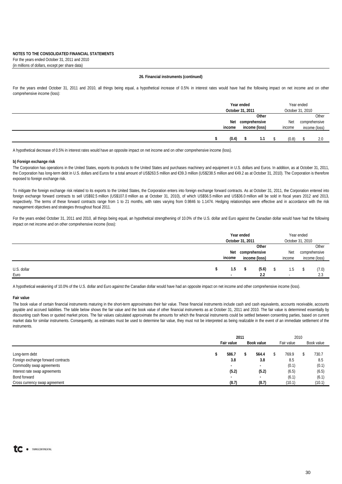For the years ended October 31, 2011 and 2010, all things being equal, a hypothetical increase of 0.5% in interest rates would have had the following impact on net income and on other comprehensive income (loss):

| Year ended<br>October 31, 2011 |  |               |  | Year ended<br>October 31, 2010 |               |       |  |  |
|--------------------------------|--|---------------|--|--------------------------------|---------------|-------|--|--|
|                                |  | Other         |  |                                |               | Other |  |  |
| Net                            |  | comprehensive |  | Net                            | comprehensive |       |  |  |
| income                         |  | income (loss) |  | income                         | income (loss) |       |  |  |
|                                |  |               |  | (0.8)                          |               | 2.0   |  |  |
| (0.4)                          |  |               |  |                                |               |       |  |  |

A hypothetical decrease of 0.5% in interest rates would have an opposite impact on net income and on other comprehensive income (loss).

### **b) Foreign exchange risk**

The Corporation has operations in the United States, exports its products to the United States and purchases machinery and equipment in U.S. dollars and Euros. In addition, as at October 31, 2011, the Corporation has long-term debt in U.S. dollars and Euros for a total amount of US\$263.5 million and €39.3 million (US\$238.5 million and €49.2 as at October 31, 2010). The Corporation is therefore exposed to foreign exchange risk.

To mitigate the foreign exchange risk related to its exports to the United States, the Corporation enters into foreign exchange forward contracts. As at October 31, 2011, the Corporation entered into foreign exchange forward contracts to sell US\$92.5 million (US\$107.0 million as at October 31, 2010), of which US\$56.5 million and US\$36.0 million will be sold in fiscal years 2012 and 2013, respectively. The terms of these forward contracts range from 1 to 21 months, with rates varying from 0.9846 to 1.1474. Hedging relationships were effective and in accordance with the risk management objectives and strategies throughout fiscal 2011.

For the years ended October 31, 2011 and 2010, all things being equal, an hypothetical strengthening of 10.0% of the U.S. dollar and Euro against the Canadian dollar would have had the following impact on net income and on other comprehensive income (loss):

|             |  | Year ended<br>October 31, 2011 |  |               |        |        | Year ended<br>October 31, 2010 |               |  |
|-------------|--|--------------------------------|--|---------------|--------|--------|--------------------------------|---------------|--|
|             |  | Other<br>Net<br>comprehensive  |  |               |        |        | Other                          |               |  |
|             |  |                                |  |               |        | Net    | comprehensive                  |               |  |
|             |  | income                         |  | income (loss) | income |        |                                | income (loss) |  |
| U.S. dollar |  | 1.5                            |  | (5.6)         | S      | 1.5    |                                | (7.0)         |  |
| Euro        |  | $\overline{\phantom{a}}$       |  | 2.2           |        | $\sim$ |                                | 2.3           |  |

A hypothetical weakening of 10.0% of the U.S. dollar and Euro against the Canadian dollar would have had an opposite impact on net income and other comprehensive income (loss).

#### **Fair value**

The book value of certain financial instruments maturing in the short-term approximates their fair value. These financial instruments include cash and cash equivalents, accounts receivable, accounts payable and accrued liabilities. The table below shows the fair value and the book value of other financial instruments as at October 31, 2011 and 2010. The fair value is determined essentially by discounting cash flows or quoted market prices. The fair values calculated approximate the amounts for which the financial instruments could be settled between consenting parties, based on current market data for similar instruments. Consequently, as estimates must be used to determine fair value, they must not be interpreted as being realizable in the event of an immediate settlement of the instruments.

|                                    | 2011       |        |            |        |            | 2010   |  |            |  |
|------------------------------------|------------|--------|------------|--------|------------|--------|--|------------|--|
|                                    | Fair value |        | Book value |        | Fair value |        |  | Book value |  |
|                                    |            |        |            |        |            |        |  |            |  |
| Long-term debt                     |            | 586.7  |            | 564.4  |            | 769.9  |  | 730.7      |  |
| Foreign exchange forward contracts |            | 3.8    |            | 3.8    |            | 8.5    |  | 8.5        |  |
| Commodity swap agreements          |            | $\sim$ |            |        |            | (0.1)  |  | (0.1)      |  |
| Interest rate swap agreements      |            | (5.2)  |            | (5.2)  |            | (6.5)  |  | (6.5)      |  |
| Bond forward                       |            |        |            | $\sim$ |            | (6.1)  |  | (6.1)      |  |
| Cross currency swap agreement      |            | (8.7)  |            | (8.7)  |            | (10.1) |  | (10.1)     |  |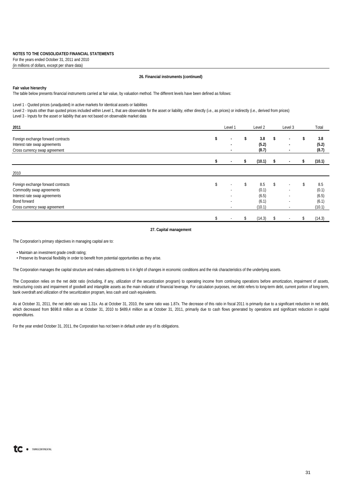### **Fair value hierarchy**

The table below presents financial instruments carried at fair value, by valuation method. The different levels have been defined as follows:

Level 1 - Quoted prices (unadjusted) in active markets for identical assets or liabilities

Level 2 - Inputs other than quoted prices included within Level 1, that are observable for the asset or liability, either directly (i.e., as prices) or indirectly (i.e., derived from prices)

Level 3 - Inputs for the asset or liability that are not based on observable market data

| 2011                               | Level 1                  | Level 2      |     | Level 3                  |    | Total  |
|------------------------------------|--------------------------|--------------|-----|--------------------------|----|--------|
| Foreign exchange forward contracts | \$                       | \$<br>3.8    | \$  | ۰                        | S  | 3.8    |
| Interest rate swap agreements      |                          | (5.2)        |     |                          |    | (5.2)  |
| Cross currency swap agreement      | $\overline{\phantom{a}}$ | (8.7)        |     | $\overline{\phantom{a}}$ |    | (8.7)  |
|                                    | $\sim$                   | (10.1)       | -S. | $\overline{\phantom{a}}$ |    | (10.1) |
| 2010                               |                          |              |     |                          |    |        |
| Foreign exchange forward contracts | \$<br>$\sim$             | \$<br>8.5    | \$  | $\overline{\phantom{a}}$ | Ŝ. | 8.5    |
| Commodity swap agreements          | ۰                        | (0.1)        |     | ۰                        |    | (0.1)  |
| Interest rate swap agreements      | $\overline{\phantom{a}}$ | (6.5)        |     | $\overline{\phantom{a}}$ |    | (6.5)  |
| Bond forward                       | $\overline{\phantom{a}}$ | (6.1)        |     | $\overline{\phantom{a}}$ |    | (6.1)  |
| Cross currency swap agreement      | ٠                        | (10.1)       |     | $\overline{\phantom{a}}$ |    | (10.1) |
|                                    | $\sim$                   | \$<br>(14.3) |     | $\overline{\phantom{a}}$ |    | (14.3) |

## **27. Capital management**

The Corporation's primary objectives in managing capital are to:

• Maintain an investment grade credit rating;

• Preserve its financial flexibility in order to benefit from potential opportunities as they arise.

The Corporation manages the capital structure and makes adjustments to it in light of changes in economic conditions and the risk characteristics of the underlying assets.

The Corporation relies on the net debt ratio (including, if any, utilization of the securitization program) to operating income from continuing operations before amortization, impairment of assets, restructuring costs and impairment of goodwill and intangible assets as the main indicator of financial leverage. For calculation purposes, net debt refers to long-term debt, current portion of long-term, bank overdraft and utilization of the securitization program, less cash and cash equivalents.

As at October 31, 2011, the net debt ratio was 1.31x. As at October 31, 2010, the same ratio was 1.87x. The decrease of this ratio in fiscal 2011 is primarily due to a significant reduction in net debt, which decreased from \$698.8 million as at October 31, 2010 to \$489,4 million as at October 31, 2011, primarily due to cash flows generated by operations and significant reduction in capital expenditures.

For the year ended October 31, 2011, the Corporation has not been in default under any of its obligations.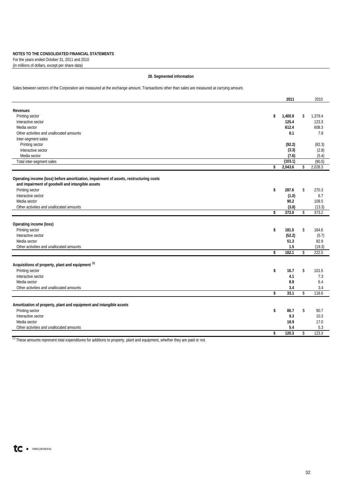## **28. Segmented information**

Sales between sectors of the Corporation are measured at the exchange amount. Transactions other than sales are measured at carrying amount.

|                                                                                        | 2011          | 2010          |
|----------------------------------------------------------------------------------------|---------------|---------------|
|                                                                                        |               |               |
| Revenues<br>Printing sector                                                            | \$<br>1,400.8 | \$<br>1,379.4 |
|                                                                                        | 125.4         | 123.3         |
| Interactive sector<br>Media sector                                                     | 612.4         | 608.3         |
|                                                                                        |               |               |
| Other activities and unallocated amounts                                               | 8.1           | 7.8           |
| Inter-segment sales                                                                    |               |               |
| Printing sector                                                                        | (92.2)        | (82.3)        |
| Interactive sector                                                                     | (3.3)         | (2.8)         |
| Media sector                                                                           | (7.6)         | (5.4)         |
| Total inter-segment sales                                                              | (103.1)       | (90.5)        |
|                                                                                        | \$<br>2,043.6 | \$<br>2,028.3 |
|                                                                                        |               |               |
| Operating income (loss) before amortization, impairment of assets, restructuring costs |               |               |
| and impairment of goodwill and intangible assets                                       |               |               |
| Printing sector                                                                        | \$<br>287.6   | \$<br>270.3   |
| Interactive sector                                                                     | (1.0)         | 6.7           |
| Media sector                                                                           | 90.2          | 109.5         |
| Other activities and unallocated amounts                                               | (3.8)         | (13.3)        |
|                                                                                        | \$<br>373.0   | \$<br>373.2   |
|                                                                                        |               |               |
| Operating income (loss)                                                                |               |               |
| Printing sector                                                                        | \$<br>181.5   | \$<br>164.6   |
| Interactive sector                                                                     | (52.2)        | (5.7)         |
| Media sector                                                                           | 51.3          | 82.9          |
| Other activities and unallocated amounts                                               | 1.5           | (19.3)        |
|                                                                                        | \$<br>182.1   | \$<br>222.5   |
|                                                                                        |               |               |
| Acquisitions of property, plant and equipment (1)                                      |               |               |
| Printing sector                                                                        | \$<br>16.7    | \$<br>101.5   |
| Interactive sector                                                                     | 4.1           | 7.3           |
| Media sector                                                                           | 8.9           | 6.4           |
| Other activities and unallocated amounts                                               | 3.4           | 3.4           |
|                                                                                        | \$<br>33.1    | \$<br>118.6   |
|                                                                                        |               |               |
| Amortization of property, plant and equipment and intangible assets                    |               |               |
| Printing sector                                                                        | \$<br>86.7    | \$<br>90.7    |
| Interactive sector                                                                     | 9.3           | 10.3          |
| Media sector                                                                           | 18.9          | 17.0          |
| Other activities and unallocated amounts                                               | 5.4           | 5.3           |
|                                                                                        | \$<br>120.3   | \$<br>123.3   |
|                                                                                        |               |               |

 $(1)$  These amounts represent total expenditures for additions to property, plant and equipment, whether they are paid or not.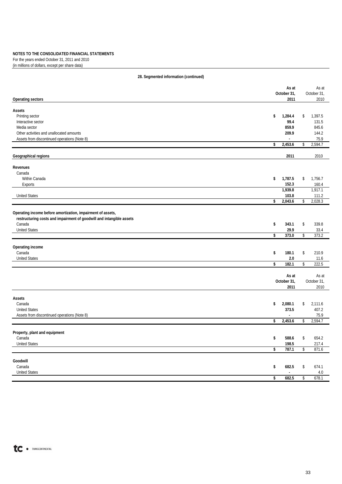| Operating sectors                                                                                                                                                     | As at<br>October 31,<br>2011 |                                         | As at<br>October 31,<br>2010 |                                            |  |
|-----------------------------------------------------------------------------------------------------------------------------------------------------------------------|------------------------------|-----------------------------------------|------------------------------|--------------------------------------------|--|
| Assets<br>Printing sector<br>Interactive sector<br>Media sector<br>Other activities and unallocated amounts<br>Assets from discontinued operations (Note 8)           | \$                           | 1,284.4<br>99.4<br>859.9<br>209.9<br>÷. | \$                           | 1,397.5<br>131.5<br>845.6<br>144.2<br>75.9 |  |
|                                                                                                                                                                       | \$                           | 2,453.6                                 | \$                           | 2,594.7                                    |  |
| Geographical regions                                                                                                                                                  |                              | 2011                                    |                              | 2010                                       |  |
| Revenues<br>Canada<br>Within Canada<br>Exports                                                                                                                        | \$                           | 1,787.5<br>152.3                        | \$                           | 1,756.7<br>160.4                           |  |
| <b>United States</b>                                                                                                                                                  |                              | 1,939.8<br>103.8                        |                              | 1,917.1<br>111.2                           |  |
|                                                                                                                                                                       | \$                           | 2,043.6                                 | \$                           | 2,028.3                                    |  |
| Operating income before amortization, impairment of assets,<br>restructuring costs and impairment of goodwill and intangible assets<br>Canada<br><b>United States</b> | \$<br>\$                     | 343.1<br>29.9<br>373.0                  | \$<br>\$                     | 339.8<br>33.4<br>373.2                     |  |
| Operating income<br>Canada<br><b>United States</b>                                                                                                                    | \$                           | 180.1<br>2.0                            | \$                           | 210.9<br>11.6                              |  |
|                                                                                                                                                                       | $\overline{\mathsf{s}}$      | 182.1                                   | \$                           | 222.5                                      |  |
|                                                                                                                                                                       |                              | As at<br>October 31,<br>2011            |                              | As at<br>October 31,<br>2010               |  |
| Assets<br>Canada<br><b>United States</b><br>Assets from discontinued operations (Note 8)                                                                              | \$<br>\$                     | 2,080.1<br>373.5<br>2,453.6             | \$<br>\$                     | 2,111.6<br>407.2<br>75.9<br>2,594.7        |  |
| Property, plant and equipment<br>Canada<br><b>United States</b>                                                                                                       | \$                           | 588.6<br>198.5                          | \$                           | 654.2<br>217.4                             |  |
|                                                                                                                                                                       | $\overline{\mathbf{s}}$      | 787.1                                   | \$                           | 871.6                                      |  |
| Goodwill<br>Canada<br><b>United States</b>                                                                                                                            | \$<br>\$                     | 682.5<br>682.5                          | \$<br>\$                     | 674.1<br>4.0<br>678.1                      |  |